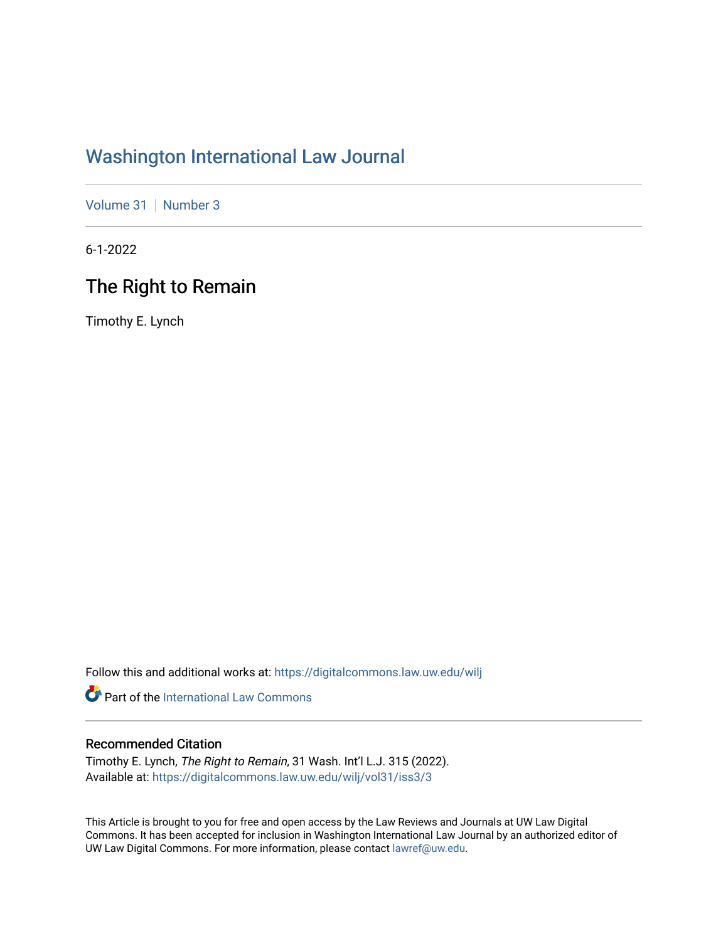# [Washington International Law Journal](https://digitalcommons.law.uw.edu/wilj)

[Volume 31](https://digitalcommons.law.uw.edu/wilj/vol31) | [Number 3](https://digitalcommons.law.uw.edu/wilj/vol31/iss3)

6-1-2022

# The Right to Remain

Timothy E. Lynch

Follow this and additional works at: [https://digitalcommons.law.uw.edu/wilj](https://digitalcommons.law.uw.edu/wilj?utm_source=digitalcommons.law.uw.edu%2Fwilj%2Fvol31%2Fiss3%2F3&utm_medium=PDF&utm_campaign=PDFCoverPages) 

**Part of the International Law Commons** 

#### Recommended Citation

Timothy E. Lynch, The Right to Remain, 31 Wash. Int'l L.J. 315 (2022). Available at: [https://digitalcommons.law.uw.edu/wilj/vol31/iss3/3](https://digitalcommons.law.uw.edu/wilj/vol31/iss3/3?utm_source=digitalcommons.law.uw.edu%2Fwilj%2Fvol31%2Fiss3%2F3&utm_medium=PDF&utm_campaign=PDFCoverPages) 

This Article is brought to you for free and open access by the Law Reviews and Journals at UW Law Digital Commons. It has been accepted for inclusion in Washington International Law Journal by an authorized editor of UW Law Digital Commons. For more information, please contact [lawref@uw.edu](mailto:lawref@uw.edu).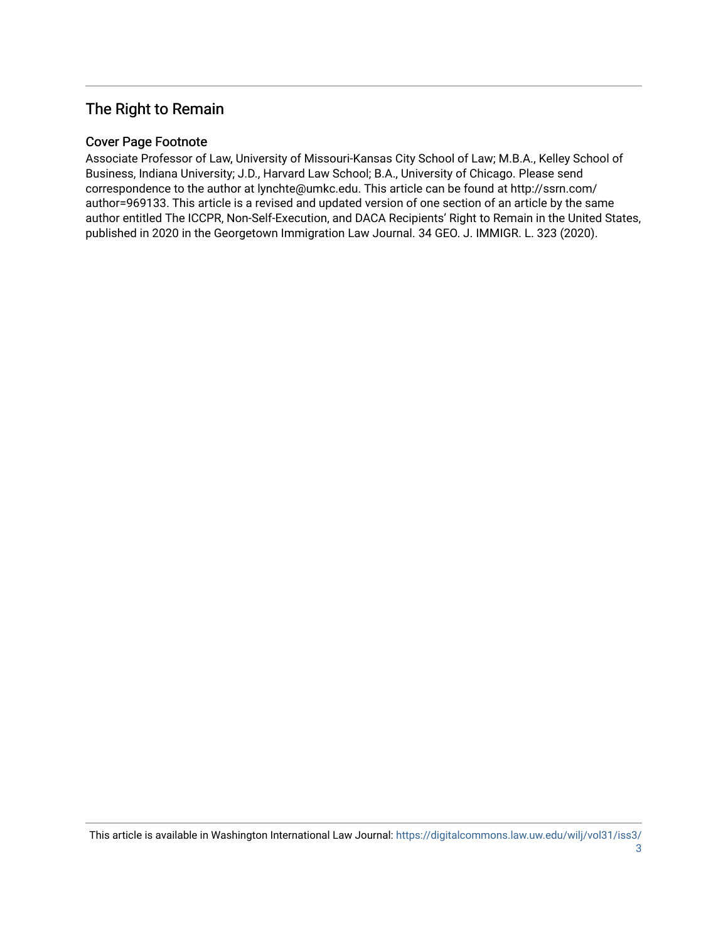## The Right to Remain

#### Cover Page Footnote

Associate Professor of Law, University of Missouri-Kansas City School of Law; M.B.A., Kelley School of Business, Indiana University; J.D., Harvard Law School; B.A., University of Chicago. Please send correspondence to the author at lynchte@umkc.edu. This article can be found at http://ssrn.com/ author=969133. This article is a revised and updated version of one section of an article by the same author entitled The ICCPR, Non-Self-Execution, and DACA Recipients' Right to Remain in the United States, published in 2020 in the Georgetown Immigration Law Journal. 34 GEO. J. IMMIGR. L. 323 (2020).

This article is available in Washington International Law Journal: [https://digitalcommons.law.uw.edu/wilj/vol31/iss3/](https://digitalcommons.law.uw.edu/wilj/vol31/iss3/3)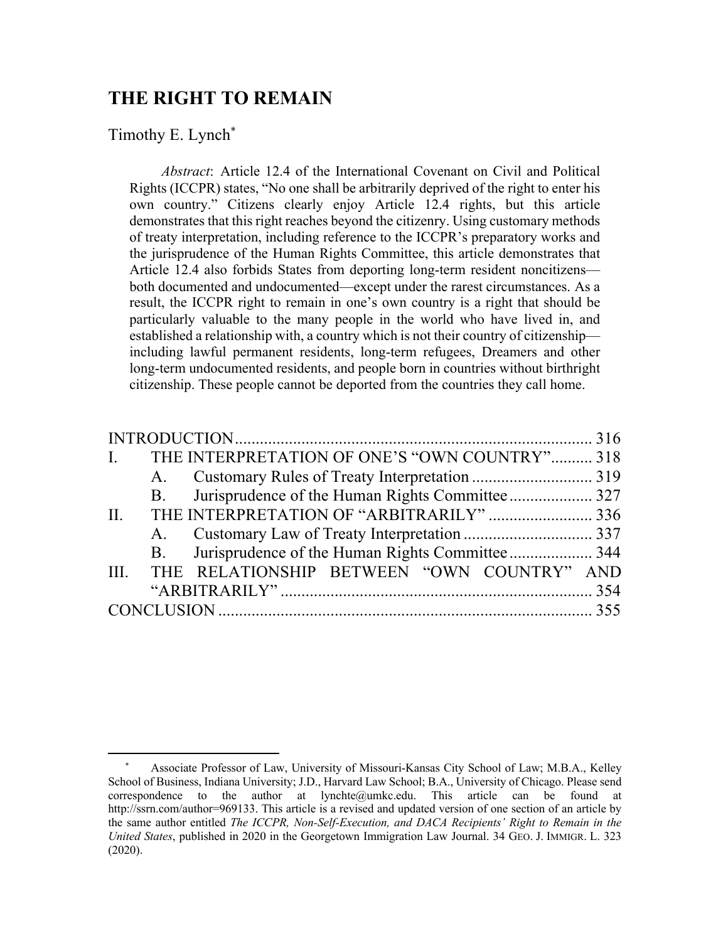## **THE RIGHT TO REMAIN**

#### Timothy E. Lynch\*

*Abstract*: Article 12.4 of the International Covenant on Civil and Political Rights (ICCPR) states, "No one shall be arbitrarily deprived of the right to enter his own country." Citizens clearly enjoy Article 12.4 rights, but this article demonstrates that this right reaches beyond the citizenry. Using customary methods of treaty interpretation, including reference to the ICCPR's preparatory works and the jurisprudence of the Human Rights Committee, this article demonstrates that Article 12.4 also forbids States from deporting long-term resident noncitizens both documented and undocumented—except under the rarest circumstances. As a result, the ICCPR right to remain in one's own country is a right that should be particularly valuable to the many people in the world who have lived in, and established a relationship with, a country which is not their country of citizenship including lawful permanent residents, long-term refugees, Dreamers and other long-term undocumented residents, and people born in countries without birthright citizenship. These people cannot be deported from the countries they call home.

| $\mathbf{L}$ |  | THE INTERPRETATION OF ONE'S "OWN COUNTRY" 318   |  |
|--------------|--|-------------------------------------------------|--|
|              |  |                                                 |  |
|              |  |                                                 |  |
| II.          |  | THE INTERPRETATION OF "ARBITRARILY"  336        |  |
|              |  |                                                 |  |
|              |  |                                                 |  |
|              |  | III. THE RELATIONSHIP BETWEEN "OWN COUNTRY" AND |  |
|              |  |                                                 |  |
|              |  |                                                 |  |

<sup>\*</sup> Associate Professor of Law, University of Missouri-Kansas City School of Law; M.B.A., Kelley School of Business, Indiana University; J.D., Harvard Law School; B.A., University of Chicago. Please send correspondence to the author at lynchte@umkc.edu. This article can be found at http://ssrn.com/author=969133. This article is a revised and updated version of one section of an article by the same author entitled *The ICCPR, Non-Self-Execution, and DACA Recipients' Right to Remain in the United States*, published in 2020 in the Georgetown Immigration Law Journal. 34 GEO. J. IMMIGR. L. 323 (2020).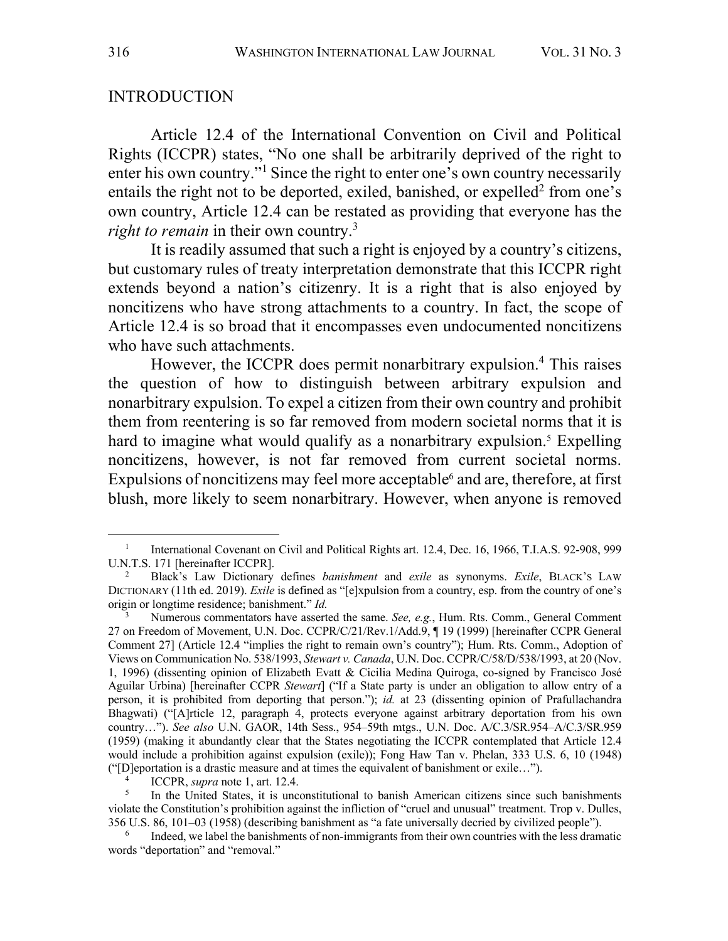#### INTRODUCTION

Article 12.4 of the International Convention on Civil and Political Rights (ICCPR) states, "No one shall be arbitrarily deprived of the right to enter his own country."<sup>1</sup> Since the right to enter one's own country necessarily entails the right not to be deported, exiled, banished, or expelled<sup>2</sup> from one's own country, Article 12.4 can be restated as providing that everyone has the *right to remain* in their own country. 3

It is readily assumed that such a right is enjoyed by a country's citizens, but customary rules of treaty interpretation demonstrate that this ICCPR right extends beyond a nation's citizenry. It is a right that is also enjoyed by noncitizens who have strong attachments to a country. In fact, the scope of Article 12.4 is so broad that it encompasses even undocumented noncitizens who have such attachments.

However, the ICCPR does permit nonarbitrary expulsion. <sup>4</sup> This raises the question of how to distinguish between arbitrary expulsion and nonarbitrary expulsion. To expel a citizen from their own country and prohibit them from reentering is so far removed from modern societal norms that it is hard to imagine what would qualify as a nonarbitrary expulsion.<sup>5</sup> Expelling noncitizens, however, is not far removed from current societal norms. Expulsions of noncitizens may feel more acceptable<sup>6</sup> and are, therefore, at first blush, more likely to seem nonarbitrary. However, when anyone is removed

<sup>&</sup>lt;sup>1</sup> International Covenant on Civil and Political Rights art. 12.4, Dec. 16, 1966, T.I.A.S. 92-908, 999 U.N.T.S. 171 [hereinafter ICCPR]. 2 Black's Law Dictionary defines *banishment* and *exile* as synonyms. *Exile*, BLACK'S LAW

DICTIONARY (11th ed. 2019). *Exile* is defined as "[e]xpulsion from a country, esp. from the country of one's origin or longtime residence; banishment." *Id.*

<sup>3</sup> Numerous commentators have asserted the same. *See, e.g.*, Hum. Rts. Comm., General Comment 27 on Freedom of Movement, U.N. Doc. CCPR/C/21/Rev.1/Add.9, ¶ 19 (1999) [hereinafter CCPR General Comment 27] (Article 12.4 "implies the right to remain own's country"); Hum. Rts. Comm., Adoption of Views on Communication No. 538/1993, *Stewart v. Canada*, U.N. Doc. CCPR/C/58/D/538/1993, at 20 (Nov. 1, 1996) (dissenting opinion of Elizabeth Evatt & Cicilia Medina Quiroga, co-signed by Francisco José Aguilar Urbina) [hereinafter CCPR *Stewart*] ("If a State party is under an obligation to allow entry of a person, it is prohibited from deporting that person."); *id.* at 23 (dissenting opinion of Prafullachandra Bhagwati) ("[A]rticle 12, paragraph 4, protects everyone against arbitrary deportation from his own country…"). *See also* U.N. GAOR, 14th Sess., 954–59th mtgs., U.N. Doc. A/C.3/SR.954–A/C.3/SR.959 (1959) (making it abundantly clear that the States negotiating the ICCPR contemplated that Article 12.4 would include a prohibition against expulsion (exile)); Fong Haw Tan v. Phelan, 333 U.S. 6, 10 (1948) ("[D]eportation is a drastic measure and at times the equivalent of banishment or exile…").

<sup>4</sup> ICCPR, *supra* note 1, art. 12.4.

<sup>5</sup> In the United States, it is unconstitutional to banish American citizens since such banishments violate the Constitution's prohibition against the infliction of "cruel and unusual" treatment. Trop v. Dulles, 356 U.S. 86, 101–03 (1958) (describing banishment as "a fate universally decried by civilized people").

Indeed, we label the banishments of non-immigrants from their own countries with the less dramatic words "deportation" and "removal."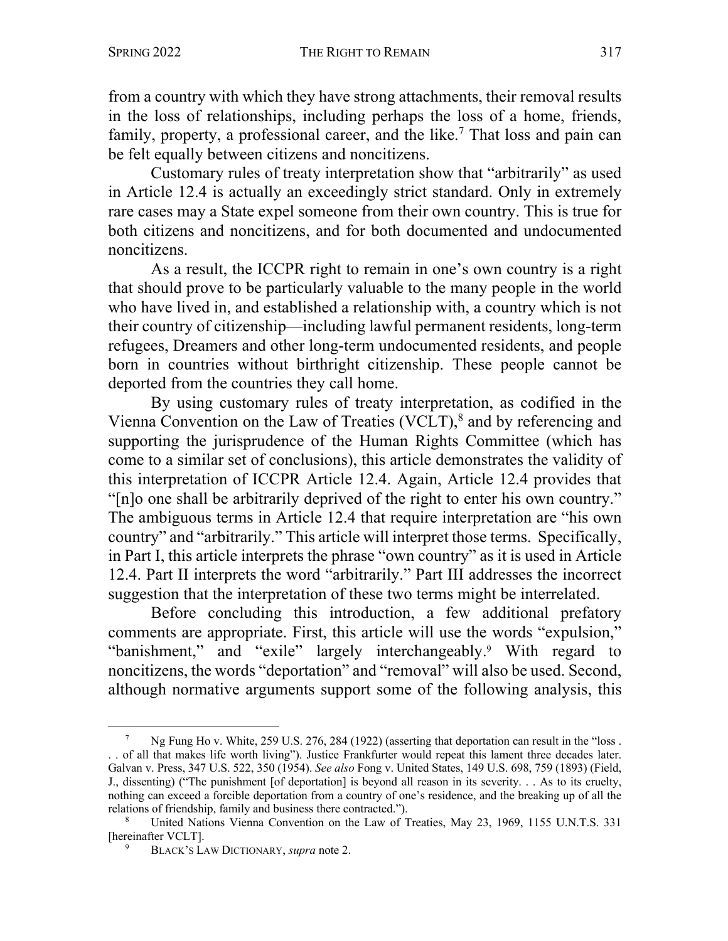from a country with which they have strong attachments, their removal results in the loss of relationships, including perhaps the loss of a home, friends, family, property, a professional career, and the like.<sup>7</sup> That loss and pain can be felt equally between citizens and noncitizens.

Customary rules of treaty interpretation show that "arbitrarily" as used in Article 12.4 is actually an exceedingly strict standard. Only in extremely rare cases may a State expel someone from their own country. This is true for both citizens and noncitizens, and for both documented and undocumented noncitizens.

As a result, the ICCPR right to remain in one's own country is a right that should prove to be particularly valuable to the many people in the world who have lived in, and established a relationship with, a country which is not their country of citizenship—including lawful permanent residents, long-term refugees, Dreamers and other long-term undocumented residents, and people born in countries without birthright citizenship. These people cannot be deported from the countries they call home.

By using customary rules of treaty interpretation, as codified in the Vienna Convention on the Law of Treaties (VCLT), <sup>8</sup> and by referencing and supporting the jurisprudence of the Human Rights Committee (which has come to a similar set of conclusions), this article demonstrates the validity of this interpretation of ICCPR Article 12.4. Again, Article 12.4 provides that "[n]o one shall be arbitrarily deprived of the right to enter his own country." The ambiguous terms in Article 12.4 that require interpretation are "his own country" and "arbitrarily." This article will interpret those terms. Specifically, in Part I, this article interprets the phrase "own country" as it is used in Article 12.4. Part II interprets the word "arbitrarily." Part III addresses the incorrect suggestion that the interpretation of these two terms might be interrelated.

Before concluding this introduction, a few additional prefatory comments are appropriate. First, this article will use the words "expulsion," "banishment," and "exile" largely interchangeably.<sup>9</sup> With regard to noncitizens, the words "deportation" and "removal" will also be used. Second, although normative arguments support some of the following analysis, this

Ng Fung Ho v. White, 259 U.S. 276, 284 (1922) (asserting that deportation can result in the "loss. . . of all that makes life worth living"). Justice Frankfurter would repeat this lament three decades later. Galvan v. Press, 347 U.S. 522, 350 (1954). *See also* Fong v. United States, 149 U.S. 698, 759 (1893) (Field, J., dissenting) ("The punishment [of deportation] is beyond all reason in its severity. . . As to its cruelty, nothing can exceed a forcible deportation from a country of one's residence, and the breaking up of all the relations of friendship, family and business there contracted.").<br><sup>8</sup> United Nations Vienna Convention on the Law of Treaties, May 23, 1969, 1155 U.N.T.S. 331

<sup>[</sup>hereinafter VCLT].

<sup>9</sup> BLACK'S LAW DICTIONARY, *supra* note 2.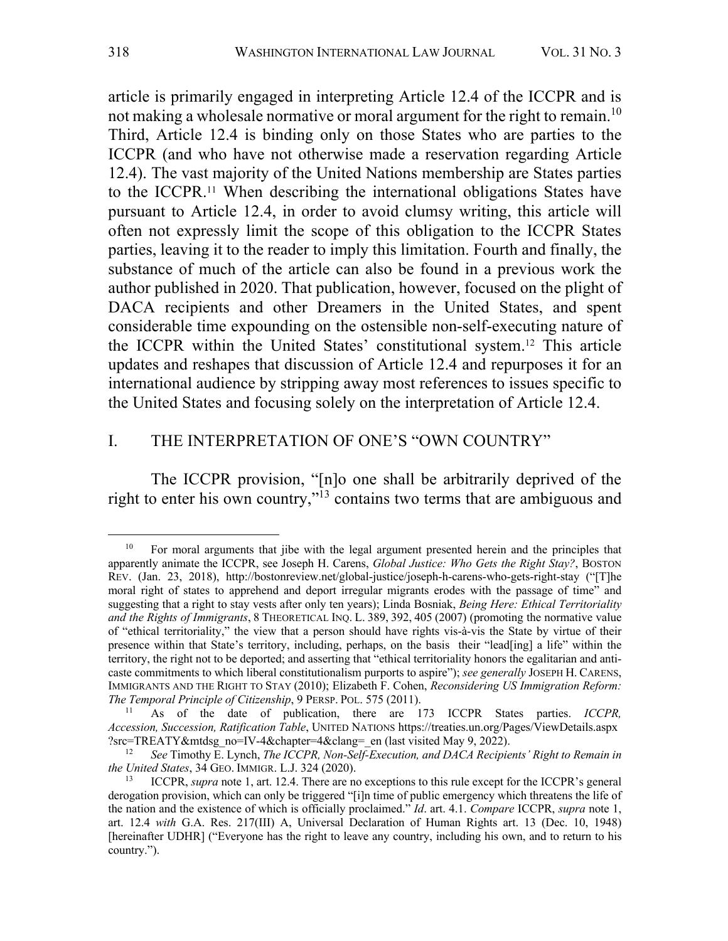article is primarily engaged in interpreting Article 12.4 of the ICCPR and is not making a wholesale normative or moral argument for the right to remain.10 Third, Article 12.4 is binding only on those States who are parties to the ICCPR (and who have not otherwise made a reservation regarding Article 12.4). The vast majority of the United Nations membership are States parties to the ICCPR.11 When describing the international obligations States have pursuant to Article 12.4, in order to avoid clumsy writing, this article will often not expressly limit the scope of this obligation to the ICCPR States parties, leaving it to the reader to imply this limitation. Fourth and finally, the substance of much of the article can also be found in a previous work the author published in 2020. That publication, however, focused on the plight of DACA recipients and other Dreamers in the United States, and spent considerable time expounding on the ostensible non-self-executing nature of the ICCPR within the United States' constitutional system.12 This article updates and reshapes that discussion of Article 12.4 and repurposes it for an international audience by stripping away most references to issues specific to the United States and focusing solely on the interpretation of Article 12.4.

#### I. THE INTERPRETATION OF ONE'S "OWN COUNTRY"

The ICCPR provision, "[n]o one shall be arbitrarily deprived of the right to enter his own country,"13 contains two terms that are ambiguous and

<sup>&</sup>lt;sup>10</sup> For moral arguments that jibe with the legal argument presented herein and the principles that apparently animate the ICCPR, see Joseph H. Carens, *Global Justice: Who Gets the Right Stay?*, BOSTON REV. (Jan. 23, 2018), http://bostonreview.net/global-justice/joseph-h-carens-who-gets-right-stay ("[T]he moral right of states to apprehend and deport irregular migrants erodes with the passage of time" and suggesting that a right to stay vests after only ten years); Linda Bosniak, *Being Here: Ethical Territoriality and the Rights of Immigrants*, 8 THEORETICAL INQ. L. 389, 392, 405 (2007) (promoting the normative value of "ethical territoriality," the view that a person should have rights vis-à-vis the State by virtue of their presence within that State's territory, including, perhaps, on the basis their "lead[ing] a life" within the territory, the right not to be deported; and asserting that "ethical territoriality honors the egalitarian and anticaste commitments to which liberal constitutionalism purports to aspire"); *see generally* JOSEPH H. CARENS, IMMIGRANTS AND THE RIGHT TO STAY (2010); Elizabeth F. Cohen, *Reconsidering US Immigration Reform: The Temporal Principle of Citizenship*, 9 PERSP. POL. 575 (2011).

<sup>11</sup> As of the date of publication, there are 173 ICCPR States parties. *ICCPR, Accession, Succession, Ratification Table*, UNITED NATIONS https://treaties.un.org/Pages/ViewDetails.aspx ?src=TREATY&mtdsg\_no=IV-4&chapter=4&clang=\_en (last visited May 9, 2022).

<sup>12</sup> *See* Timothy E. Lynch, *The ICCPR, Non-Self-Execution, and DACA Recipients' Right to Remain in the United States*, 34 GEO. IMMIGR. L.J. 324 (2020).

<sup>13</sup> ICCPR, *supra* note 1, art. 12.4. There are no exceptions to this rule except for the ICCPR's general derogation provision, which can only be triggered "[i]n time of public emergency which threatens the life of the nation and the existence of which is officially proclaimed." *Id*. art. 4.1. *Compare* ICCPR, *supra* note 1, art. 12.4 *with* G.A. Res. 217(III) A, Universal Declaration of Human Rights art. 13 (Dec. 10, 1948) [hereinafter UDHR] ("Everyone has the right to leave any country, including his own, and to return to his country.").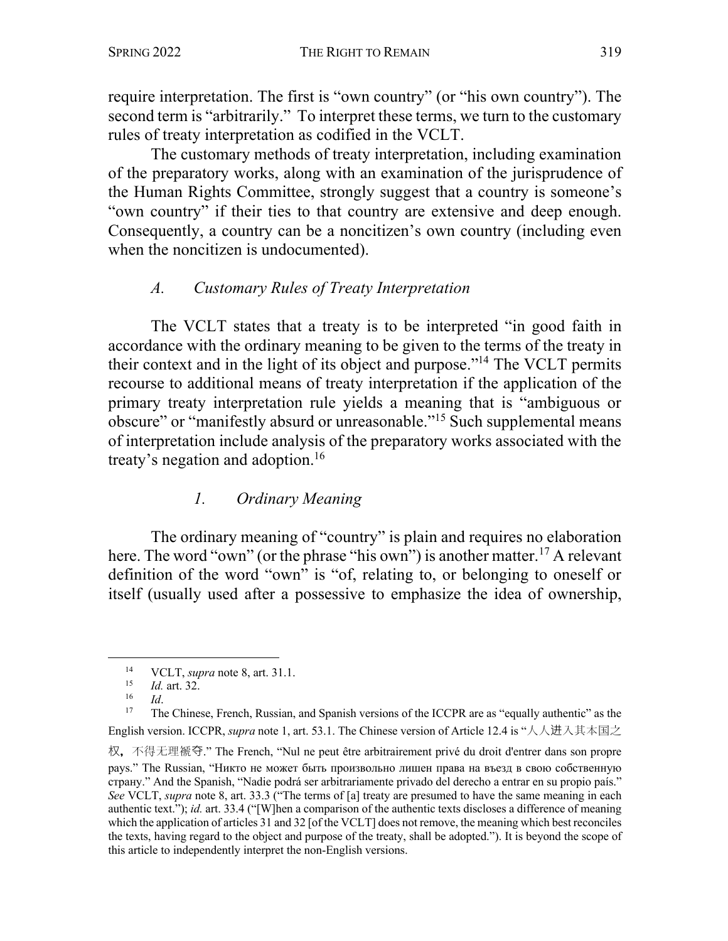require interpretation. The first is "own country" (or "his own country"). The second term is "arbitrarily." To interpret these terms, we turn to the customary rules of treaty interpretation as codified in the VCLT.

The customary methods of treaty interpretation, including examination of the preparatory works, along with an examination of the jurisprudence of the Human Rights Committee, strongly suggest that a country is someone's "own country" if their ties to that country are extensive and deep enough. Consequently, a country can be a noncitizen's own country (including even when the noncitizen is undocumented).

## *A. Customary Rules of Treaty Interpretation*

The VCLT states that a treaty is to be interpreted "in good faith in accordance with the ordinary meaning to be given to the terms of the treaty in their context and in the light of its object and purpose."14 The VCLT permits recourse to additional means of treaty interpretation if the application of the primary treaty interpretation rule yields a meaning that is "ambiguous or obscure" or "manifestly absurd or unreasonable."15 Such supplemental means of interpretation include analysis of the preparatory works associated with the treaty's negation and adoption. 16

## *1. Ordinary Meaning*

The ordinary meaning of "country" is plain and requires no elaboration here. The word "own" (or the phrase "his own") is another matter.<sup>17</sup> A relevant definition of the word "own" is "of, relating to, or belonging to oneself or itself (usually used after a possessive to emphasize the idea of ownership,

<sup>14</sup> VCLT, *supra* note 8, art. 31.1. 15 *Id.* art. 32.

<sup>&</sup>lt;sup>16</sup> *Id.*<br><sup>17</sup> The Chinese, French, Russian, and Spanish versions of the ICCPR are as "equally authentic" as the English version. ICCPR, *supra* note 1, art. 53.1. The Chinese version of Article 12.4 is "人人进入其本国之

权,不得无理褫夺." The French, "Nul ne peut être arbitrairement privé du droit d'entrer dans son propre pays." The Russian, "Никто не может быть произвольно лишен права на въезд в свою собственную страну." And the Spanish, "Nadie podrá ser arbitrariamente privado del derecho a entrar en su propio país." *See* VCLT, *supra* note 8, art. 33.3 ("The terms of [a] treaty are presumed to have the same meaning in each authentic text."); *id.* art. 33.4 ("[W]hen a comparison of the authentic texts discloses a difference of meaning which the application of articles 31 and 32 [of the VCLT] does not remove, the meaning which best reconciles the texts, having regard to the object and purpose of the treaty, shall be adopted."). It is beyond the scope of this article to independently interpret the non-English versions.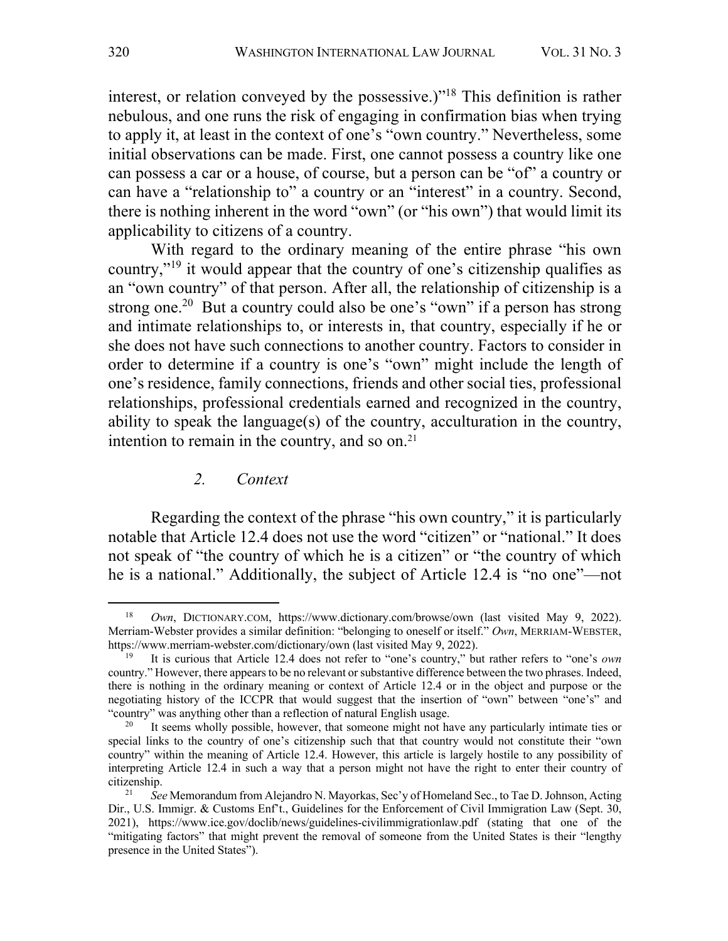interest, or relation conveyed by the possessive.)"<sup>18</sup> This definition is rather nebulous, and one runs the risk of engaging in confirmation bias when trying to apply it, at least in the context of one's "own country." Nevertheless, some initial observations can be made. First, one cannot possess a country like one can possess a car or a house, of course, but a person can be "of" a country or can have a "relationship to" a country or an "interest" in a country. Second, there is nothing inherent in the word "own" (or "his own") that would limit its applicability to citizens of a country.

With regard to the ordinary meaning of the entire phrase "his own country,"19 it would appear that the country of one's citizenship qualifies as an "own country" of that person. After all, the relationship of citizenship is a strong one.<sup>20</sup> But a country could also be one's "own" if a person has strong and intimate relationships to, or interests in, that country, especially if he or she does not have such connections to another country. Factors to consider in order to determine if a country is one's "own" might include the length of one's residence, family connections, friends and other social ties, professional relationships, professional credentials earned and recognized in the country, ability to speak the language(s) of the country, acculturation in the country, intention to remain in the country, and so on. $21$ 

#### *2. Context*

Regarding the context of the phrase "his own country," it is particularly notable that Article 12.4 does not use the word "citizen" or "national." It does not speak of "the country of which he is a citizen" or "the country of which he is a national." Additionally, the subject of Article 12.4 is "no one"—not

<sup>18</sup> *Own*, DICTIONARY.COM, https://www.dictionary.com/browse/own (last visited May 9, 2022). Merriam-Webster provides a similar definition: "belonging to oneself or itself." *Own*, MERRIAM-WEBSTER, https://www.merriam-webster.com/dictionary/own (last visited May 9, 2022).

<sup>19</sup> It is curious that Article 12.4 does not refer to "one's country," but rather refers to "one's *own* country." However, there appears to be no relevant or substantive difference between the two phrases. Indeed, there is nothing in the ordinary meaning or context of Article 12.4 or in the object and purpose or the negotiating history of the ICCPR that would suggest that the insertion of "own" between "one's" and "country" was anything other than a reflection of natural English usage.

It seems wholly possible, however, that someone might not have any particularly intimate ties or special links to the country of one's citizenship such that that country would not constitute their "own country" within the meaning of Article 12.4. However, this article is largely hostile to any possibility of interpreting Article 12.4 in such a way that a person might not have the right to enter their country of citizenship. 21 *See* Memorandum from Alejandro N. Mayorkas, Sec'y of Homeland Sec., to Tae D. Johnson, Acting

Dir., U.S. Immigr. & Customs Enf't., Guidelines for the Enforcement of Civil Immigration Law (Sept. 30, 2021), https://www.ice.gov/doclib/news/guidelines-civilimmigrationlaw.pdf (stating that one of the "mitigating factors" that might prevent the removal of someone from the United States is their "lengthy presence in the United States").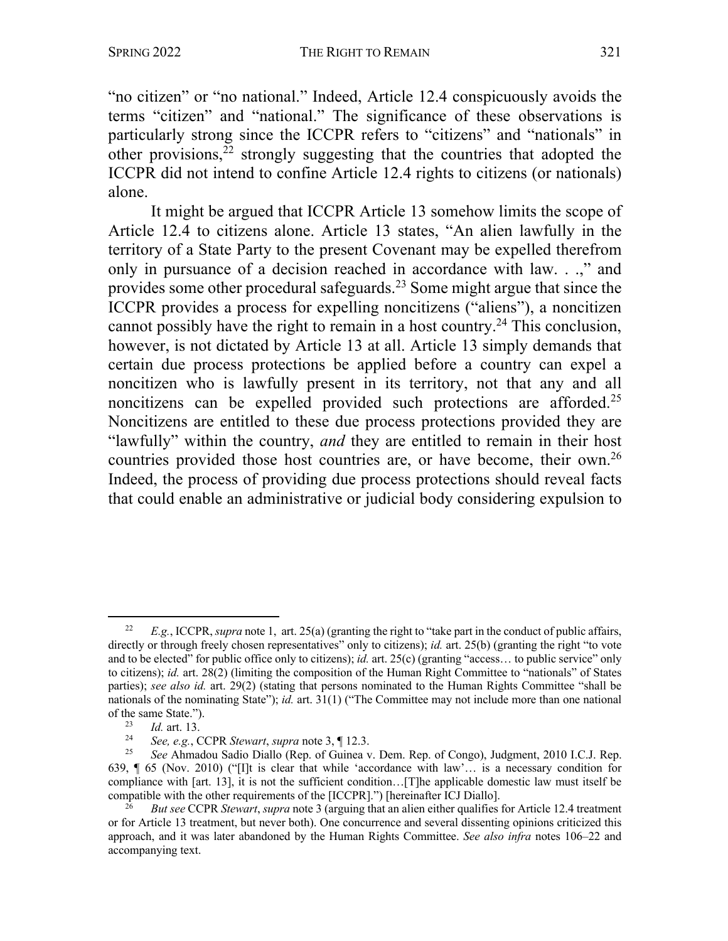"no citizen" or "no national." Indeed, Article 12.4 conspicuously avoids the terms "citizen" and "national." The significance of these observations is particularly strong since the ICCPR refers to "citizens" and "nationals" in other provisions, $22$  strongly suggesting that the countries that adopted the ICCPR did not intend to confine Article 12.4 rights to citizens (or nationals) alone.

It might be argued that ICCPR Article 13 somehow limits the scope of Article 12.4 to citizens alone. Article 13 states, "An alien lawfully in the territory of a State Party to the present Covenant may be expelled therefrom only in pursuance of a decision reached in accordance with law. . .," and provides some other procedural safeguards.<sup>23</sup> Some might argue that since the ICCPR provides a process for expelling noncitizens ("aliens"), a noncitizen cannot possibly have the right to remain in a host country.<sup>24</sup> This conclusion, however, is not dictated by Article 13 at all. Article 13 simply demands that certain due process protections be applied before a country can expel a noncitizen who is lawfully present in its territory, not that any and all noncitizens can be expelled provided such protections are afforded.<sup>25</sup> Noncitizens are entitled to these due process protections provided they are "lawfully" within the country, *and* they are entitled to remain in their host countries provided those host countries are, or have become, their own.26 Indeed, the process of providing due process protections should reveal facts that could enable an administrative or judicial body considering expulsion to

<sup>22</sup> *E.g.*, ICCPR, *supra* note 1, art. 25(a) (granting the right to "take part in the conduct of public affairs, directly or through freely chosen representatives" only to citizens); *id.* art. 25(b) (granting the right "to vote and to be elected" for public office only to citizens); *id.* art. 25(c) (granting "access… to public service" only to citizens); *id.* art. 28(2) (limiting the composition of the Human Right Committee to "nationals" of States parties); *see also id.* art. 29(2) (stating that persons nominated to the Human Rights Committee "shall be nationals of the nominating State"); *id.* art. 31(1) ("The Committee may not include more than one national of the same State.").<br> $\frac{23}{6}$  *Id.* ort. 12

 $\frac{23}{24}$  *Id.* art. 13.

<sup>24</sup> *See, e.g.*, CCPR *Stewart*, *supra* note 3, ¶ 12.3.

<sup>25</sup> *See* Ahmadou Sadio Diallo (Rep. of Guinea v. Dem. Rep. of Congo), Judgment, 2010 I.C.J. Rep. 639, ¶ 65 (Nov. 2010) ("[I]t is clear that while 'accordance with law'… is a necessary condition for compliance with [art. 13], it is not the sufficient condition…[T]he applicable domestic law must itself be compatible with the other requirements of the [ICCPR].") [hereinafter ICJ Diallo].

<sup>26</sup> *But see* CCPR *Stewart*, *supra* note 3 (arguing that an alien either qualifies for Article 12.4 treatment or for Article 13 treatment, but never both). One concurrence and several dissenting opinions criticized this approach, and it was later abandoned by the Human Rights Committee. *See also infra* notes 106–22 and accompanying text.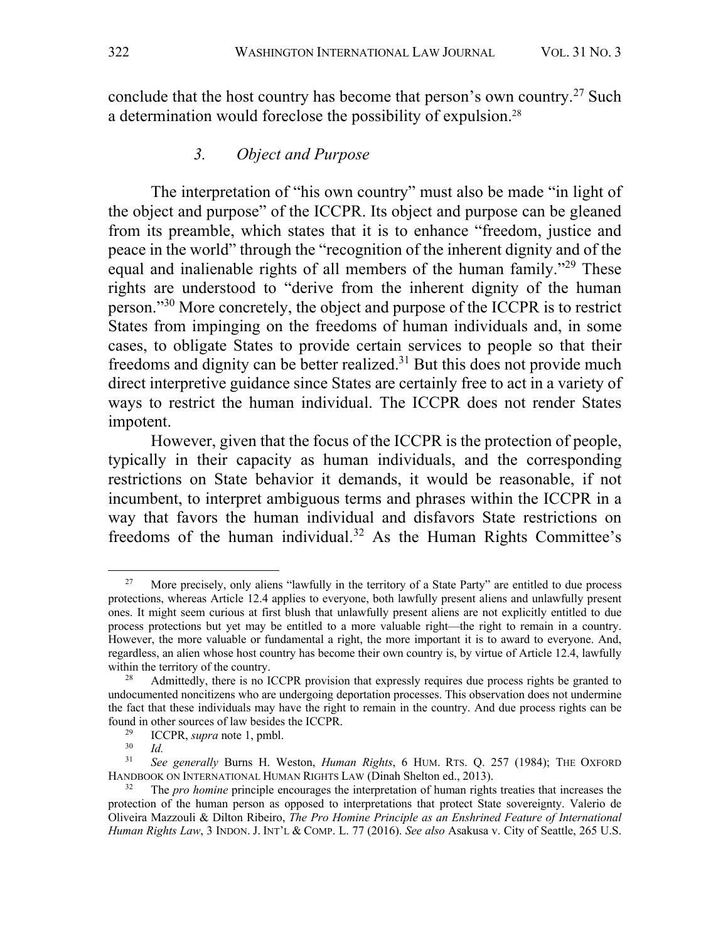conclude that the host country has become that person's own country.27 Such a determination would foreclose the possibility of expulsion.28

#### *3. Object and Purpose*

The interpretation of "his own country" must also be made "in light of the object and purpose" of the ICCPR. Its object and purpose can be gleaned from its preamble, which states that it is to enhance "freedom, justice and peace in the world" through the "recognition of the inherent dignity and of the equal and inalienable rights of all members of the human family."29 These rights are understood to "derive from the inherent dignity of the human person."30 More concretely, the object and purpose of the ICCPR is to restrict States from impinging on the freedoms of human individuals and, in some cases, to obligate States to provide certain services to people so that their freedoms and dignity can be better realized.<sup>31</sup> But this does not provide much direct interpretive guidance since States are certainly free to act in a variety of ways to restrict the human individual. The ICCPR does not render States impotent.

However, given that the focus of the ICCPR is the protection of people, typically in their capacity as human individuals, and the corresponding restrictions on State behavior it demands, it would be reasonable, if not incumbent, to interpret ambiguous terms and phrases within the ICCPR in a way that favors the human individual and disfavors State restrictions on freedoms of the human individual.<sup>32</sup> As the Human Rights Committee's

<sup>&</sup>lt;sup>27</sup> More precisely, only aliens "lawfully in the territory of a State Party" are entitled to due process protections, whereas Article 12.4 applies to everyone, both lawfully present aliens and unlawfully present ones. It might seem curious at first blush that unlawfully present aliens are not explicitly entitled to due process protections but yet may be entitled to a more valuable right—the right to remain in a country. However, the more valuable or fundamental a right, the more important it is to award to everyone. And, regardless, an alien whose host country has become their own country is, by virtue of Article 12.4, lawfully within the territory of the country.

<sup>&</sup>lt;sup>28</sup> Admittedly, there is no ICCPR provision that expressly requires due process rights be granted to undocumented noncitizens who are undergoing deportation processes. This observation does not undermine the fact that these individuals may have the right to remain in the country. And due process rights can be found in other sources of law besides the ICCPR.<br>
ICCPP suppose the lamble

<sup>&</sup>lt;sup>29</sup> ICCPR, *supra* note 1, pmbl.<br> $^{29}$  Id

 $rac{30}{31}$  *Id.* 

<sup>31</sup> *See generally* Burns H. Weston, *Human Rights*, 6 HUM. RTS. Q. 257 (1984); THE OXFORD HANDBOOK ON INTERNATIONAL HUMAN RIGHTS LAW (Dinah Shelton ed., 2013).

<sup>32</sup> The *pro homine* principle encourages the interpretation of human rights treaties that increases the protection of the human person as opposed to interpretations that protect State sovereignty. Valerio de Oliveira Mazzouli & Dilton Ribeiro, *The Pro Homine Principle as an Enshrined Feature of International Human Rights Law*, 3 INDON. J. INT'L & COMP. L. 77 (2016). *See also* Asakusa v. City of Seattle, 265 U.S.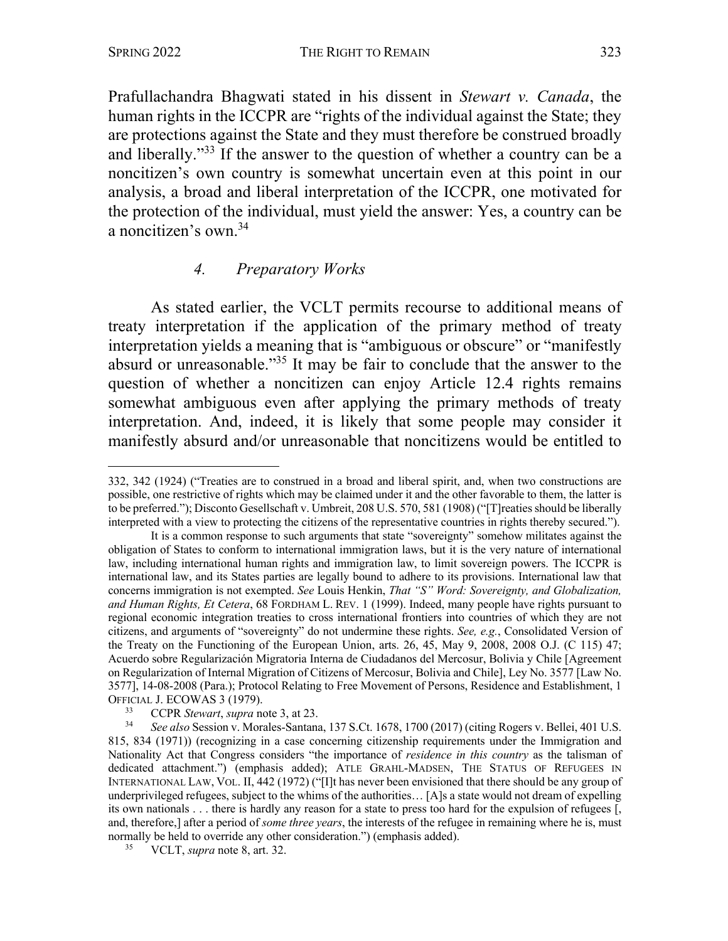Prafullachandra Bhagwati stated in his dissent in *Stewart v. Canada*, the human rights in the ICCPR are "rights of the individual against the State; they are protections against the State and they must therefore be construed broadly and liberally."33 If the answer to the question of whether a country can be a noncitizen's own country is somewhat uncertain even at this point in our analysis, a broad and liberal interpretation of the ICCPR, one motivated for the protection of the individual, must yield the answer: Yes, a country can be a noncitizen's own. 34

#### *4. Preparatory Works*

As stated earlier, the VCLT permits recourse to additional means of treaty interpretation if the application of the primary method of treaty interpretation yields a meaning that is "ambiguous or obscure" or "manifestly absurd or unreasonable."35 It may be fair to conclude that the answer to the question of whether a noncitizen can enjoy Article 12.4 rights remains somewhat ambiguous even after applying the primary methods of treaty interpretation. And, indeed, it is likely that some people may consider it manifestly absurd and/or unreasonable that noncitizens would be entitled to

<sup>332, 342 (1924) (&</sup>quot;Treaties are to construed in a broad and liberal spirit, and, when two constructions are possible, one restrictive of rights which may be claimed under it and the other favorable to them, the latter is to be preferred."); Disconto Gesellschaft v. Umbreit, 208 U.S. 570, 581 (1908) ("[T]reaties should be liberally interpreted with a view to protecting the citizens of the representative countries in rights thereby secured.").

It is a common response to such arguments that state "sovereignty" somehow militates against the obligation of States to conform to international immigration laws, but it is the very nature of international law, including international human rights and immigration law, to limit sovereign powers. The ICCPR is international law, and its States parties are legally bound to adhere to its provisions. International law that concerns immigration is not exempted. *See* Louis Henkin, *That "S" Word: Sovereignty, and Globalization, and Human Rights, Et Cetera*, 68 FORDHAM L. REV. 1 (1999). Indeed, many people have rights pursuant to regional economic integration treaties to cross international frontiers into countries of which they are not citizens, and arguments of "sovereignty" do not undermine these rights. *See, e.g.*, Consolidated Version of the Treaty on the Functioning of the European Union, arts. 26, 45, May 9, 2008, 2008 O.J. (C 115) 47; Acuerdo sobre Regularización Migratoria Interna de Ciudadanos del Mercosur, Bolivia y Chile [Agreement on Regularization of Internal Migration of Citizens of Mercosur, Bolivia and Chile], Ley No. 3577 [Law No. 3577], 14-08-2008 (Para.); Protocol Relating to Free Movement of Persons, Residence and Establishment, 1 OFFICIAL J. ECOWAS 3 (1979).

<sup>33</sup> CCPR *Stewart*, *supra* note 3, at 23.

<sup>34</sup> *See also* Session v. Morales-Santana, 137 S.Ct. 1678, 1700 (2017) (citing Rogers v. Bellei, 401 U.S. 815, 834 (1971)) (recognizing in a case concerning citizenship requirements under the Immigration and Nationality Act that Congress considers "the importance of *residence in this country* as the talisman of dedicated attachment.") (emphasis added); ATLE GRAHL-MADSEN, THE STATUS OF REFUGEES IN INTERNATIONAL LAW, VOL. II, 442 (1972) ("[I]t has never been envisioned that there should be any group of underprivileged refugees, subject to the whims of the authorities… [A]s a state would not dream of expelling its own nationals . . . there is hardly any reason for a state to press too hard for the expulsion of refugees [, and, therefore,] after a period of *some three years*, the interests of the refugee in remaining where he is, must normally be held to override any other consideration.") (emphasis added).

<sup>35</sup> VCLT, *supra* note 8, art. 32.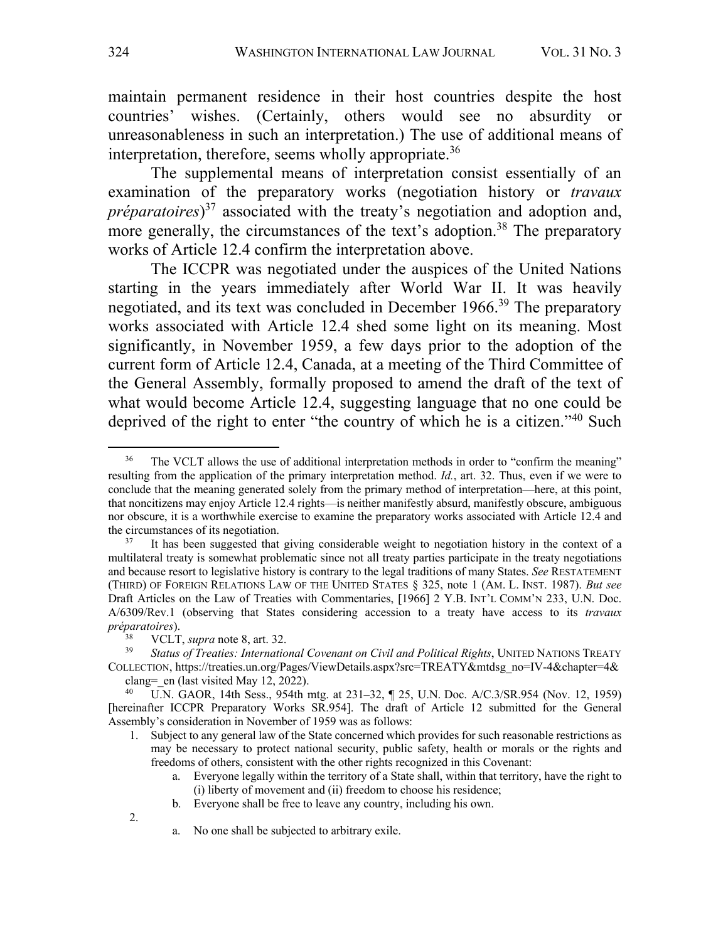maintain permanent residence in their host countries despite the host countries' wishes. (Certainly, others would see no absurdity or unreasonableness in such an interpretation.) The use of additional means of interpretation, therefore, seems wholly appropriate.<sup>36</sup>

The supplemental means of interpretation consist essentially of an examination of the preparatory works (negotiation history or *travaux préparatoires*) <sup>37</sup> associated with the treaty's negotiation and adoption and, more generally, the circumstances of the text's adoption.<sup>38</sup> The preparatory works of Article 12.4 confirm the interpretation above.

The ICCPR was negotiated under the auspices of the United Nations starting in the years immediately after World War II. It was heavily negotiated, and its text was concluded in December 1966.39 The preparatory works associated with Article 12.4 shed some light on its meaning. Most significantly, in November 1959, a few days prior to the adoption of the current form of Article 12.4, Canada, at a meeting of the Third Committee of the General Assembly, formally proposed to amend the draft of the text of what would become Article 12.4, suggesting language that no one could be deprived of the right to enter "the country of which he is a citizen."40 Such

<sup>&</sup>lt;sup>36</sup> The VCLT allows the use of additional interpretation methods in order to "confirm the meaning" resulting from the application of the primary interpretation method. *Id.*, art. 32. Thus, even if we were to conclude that the meaning generated solely from the primary method of interpretation—here, at this point, that noncitizens may enjoy Article 12.4 rights—is neither manifestly absurd, manifestly obscure, ambiguous nor obscure, it is a worthwhile exercise to examine the preparatory works associated with Article 12.4 and the circumstances of its negotiation.

It has been suggested that giving considerable weight to negotiation history in the context of a multilateral treaty is somewhat problematic since not all treaty parties participate in the treaty negotiations and because resort to legislative history is contrary to the legal traditions of many States. *See* RESTATEMENT (THIRD) OF FOREIGN RELATIONS LAW OF THE UNITED STATES § 325, note 1 (AM. L. INST. 1987). *But see* Draft Articles on the Law of Treaties with Commentaries, [1966] 2 Y.B. INT'L COMM'N 233, U.N. Doc. A/6309/Rev.1 (observing that States considering accession to a treaty have access to its *travaux préparatoires*).

<sup>38</sup> VCLT, *supra* note 8, art. 32.

<sup>&</sup>lt;sup>39</sup> *Status of Treaties: International Covenant on Civil and Political Rights*, UNITED NATIONS TREATY COLLECTION, https://treaties.un.org/Pages/ViewDetails.aspx?src=TREATY&mtdsg\_no=IV-4&chapter=4& clang= en (last visited May 12, 2022).

<sup>40</sup> U.N. GAOR, 14th Sess., 954th mtg. at 231–32, ¶ 25, U.N. Doc. A/C.3/SR.954 (Nov. 12, 1959) [hereinafter ICCPR Preparatory Works SR.954]. The draft of Article 12 submitted for the General Assembly's consideration in November of 1959 was as follows:

<sup>1.</sup> Subject to any general law of the State concerned which provides for such reasonable restrictions as may be necessary to protect national security, public safety, health or morals or the rights and freedoms of others, consistent with the other rights recognized in this Covenant:

a. Everyone legally within the territory of a State shall, within that territory, have the right to (i) liberty of movement and (ii) freedom to choose his residence;

b. Everyone shall be free to leave any country, including his own.

<sup>2.</sup>

a. No one shall be subjected to arbitrary exile.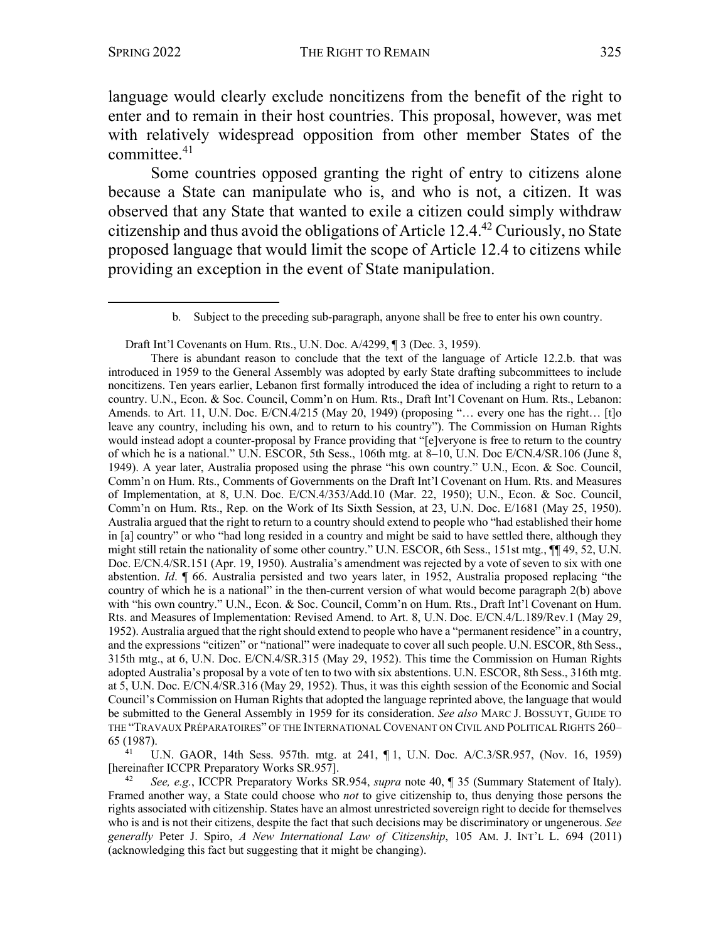language would clearly exclude noncitizens from the benefit of the right to enter and to remain in their host countries. This proposal, however, was met with relatively widespread opposition from other member States of the committee. $41$ 

Some countries opposed granting the right of entry to citizens alone because a State can manipulate who is, and who is not, a citizen. It was observed that any State that wanted to exile a citizen could simply withdraw citizenship and thus avoid the obligations of Article 12.4.42 Curiously, no State proposed language that would limit the scope of Article 12.4 to citizens while providing an exception in the event of State manipulation.

Draft Int'l Covenants on Hum. Rts., U.N. Doc. A/4299, ¶ 3 (Dec. 3, 1959).

There is abundant reason to conclude that the text of the language of Article 12.2.b. that was introduced in 1959 to the General Assembly was adopted by early State drafting subcommittees to include noncitizens. Ten years earlier, Lebanon first formally introduced the idea of including a right to return to a country. U.N., Econ. & Soc. Council, Comm'n on Hum. Rts., Draft Int'l Covenant on Hum. Rts., Lebanon: Amends. to Art. 11, U.N. Doc. E/CN.4/215 (May 20, 1949) (proposing "… every one has the right… [t]o leave any country, including his own, and to return to his country"). The Commission on Human Rights would instead adopt a counter-proposal by France providing that "[e]veryone is free to return to the country of which he is a national." U.N. ESCOR, 5th Sess., 106th mtg. at 8–10, U.N. Doc E/CN.4/SR.106 (June 8, 1949). A year later, Australia proposed using the phrase "his own country." U.N., Econ. & Soc. Council, Comm'n on Hum. Rts., Comments of Governments on the Draft Int'l Covenant on Hum. Rts. and Measures of Implementation, at 8, U.N. Doc. E/CN.4/353/Add.10 (Mar. 22, 1950); U.N., Econ. & Soc. Council, Comm'n on Hum. Rts., Rep. on the Work of Its Sixth Session, at 23, U.N. Doc. E/1681 (May 25, 1950). Australia argued that the right to return to a country should extend to people who "had established their home in [a] country" or who "had long resided in a country and might be said to have settled there, although they might still retain the nationality of some other country." U.N. ESCOR, 6th Sess., 151st mtg., ¶¶ 49, 52, U.N. Doc. E/CN.4/SR.151 (Apr. 19, 1950). Australia's amendment was rejected by a vote of seven to six with one abstention. *Id*. ¶ 66. Australia persisted and two years later, in 1952, Australia proposed replacing "the country of which he is a national" in the then-current version of what would become paragraph 2(b) above with "his own country." U.N., Econ. & Soc. Council, Comm'n on Hum. Rts., Draft Int'l Covenant on Hum. Rts. and Measures of Implementation: Revised Amend. to Art. 8, U.N. Doc. E/CN.4/L.189/Rev.1 (May 29, 1952). Australia argued that the right should extend to people who have a "permanent residence" in a country, and the expressions "citizen" or "national" were inadequate to cover all such people. U.N. ESCOR, 8th Sess., 315th mtg., at 6, U.N. Doc. E/CN.4/SR.315 (May 29, 1952). This time the Commission on Human Rights adopted Australia's proposal by a vote of ten to two with six abstentions. U.N. ESCOR, 8th Sess., 316th mtg. at 5, U.N. Doc. E/CN.4/SR.316 (May 29, 1952). Thus, it was this eighth session of the Economic and Social Council's Commission on Human Rights that adopted the language reprinted above, the language that would be submitted to the General Assembly in 1959 for its consideration. *See also* MARC J. BOSSUYT, GUIDE TO THE "TRAVAUX PRÉPARATOIRES" OF THE INTERNATIONAL COVENANT ON CIVIL AND POLITICAL RIGHTS 260– 65 (1987).

<sup>41</sup> U.N. GAOR, 14th Sess. 957th. mtg. at 241, ¶ 1, U.N. Doc. A/C.3/SR.957, (Nov. 16, 1959) [hereinafter ICCPR Preparatory Works SR.957].

<sup>42</sup> *See, e.g.*, ICCPR Preparatory Works SR.954, *supra* note 40, ¶ 35 (Summary Statement of Italy). Framed another way, a State could choose who *not* to give citizenship to, thus denying those persons the rights associated with citizenship. States have an almost unrestricted sovereign right to decide for themselves who is and is not their citizens, despite the fact that such decisions may be discriminatory or ungenerous. *See generally* Peter J. Spiro, *A New International Law of Citizenship*, 105 AM. J. INT'L L. 694 (2011) (acknowledging this fact but suggesting that it might be changing).

b. Subject to the preceding sub-paragraph, anyone shall be free to enter his own country.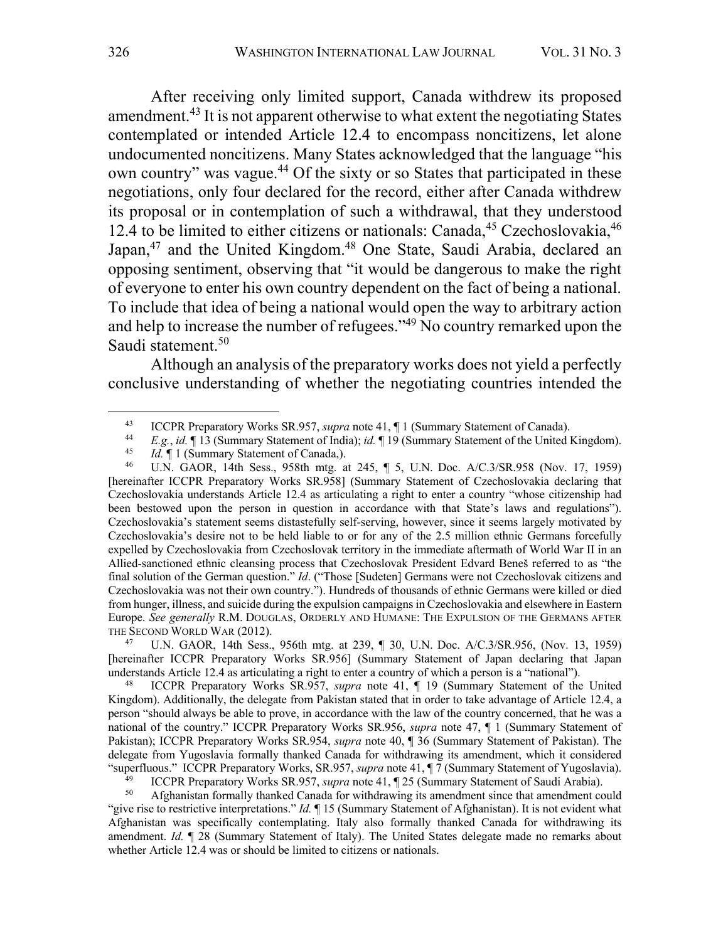After receiving only limited support, Canada withdrew its proposed amendment.43 It is not apparent otherwise to what extent the negotiating States contemplated or intended Article 12.4 to encompass noncitizens, let alone undocumented noncitizens. Many States acknowledged that the language "his own country" was vague.<sup>44</sup> Of the sixty or so States that participated in these negotiations, only four declared for the record, either after Canada withdrew its proposal or in contemplation of such a withdrawal, that they understood 12.4 to be limited to either citizens or nationals: Canada,  $45$  Czechoslovakia,  $46$ Japan,<sup>47</sup> and the United Kingdom.<sup>48</sup> One State, Saudi Arabia, declared an opposing sentiment, observing that "it would be dangerous to make the right of everyone to enter his own country dependent on the fact of being a national. To include that idea of being a national would open the way to arbitrary action and help to increase the number of refugees."49 No country remarked upon the Saudi statement.<sup>50</sup>

Although an analysis of the preparatory works does not yield a perfectly conclusive understanding of whether the negotiating countries intended the

<sup>47</sup> U.N. GAOR, 14th Sess., 956th mtg. at 239, ¶ 30, U.N. Doc. A/C.3/SR.956, (Nov. 13, 1959) [hereinafter ICCPR Preparatory Works SR.956] (Summary Statement of Japan declaring that Japan understands Article 12.4 as articulating a right to enter a country of which a person is a "national").

<sup>48</sup> ICCPR Preparatory Works SR.957, *supra* note 41, ¶ 19 (Summary Statement of the United Kingdom). Additionally, the delegate from Pakistan stated that in order to take advantage of Article 12.4, a person "should always be able to prove, in accordance with the law of the country concerned, that he was a national of the country." ICCPR Preparatory Works SR.956, *supra* note 47, ¶ 1 (Summary Statement of Pakistan); ICCPR Preparatory Works SR.954, *supra* note 40, ¶ 36 (Summary Statement of Pakistan). The delegate from Yugoslavia formally thanked Canada for withdrawing its amendment, which it considered "superfluous." ICCPR Preparatory Works, SR.957, *supra* note 41, ¶ 7 (Summary Statement of Yugoslavia). 49 ICCPR Preparatory Works SR.957, *supra* note 41, ¶ 25 (Summary Statement of Saudi Arabia).

<sup>43</sup> ICCPR Preparatory Works SR.957, *supra* note 41, ¶ 1 (Summary Statement of Canada). 44 *E.g.*, *id.* ¶ 13 (Summary Statement of India); *id.* ¶ 19 (Summary Statement of the United Kingdom).

<sup>&</sup>lt;sup>45</sup> *Id.*  $\parallel$  1 (Summary Statement of Canada,).

<sup>46</sup> U.N. GAOR, 14th Sess., 958th mtg. at 245, ¶ 5, U.N. Doc. A/C.3/SR.958 (Nov. 17, 1959) [hereinafter ICCPR Preparatory Works SR.958] (Summary Statement of Czechoslovakia declaring that Czechoslovakia understands Article 12.4 as articulating a right to enter a country "whose citizenship had been bestowed upon the person in question in accordance with that State's laws and regulations"). Czechoslovakia's statement seems distastefully self-serving, however, since it seems largely motivated by Czechoslovakia's desire not to be held liable to or for any of the 2.5 million ethnic Germans forcefully expelled by Czechoslovakia from Czechoslovak territory in the immediate aftermath of World War II in an Allied-sanctioned ethnic cleansing process that Czechoslovak President Edvard Beneš referred to as "the final solution of the German question." *Id*. ("Those [Sudeten] Germans were not Czechoslovak citizens and Czechoslovakia was not their own country."). Hundreds of thousands of ethnic Germans were killed or died from hunger, illness, and suicide during the expulsion campaigns in Czechoslovakia and elsewhere in Eastern Europe. *See generally* R.M. DOUGLAS, ORDERLY AND HUMANE: THE EXPULSION OF THE GERMANS AFTER THE SECOND WORLD WAR (2012).

<sup>50</sup> Afghanistan formally thanked Canada for withdrawing its amendment since that amendment could "give rise to restrictive interpretations." *Id.* ¶ 15 (Summary Statement of Afghanistan). It is not evident what Afghanistan was specifically contemplating. Italy also formally thanked Canada for withdrawing its amendment. *Id.* ¶ 28 (Summary Statement of Italy). The United States delegate made no remarks about whether Article 12.4 was or should be limited to citizens or nationals.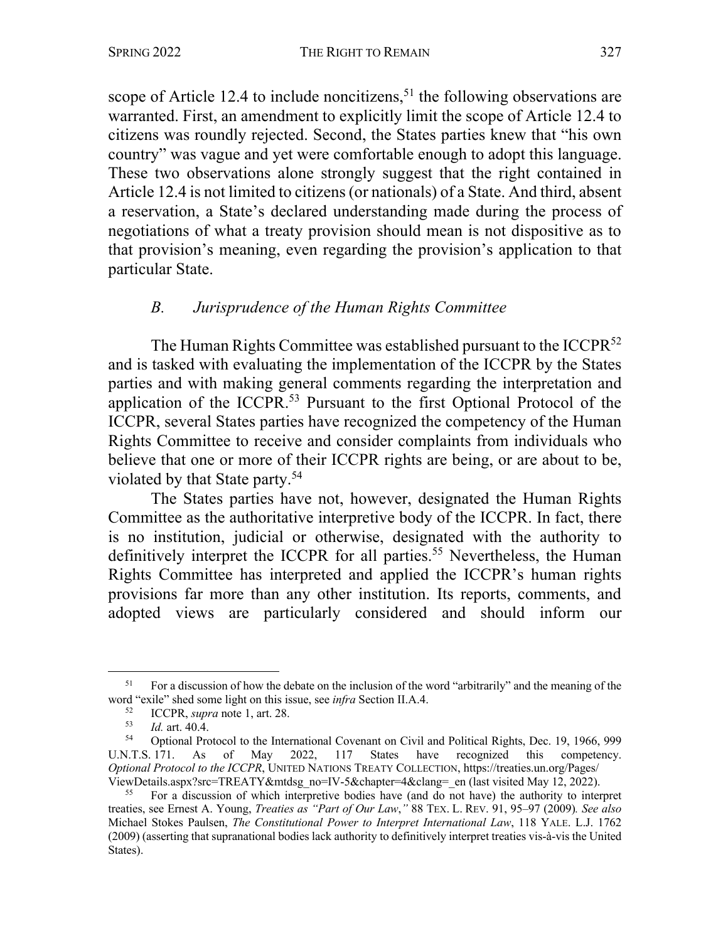scope of Article 12.4 to include noncitizens,<sup>51</sup> the following observations are warranted. First, an amendment to explicitly limit the scope of Article 12.4 to citizens was roundly rejected. Second, the States parties knew that "his own country" was vague and yet were comfortable enough to adopt this language. These two observations alone strongly suggest that the right contained in Article 12.4 is not limited to citizens (or nationals) of a State. And third, absent a reservation, a State's declared understanding made during the process of negotiations of what a treaty provision should mean is not dispositive as to that provision's meaning, even regarding the provision's application to that particular State.

#### *B. Jurisprudence of the Human Rights Committee*

The Human Rights Committee was established pursuant to the ICCPR<sup>52</sup> and is tasked with evaluating the implementation of the ICCPR by the States parties and with making general comments regarding the interpretation and application of the ICCPR.53 Pursuant to the first Optional Protocol of the ICCPR, several States parties have recognized the competency of the Human Rights Committee to receive and consider complaints from individuals who believe that one or more of their ICCPR rights are being, or are about to be, violated by that State party.54

The States parties have not, however, designated the Human Rights Committee as the authoritative interpretive body of the ICCPR. In fact, there is no institution, judicial or otherwise, designated with the authority to definitively interpret the ICCPR for all parties.<sup>55</sup> Nevertheless, the Human Rights Committee has interpreted and applied the ICCPR's human rights provisions far more than any other institution. Its reports, comments, and adopted views are particularly considered and should inform our

<sup>&</sup>lt;sup>51</sup> For a discussion of how the debate on the inclusion of the word "arbitrarily" and the meaning of the word "exile" shed some light on this issue, see *infra* Section II.A.4.

 $^{52}$  ICCPR, *supra* note 1, art. 28.<br> $^{53}$  Id art 40 4

 $\frac{53}{54}$  *Id.* art. 40.4.

Optional Protocol to the International Covenant on Civil and Political Rights, Dec. 19, 1966, 999<br>171. As of May 2022, 117 States have recognized this competency. U.N.T.S. 171. As of May 2022, 117 States have recognized this competency. *Optional Protocol to the ICCPR*, UNITED NATIONS TREATY COLLECTION, https://treaties.un.org/Pages/ ViewDetails.aspx?src=TREATY&mtdsg\_no=IV-5&chapter=4&clang=\_en (last visited May 12, 2022).

<sup>55</sup> For a discussion of which interpretive bodies have (and do not have) the authority to interpret treaties, see Ernest A. Young, *Treaties as "Part of Our Law*,*"* 88 TEX. L. REV. 91, 95–97 (2009)*. See also* Michael Stokes Paulsen, *The Constitutional Power to Interpret International Law*, 118 YALE. L.J. 1762 (2009) (asserting that supranational bodies lack authority to definitively interpret treaties vis-à-vis the United States).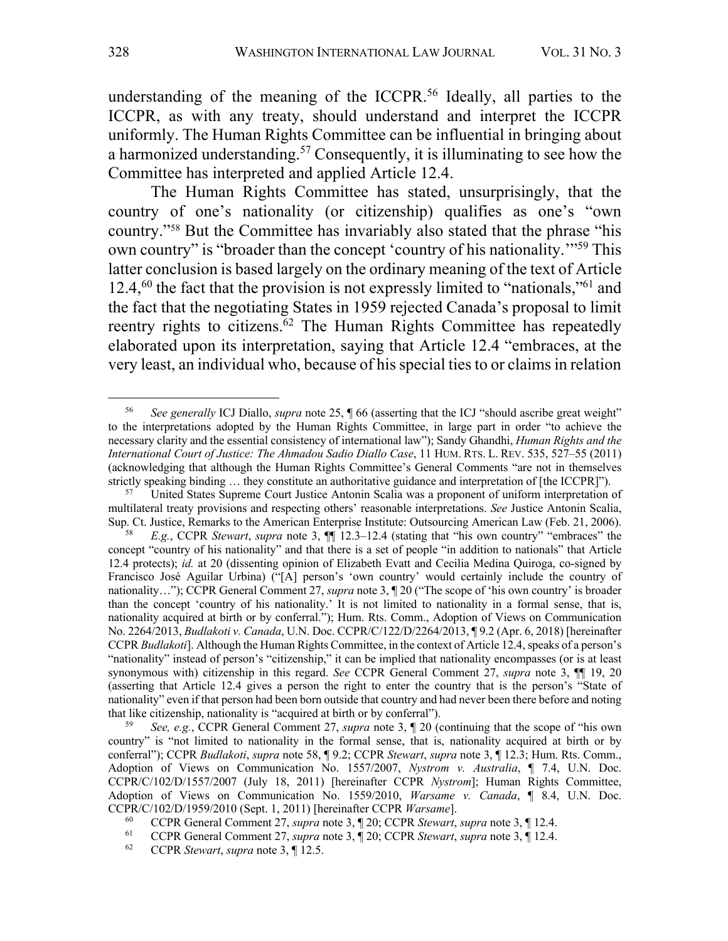understanding of the meaning of the ICCPR.<sup>56</sup> Ideally, all parties to the ICCPR, as with any treaty, should understand and interpret the ICCPR uniformly. The Human Rights Committee can be influential in bringing about a harmonized understanding.57 Consequently, it is illuminating to see how the Committee has interpreted and applied Article 12.4.

The Human Rights Committee has stated, unsurprisingly, that the country of one's nationality (or citizenship) qualifies as one's "own country."58 But the Committee has invariably also stated that the phrase "his own country" is "broader than the concept 'country of his nationality.'"59 This latter conclusion is based largely on the ordinary meaning of the text of Article 12.4, $^{60}$  the fact that the provision is not expressly limited to "nationals,"<sup>61</sup> and the fact that the negotiating States in 1959 rejected Canada's proposal to limit reentry rights to citizens.62 The Human Rights Committee has repeatedly elaborated upon its interpretation, saying that Article 12.4 "embraces, at the very least, an individual who, because of his special ties to or claims in relation

<sup>56</sup> *See generally* ICJ Diallo, *supra* note 25, ¶ 66 (asserting that the ICJ "should ascribe great weight" to the interpretations adopted by the Human Rights Committee, in large part in order "to achieve the necessary clarity and the essential consistency of international law"); Sandy Ghandhi, *Human Rights and the International Court of Justice: The Ahmadou Sadio Diallo Case*, 11 HUM. RTS. L. REV. 535, 527–55 (2011) (acknowledging that although the Human Rights Committee's General Comments "are not in themselves strictly speaking binding ... they constitute an authoritative guidance and interpretation of [the ICCPR]").

United States Supreme Court Justice Antonin Scalia was a proponent of uniform interpretation of multilateral treaty provisions and respecting others' reasonable interpretations. *See* Justice Antonin Scalia, Sup. Ct. Justice, Remarks to the American Enterprise Institute: Outsourcing American Law (Feb. 21, 2006).

<sup>58</sup> *E.g.*, CCPR *Stewart*, *supra* note 3, ¶¶ 12.3–12.4 (stating that "his own country" "embraces" the concept "country of his nationality" and that there is a set of people "in addition to nationals" that Article 12.4 protects); *id.* at 20 (dissenting opinion of Elizabeth Evatt and Cecilia Medina Quiroga, co-signed by Francisco José Aguilar Urbina) ("[A] person's 'own country' would certainly include the country of nationality…"); CCPR General Comment 27, *supra* note 3, ¶ 20 ("The scope of 'his own country' is broader than the concept 'country of his nationality.' It is not limited to nationality in a formal sense, that is, nationality acquired at birth or by conferral."); Hum. Rts. Comm., Adoption of Views on Communication No. 2264/2013, *Budlakoti v. Canada*, U.N. Doc. CCPR/C/122/D/2264/2013, ¶ 9.2 (Apr. 6, 2018) [hereinafter CCPR *Budlakoti*]. Although the Human Rights Committee, in the context of Article 12.4, speaks of a person's "nationality" instead of person's "citizenship," it can be implied that nationality encompasses (or is at least synonymous with) citizenship in this regard. *See* CCPR General Comment 27, *supra* note 3, ¶¶ 19, 20 (asserting that Article 12.4 gives a person the right to enter the country that is the person's "State of nationality" even if that person had been born outside that country and had never been there before and noting that like citizenship, nationality is "acquired at birth or by conferral").

<sup>59</sup> *See, e.g.*, CCPR General Comment 27, *supra* note 3, ¶ 20 (continuing that the scope of "his own country" is "not limited to nationality in the formal sense, that is, nationality acquired at birth or by conferral"); CCPR *Budlakoti*, *supra* note 58, ¶ 9.2; CCPR *Stewart*, *supra* note 3, ¶ 12.3; Hum. Rts. Comm., Adoption of Views on Communication No. 1557/2007, *Nystrom v. Australia*, ¶ 7.4, U.N. Doc. CCPR/C/102/D/1557/2007 (July 18, 2011) [hereinafter CCPR *Nystrom*]; Human Rights Committee, Adoption of Views on Communication No. 1559/2010, *Warsame v. Canada*, ¶ 8.4, U.N. Doc. CCPR/C/102/D/1959/2010 (Sept. 1, 2011) [hereinafter CCPR *Warsame*].

<sup>60</sup> CCPR General Comment 27, *supra* note 3, ¶ 20; CCPR *Stewart*, *supra* note 3, ¶ 12.4.

<sup>61</sup> CCPR General Comment 27, *supra* note 3, ¶ 20; CCPR *Stewart*, *supra* note 3, ¶ 12.4.

<sup>62</sup> CCPR *Stewart*, *supra* note 3, ¶ 12.5.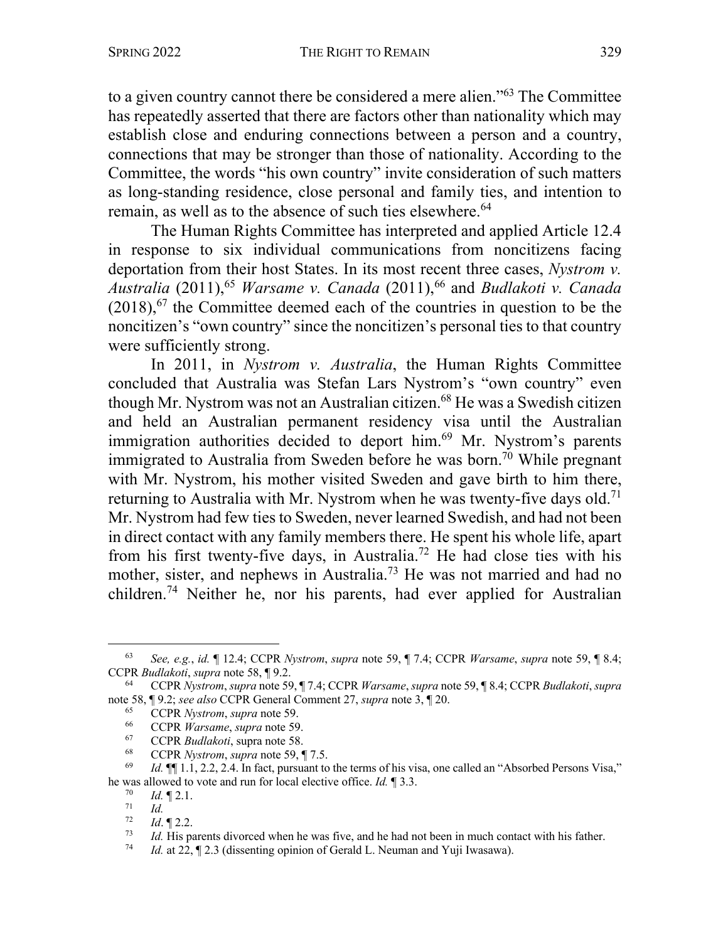to a given country cannot there be considered a mere alien."63 The Committee has repeatedly asserted that there are factors other than nationality which may establish close and enduring connections between a person and a country, connections that may be stronger than those of nationality. According to the Committee, the words "his own country" invite consideration of such matters as long-standing residence, close personal and family ties, and intention to remain, as well as to the absence of such ties elsewhere.<sup>64</sup>

The Human Rights Committee has interpreted and applied Article 12.4 in response to six individual communications from noncitizens facing deportation from their host States. In its most recent three cases, *Nystrom v. Australia* (2011),65 *Warsame v. Canada* (2011),66 and *Budlakoti v. Canada*  $(2018)$ , <sup>67</sup> the Committee deemed each of the countries in question to be the noncitizen's "own country" since the noncitizen's personal ties to that country were sufficiently strong.

In 2011, in *Nystrom v. Australia*, the Human Rights Committee concluded that Australia was Stefan Lars Nystrom's "own country" even though Mr. Nystrom was not an Australian citizen.<sup>68</sup> He was a Swedish citizen and held an Australian permanent residency visa until the Australian immigration authorities decided to deport him.<sup>69</sup> Mr. Nystrom's parents immigrated to Australia from Sweden before he was born.<sup>70</sup> While pregnant with Mr. Nystrom, his mother visited Sweden and gave birth to him there, returning to Australia with Mr. Nystrom when he was twenty-five days old.<sup>71</sup> Mr. Nystrom had few ties to Sweden, never learned Swedish, and had not been in direct contact with any family members there. He spent his whole life, apart from his first twenty-five days, in Australia.72 He had close ties with his mother, sister, and nephews in Australia.<sup>73</sup> He was not married and had no children.74 Neither he, nor his parents, had ever applied for Australian

 $\frac{70}{71}$  *Id.* 12.1.

<sup>63</sup> *See, e.g.*, *id.* ¶ 12.4; CCPR *Nystrom*, *supra* note 59, ¶ 7.4; CCPR *Warsame*, *supra* note 59, ¶ 8.4; CCPR *Budlakoti*, *supra* note 58, ¶ 9.2.

<sup>64</sup> CCPR *Nystrom*, *supra* note 59, ¶ 7.4; CCPR *Warsame*, *supra* note 59, ¶ 8.4; CCPR *Budlakoti*, *supra*  note 58, ¶ 9.2; *see also* CCPR General Comment 27, *supra* note 3, ¶ 20.<br><sup>65</sup> CCPR *Nystrom*, *supra* note 59.<br><sup>66</sup> CCPR *Warsame*, *supra* note 59.

<sup>66</sup> CCPR *Warsame*, *supra* note 59.

<sup>&</sup>lt;sup>67</sup> CCPR *Budlakoti*, supra note 58.<br><sup>68</sup> CCPR *Nystrom*, supra note 59.

<sup>68</sup> CCPR *Nystrom*, *supra* note 59, ¶ 7.5.

*Id.*  $\P$ [1.1, 2.2, 2.4. In fact, pursuant to the terms of his visa, one called an "Absorbed Persons Visa," he was allowed to vote and run for local elective office. *Id.* ¶ 3.3.

<sup>71</sup> *Id.*

 $\frac{72}{73}$  *Id.* 12.2.

<sup>73</sup> *Id.* His parents divorced when he was five, and he had not been in much contact with his father.<br>74 *Id.* at 22. **4** 2.3 (dissenting opinion of Gerald L. Neuman and Yuji Iwasawa).

*Id.* at 22,  $\sqrt{2}$  2.3 (dissenting opinion of Gerald L. Neuman and Yuji Iwasawa).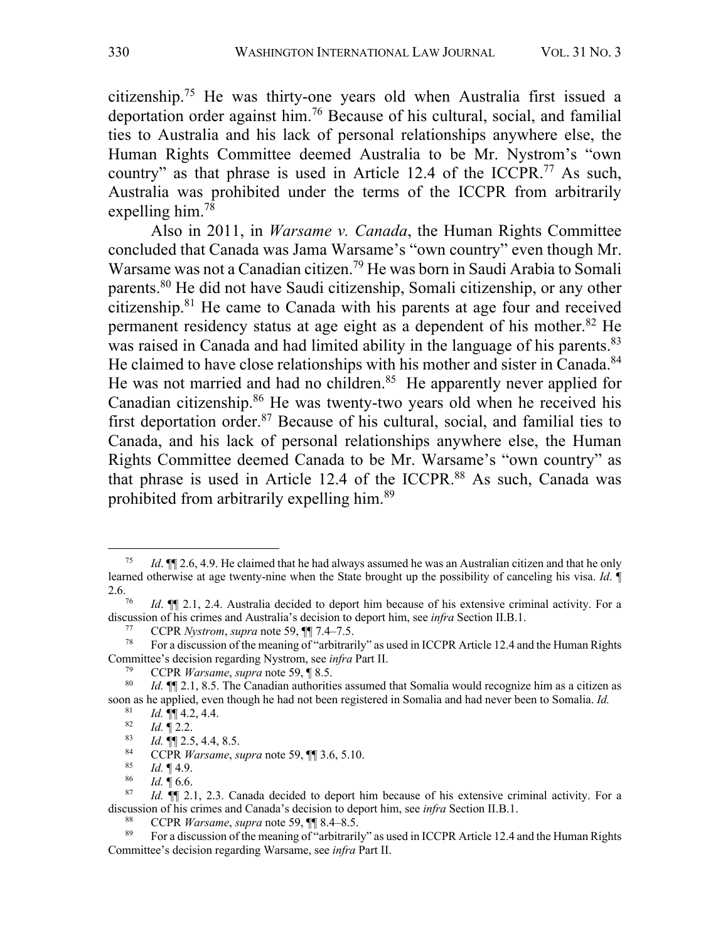citizenship.75 He was thirty-one years old when Australia first issued a deportation order against him.76 Because of his cultural, social, and familial ties to Australia and his lack of personal relationships anywhere else, the Human Rights Committee deemed Australia to be Mr. Nystrom's "own country" as that phrase is used in Article 12.4 of the ICCPR.<sup>77</sup> As such, Australia was prohibited under the terms of the ICCPR from arbitrarily expelling him.78

Also in 2011, in *Warsame v. Canada*, the Human Rights Committee concluded that Canada was Jama Warsame's "own country" even though Mr. Warsame was not a Canadian citizen.<sup>79</sup> He was born in Saudi Arabia to Somali parents.80 He did not have Saudi citizenship, Somali citizenship, or any other citizenship.81 He came to Canada with his parents at age four and received permanent residency status at age eight as a dependent of his mother.82 He was raised in Canada and had limited ability in the language of his parents.<sup>83</sup> He claimed to have close relationships with his mother and sister in Canada.<sup>84</sup> He was not married and had no children.<sup>85</sup> He apparently never applied for Canadian citizenship.<sup>86</sup> He was twenty-two years old when he received his first deportation order.<sup>87</sup> Because of his cultural, social, and familial ties to Canada, and his lack of personal relationships anywhere else, the Human Rights Committee deemed Canada to be Mr. Warsame's "own country" as that phrase is used in Article 12.4 of the ICCPR.<sup>88</sup> As such, Canada was prohibited from arbitrarily expelling him.89

<sup>75</sup> *Id*. ¶¶ 2.6, 4.9. He claimed that he had always assumed he was an Australian citizen and that he only learned otherwise at age twenty-nine when the State brought up the possibility of canceling his visa. *Id*. ¶ 2.6.<br><sup>76</sup> *Id*. ¶¶ 2.1, 2.4. Australia decided to deport him because of his extensive criminal activity. For a

discussion of his crimes and Australia's decision to deport him, see *infra* Section II.B.1.

<sup>&</sup>lt;sup>77</sup> CCPR *Nystrom*, *supra* note 59,  $\P$  7.4–7.5.<br><sup>78</sup> For a discussion of the meaning of "arbitrar"

<sup>78</sup> For a discussion of the meaning of "arbitrarily" as used in ICCPR Article 12.4 and the Human Rights Committee's decision regarding Nystrom, see *infra* Part II.

<sup>79</sup> CCPR *Warsame*, *supra* note 59, ¶ 8.5.

*Id.*  $\P$  2.1, 8.5. The Canadian authorities assumed that Somalia would recognize him as a citizen as soon as he applied, even though he had not been registered in Somalia and had never been to Somalia. *Id.*

 $\frac{81}{82}$  *Id.*  $\P\P$  4.2, 4.4.

 $\frac{82}{83}$  *Id.* 12.2.

<sup>83</sup> *Id.* ¶¶ 2.5, 4.4, 8.5.

<sup>84</sup> CCPR *Warsame*, *supra* note 59,  $\P$  3.6, 5.10.<br><sup>85</sup> *L*<sub>1</sub>  $\P$  4.9

 $\begin{array}{cc} 85 & Id. \ \ \frac{1}{4} & 4.9. \ \end{array}$ 

 $\frac{86}{87}$  *Id.*  $\sqrt{\frac{66}{16}}$ 

*Id.*  $\P$  2.1, 2.3. Canada decided to deport him because of his extensive criminal activity. For a discussion of his crimes and Canada's decision to deport him, see *infra* Section II.B.1.

<sup>88</sup> CCPR *Warsame*, *supra* note 59,  $\P$  8.4–8.5.<br><sup>89</sup> Equal discussion of the meaning of "arbitraril"

<sup>89</sup> For a discussion of the meaning of "arbitrarily" as used in ICCPR Article 12.4 and the Human Rights Committee's decision regarding Warsame, see *infra* Part II.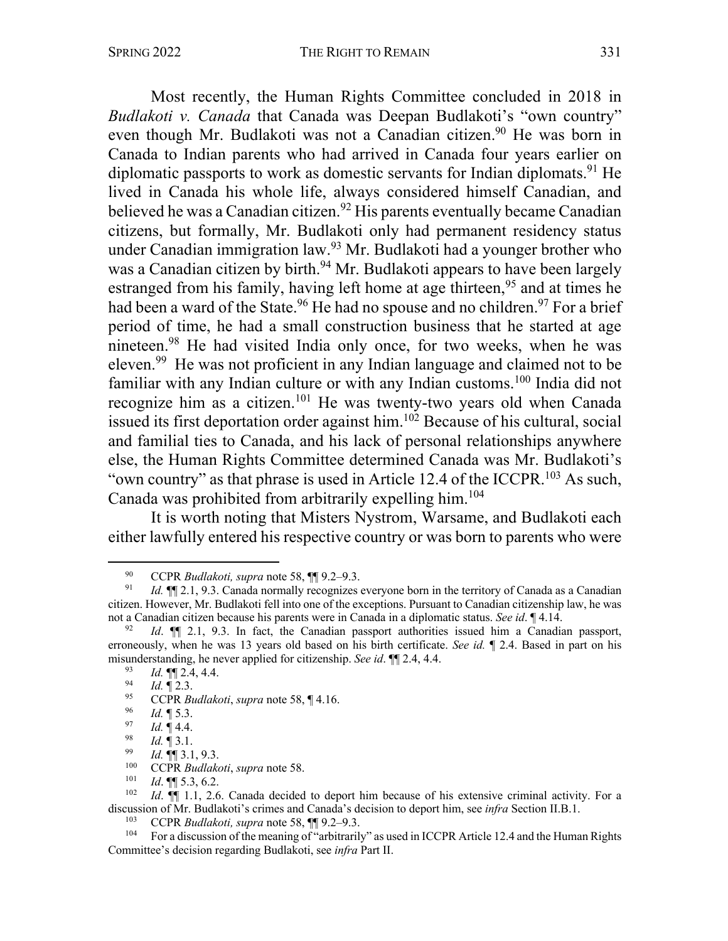Most recently, the Human Rights Committee concluded in 2018 in *Budlakoti v. Canada* that Canada was Deepan Budlakoti's "own country" even though Mr. Budlakoti was not a Canadian citizen.<sup>90</sup> He was born in Canada to Indian parents who had arrived in Canada four years earlier on diplomatic passports to work as domestic servants for Indian diplomats.<sup>91</sup> He lived in Canada his whole life, always considered himself Canadian, and believed he was a Canadian citizen.<sup>92</sup> His parents eventually became Canadian citizens, but formally, Mr. Budlakoti only had permanent residency status under Canadian immigration law.93 Mr. Budlakoti had a younger brother who was a Canadian citizen by birth.<sup>94</sup> Mr. Budlakoti appears to have been largely estranged from his family, having left home at age thirteen,<sup>95</sup> and at times he had been a ward of the State.<sup>96</sup> He had no spouse and no children.<sup>97</sup> For a brief period of time, he had a small construction business that he started at age nineteen.98 He had visited India only once, for two weeks, when he was eleven.99 He was not proficient in any Indian language and claimed not to be familiar with any Indian culture or with any Indian customs.<sup>100</sup> India did not recognize him as a citizen.101 He was twenty-two years old when Canada issued its first deportation order against him. <sup>102</sup> Because of his cultural, social and familial ties to Canada, and his lack of personal relationships anywhere else, the Human Rights Committee determined Canada was Mr. Budlakoti's "own country" as that phrase is used in Article 12.4 of the ICCPR.103 As such, Canada was prohibited from arbitrarily expelling him.<sup>104</sup>

It is worth noting that Misters Nystrom, Warsame, and Budlakoti each either lawfully entered his respective country or was born to parents who were

<sup>90</sup> CCPR *Budlakoti, supra* note 58,  $\[\mathbb{I}]$  9.2–9.3.<br>91 *Id*  $\[\mathbb{I}]$  9.3 Canada normally recognizes

*Id.*  $\P$  2.1, 9.3. Canada normally recognizes everyone born in the territory of Canada as a Canadian citizen. However, Mr. Budlakoti fell into one of the exceptions. Pursuant to Canadian citizenship law, he was not a Canadian citizen because his parents were in Canada in a diplomatic status. *See id*. ¶ 4.14.

<sup>92</sup> *Id*. ¶¶ 2.1, 9.3. In fact, the Canadian passport authorities issued him a Canadian passport, erroneously, when he was 13 years old based on his birth certificate. *See id.* ¶ 2.4. Based in part on his misunderstanding, he never applied for citizenship. *See id*. ¶¶ 2.4, 4.4.

 $\frac{93}{94}$  *Id.*  $\P$  2.4, 4.4.

 $\frac{94}{95}$  *Id.* 12.3.

<sup>95</sup> CCPR *Budlakoti*, *supra* note 58, ¶ 4.16.<br>96 *Id* **II** 5.3

 $\frac{96}{97}$  *Id.* 15.3.

 $\frac{97}{98}$  *Id.* 14.4.

 $\frac{98}{99}$  *Id.* 13.1.

<sup>99</sup> *Id.* ¶¶ 3.1, 9.3.

<sup>100</sup> CCPR *Budlakoti*, *supra* note 58.

 $\frac{101}{102}$  *Id*. **[1]** 5.3, 6.2.<br> $\frac{102}{1}$  *Id* **11** 2.6

*Id.*  $\P$  1.1, 2.6. Canada decided to deport him because of his extensive criminal activity. For a discussion of Mr. Budlakoti's crimes and Canada's decision to deport him, see *infra* Section II.B.1.

<sup>&</sup>lt;sup>103</sup> CCPR *Budlakoti, supra* note 58,  $\P$  9.2–9.3.<br><sup>104</sup> For a discussion of the meaning of "arbitraril"

For a discussion of the meaning of "arbitrarily" as used in ICCPR Article 12.4 and the Human Rights Committee's decision regarding Budlakoti, see *infra* Part II.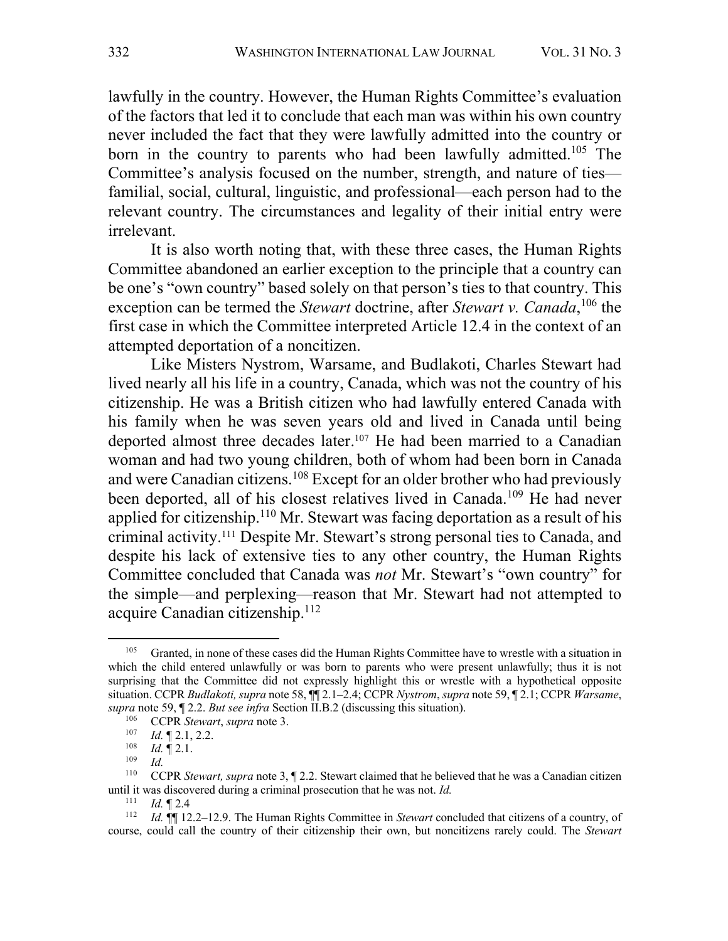lawfully in the country. However, the Human Rights Committee's evaluation of the factors that led it to conclude that each man was within his own country never included the fact that they were lawfully admitted into the country or born in the country to parents who had been lawfully admitted.<sup>105</sup> The Committee's analysis focused on the number, strength, and nature of ties familial, social, cultural, linguistic, and professional—each person had to the relevant country. The circumstances and legality of their initial entry were irrelevant.

It is also worth noting that, with these three cases, the Human Rights Committee abandoned an earlier exception to the principle that a country can be one's "own country" based solely on that person's ties to that country. This exception can be termed the *Stewart* doctrine, after *Stewart v. Canada*, <sup>106</sup> the first case in which the Committee interpreted Article 12.4 in the context of an attempted deportation of a noncitizen.

Like Misters Nystrom, Warsame, and Budlakoti, Charles Stewart had lived nearly all his life in a country, Canada, which was not the country of his citizenship. He was a British citizen who had lawfully entered Canada with his family when he was seven years old and lived in Canada until being deported almost three decades later. <sup>107</sup> He had been married to a Canadian woman and had two young children, both of whom had been born in Canada and were Canadian citizens.<sup>108</sup> Except for an older brother who had previously been deported, all of his closest relatives lived in Canada.<sup>109</sup> He had never applied for citizenship.<sup>110</sup> Mr. Stewart was facing deportation as a result of his criminal activity.111 Despite Mr. Stewart's strong personal ties to Canada, and despite his lack of extensive ties to any other country, the Human Rights Committee concluded that Canada was *not* Mr. Stewart's "own country" for the simple—and perplexing—reason that Mr. Stewart had not attempted to acquire Canadian citizenship.112

<sup>&</sup>lt;sup>105</sup> Granted, in none of these cases did the Human Rights Committee have to wrestle with a situation in which the child entered unlawfully or was born to parents who were present unlawfully; thus it is not surprising that the Committee did not expressly highlight this or wrestle with a hypothetical opposite situation. CCPR *Budlakoti, supra* note 58, ¶¶ 2.1–2.4; CCPR *Nystrom*, *supra* note 59, ¶ 2.1; CCPR *Warsame*, *supra* note 59, ¶ 2.2. *But see infra* Section II.B.2 (discussing this situation).

<sup>&</sup>lt;sup>106</sup> CCPR *Stewart*, *supra* note 3.<br><sup>107</sup> *Id* **T** 2 1 2 2

*Id.* 12.1, 2.2.

<sup>108</sup> *Id.* ¶ 2.1.

<sup>109</sup> *Id.*

<sup>&</sup>lt;sup>110</sup> CCPR *Stewart, supra* note 3, ¶ 2.2. Stewart claimed that he believed that he was a Canadian citizen until it was discovered during a criminal prosecution that he was not. *Id.*  $\frac{111}{11}$  *Id* **I** 2 *A* 

*Id.* 12.4

<sup>112</sup> *Id.* ¶¶ 12.2–12.9. The Human Rights Committee in *Stewart* concluded that citizens of a country, of course, could call the country of their citizenship their own, but noncitizens rarely could. The *Stewart*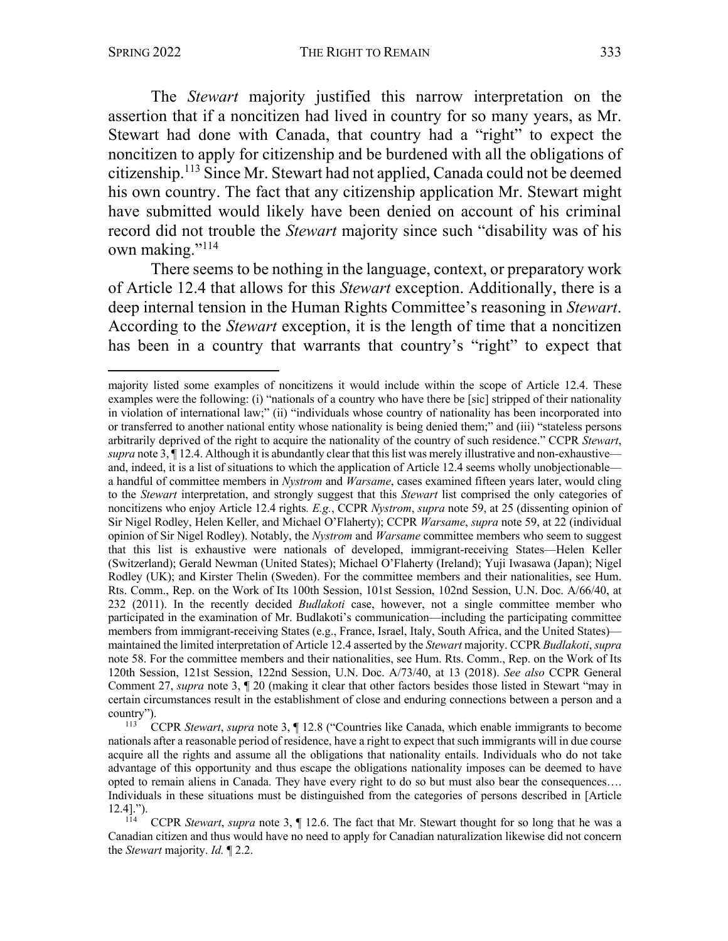The *Stewart* majority justified this narrow interpretation on the assertion that if a noncitizen had lived in country for so many years, as Mr. Stewart had done with Canada, that country had a "right" to expect the noncitizen to apply for citizenship and be burdened with all the obligations of citizenship.113 Since Mr. Stewart had not applied, Canada could not be deemed his own country. The fact that any citizenship application Mr. Stewart might have submitted would likely have been denied on account of his criminal record did not trouble the *Stewart* majority since such "disability was of his own making."<sup>114</sup>

There seems to be nothing in the language, context, or preparatory work of Article 12.4 that allows for this *Stewart* exception. Additionally, there is a deep internal tension in the Human Rights Committee's reasoning in *Stewart*. According to the *Stewart* exception, it is the length of time that a noncitizen has been in a country that warrants that country's "right" to expect that

majority listed some examples of noncitizens it would include within the scope of Article 12.4. These examples were the following: (i) "nationals of a country who have there be [sic] stripped of their nationality in violation of international law;" (ii) "individuals whose country of nationality has been incorporated into or transferred to another national entity whose nationality is being denied them;" and (iii) "stateless persons arbitrarily deprived of the right to acquire the nationality of the country of such residence." CCPR *Stewart*, *supra* note 3, ¶ 12.4. Although it is abundantly clear that this list was merely illustrative and non-exhaustive and, indeed, it is a list of situations to which the application of Article 12.4 seems wholly unobjectionable a handful of committee members in *Nystrom* and *Warsame*, cases examined fifteen years later, would cling to the *Stewart* interpretation, and strongly suggest that this *Stewart* list comprised the only categories of noncitizens who enjoy Article 12.4 rights*. E.g.*, CCPR *Nystrom*, *supra* note 59, at 25 (dissenting opinion of Sir Nigel Rodley, Helen Keller, and Michael O'Flaherty); CCPR *Warsame*, *supra* note 59, at 22 (individual opinion of Sir Nigel Rodley). Notably, the *Nystrom* and *Warsame* committee members who seem to suggest that this list is exhaustive were nationals of developed, immigrant-receiving States—Helen Keller (Switzerland); Gerald Newman (United States); Michael O'Flaherty (Ireland); Yuji Iwasawa (Japan); Nigel Rodley (UK); and Kirster Thelin (Sweden). For the committee members and their nationalities, see Hum. Rts. Comm., Rep. on the Work of Its 100th Session, 101st Session, 102nd Session, U.N. Doc. A/66/40, at 232 (2011). In the recently decided *Budlakoti* case, however, not a single committee member who participated in the examination of Mr. Budlakoti's communication—including the participating committee members from immigrant-receiving States (e.g., France, Israel, Italy, South Africa, and the United States) maintained the limited interpretation of Article 12.4 asserted by the *Stewart* majority. CCPR *Budlakoti*, *supra*  note 58. For the committee members and their nationalities, see Hum. Rts. Comm., Rep. on the Work of Its 120th Session, 121st Session, 122nd Session, U.N. Doc. A/73/40, at 13 (2018). *See also* CCPR General Comment 27, *supra* note 3, ¶ 20 (making it clear that other factors besides those listed in Stewart "may in certain circumstances result in the establishment of close and enduring connections between a person and a country").

<sup>113</sup> CCPR *Stewart*, *supra* note 3, ¶ 12.8 ("Countries like Canada, which enable immigrants to become nationals after a reasonable period of residence, have a right to expect that such immigrants will in due course acquire all the rights and assume all the obligations that nationality entails. Individuals who do not take advantage of this opportunity and thus escape the obligations nationality imposes can be deemed to have opted to remain aliens in Canada. They have every right to do so but must also bear the consequences…. Individuals in these situations must be distinguished from the categories of persons described in [Article 12.4].").

<sup>114</sup> CCPR *Stewart*, *supra* note 3, ¶ 12.6. The fact that Mr. Stewart thought for so long that he was a Canadian citizen and thus would have no need to apply for Canadian naturalization likewise did not concern the *Stewart* majority. *Id.* ¶ 2.2.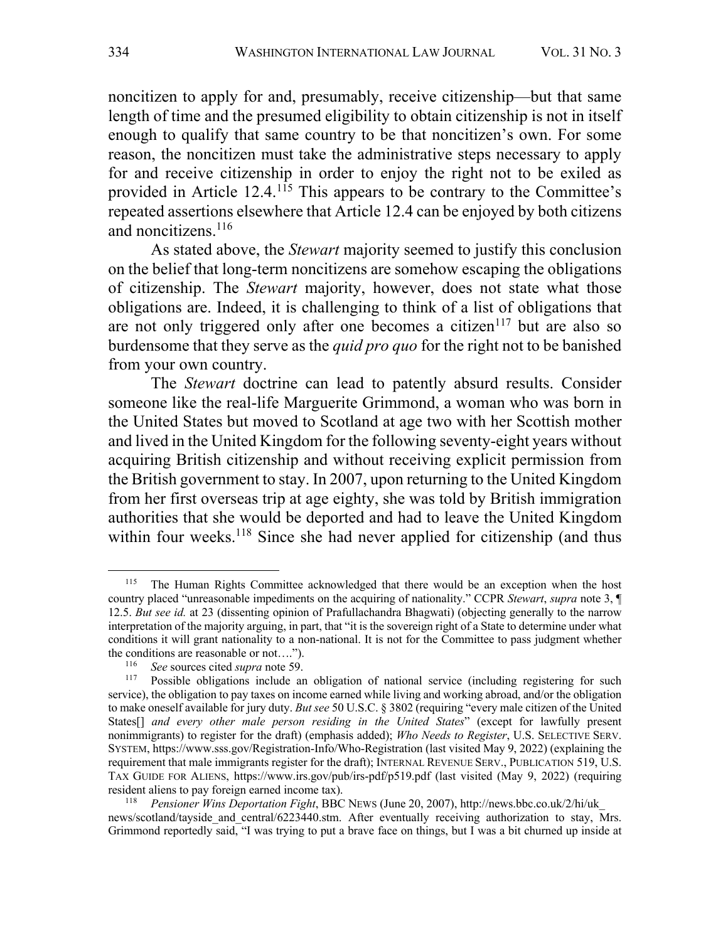noncitizen to apply for and, presumably, receive citizenship—but that same length of time and the presumed eligibility to obtain citizenship is not in itself enough to qualify that same country to be that noncitizen's own. For some reason, the noncitizen must take the administrative steps necessary to apply for and receive citizenship in order to enjoy the right not to be exiled as provided in Article 12.4.<sup>115</sup> This appears to be contrary to the Committee's repeated assertions elsewhere that Article 12.4 can be enjoyed by both citizens and noncitizens.<sup>116</sup>

As stated above, the *Stewart* majority seemed to justify this conclusion on the belief that long-term noncitizens are somehow escaping the obligations of citizenship. The *Stewart* majority, however, does not state what those obligations are. Indeed, it is challenging to think of a list of obligations that are not only triggered only after one becomes a citizen<sup>117</sup> but are also so burdensome that they serve as the *quid pro quo* for the right not to be banished from your own country.

The *Stewart* doctrine can lead to patently absurd results. Consider someone like the real-life Marguerite Grimmond, a woman who was born in the United States but moved to Scotland at age two with her Scottish mother and lived in the United Kingdom for the following seventy-eight years without acquiring British citizenship and without receiving explicit permission from the British government to stay. In 2007, upon returning to the United Kingdom from her first overseas trip at age eighty, she was told by British immigration authorities that she would be deported and had to leave the United Kingdom within four weeks.<sup>118</sup> Since she had never applied for citizenship (and thus

<sup>&</sup>lt;sup>115</sup> The Human Rights Committee acknowledged that there would be an exception when the host country placed "unreasonable impediments on the acquiring of nationality." CCPR *Stewart*, *supra* note 3, ¶ 12.5. *But see id.* at 23 (dissenting opinion of Prafullachandra Bhagwati) (objecting generally to the narrow interpretation of the majority arguing, in part, that "it is the sovereign right of a State to determine under what conditions it will grant nationality to a non-national. It is not for the Committee to pass judgment whether the conditions are reasonable or not....").<br> $\frac{116}{116}$ . See sources aited summare to 50.

<sup>&</sup>lt;sup>116</sup> *See* sources cited *supra* note 59.

Possible obligations include an obligation of national service (including registering for such service), the obligation to pay taxes on income earned while living and working abroad, and/or the obligation to make oneself available for jury duty. *But see* 50 U.S.C. § 3802 (requiring "every male citizen of the United States[] *and every other male person residing in the United States*" (except for lawfully present nonimmigrants) to register for the draft) (emphasis added); *Who Needs to Register*, U.S. SELECTIVE SERV. SYSTEM, https://www.sss.gov/Registration-Info/Who-Registration (last visited May 9, 2022) (explaining the requirement that male immigrants register for the draft); INTERNAL REVENUE SERV., PUBLICATION 519, U.S. TAX GUIDE FOR ALIENS, https://www.irs.gov/pub/irs-pdf/p519.pdf (last visited (May 9, 2022) (requiring resident aliens to pay foreign earned income tax).

<sup>118</sup> *Pensioner Wins Deportation Fight*, BBC NEWS (June 20, 2007), http://news.bbc.co.uk/2/hi/uk\_ news/scotland/tayside\_and\_central/6223440.stm. After eventually receiving authorization to stay, Mrs. Grimmond reportedly said, "I was trying to put a brave face on things, but I was a bit churned up inside at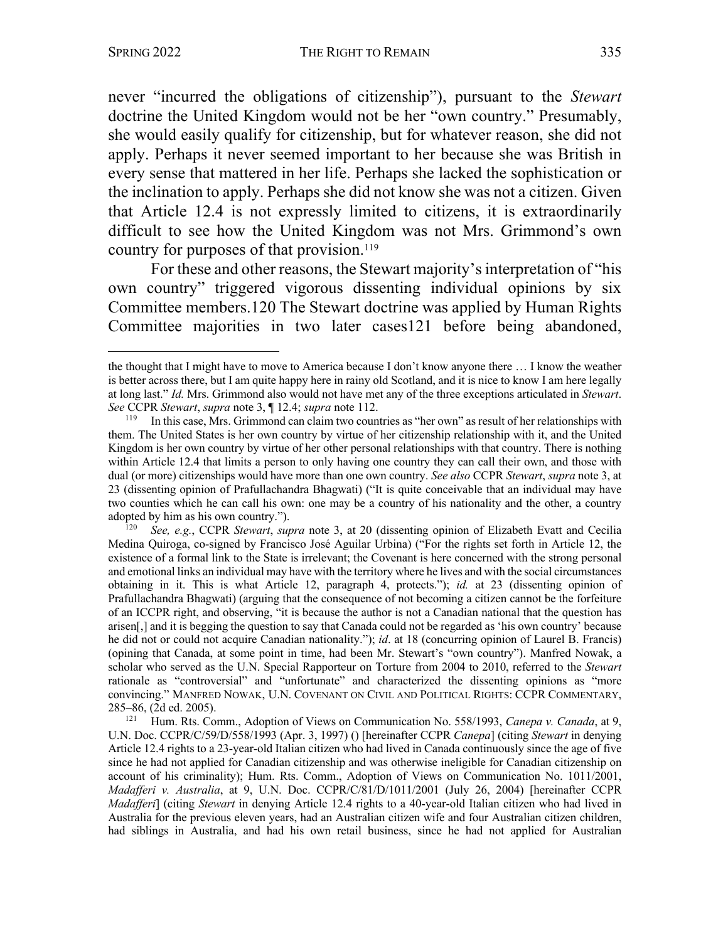never "incurred the obligations of citizenship"), pursuant to the *Stewart* doctrine the United Kingdom would not be her "own country." Presumably, she would easily qualify for citizenship, but for whatever reason, she did not apply. Perhaps it never seemed important to her because she was British in every sense that mattered in her life. Perhaps she lacked the sophistication or the inclination to apply. Perhaps she did not know she was not a citizen. Given that Article 12.4 is not expressly limited to citizens, it is extraordinarily difficult to see how the United Kingdom was not Mrs. Grimmond's own country for purposes of that provision.<sup>119</sup>

For these and other reasons, the Stewart majority's interpretation of "his own country" triggered vigorous dissenting individual opinions by six Committee members.120 The Stewart doctrine was applied by Human Rights Committee majorities in two later cases121 before being abandoned,

<sup>120</sup> *See, e.g.*, CCPR *Stewart*, *supra* note 3, at 20 (dissenting opinion of Elizabeth Evatt and Cecilia Medina Quiroga, co-signed by Francisco José Aguilar Urbina) ("For the rights set forth in Article 12, the existence of a formal link to the State is irrelevant; the Covenant is here concerned with the strong personal and emotional links an individual may have with the territory where he lives and with the social circumstances obtaining in it. This is what Article 12, paragraph 4, protects."); *id.* at 23 (dissenting opinion of Prafullachandra Bhagwati) (arguing that the consequence of not becoming a citizen cannot be the forfeiture of an ICCPR right, and observing, "it is because the author is not a Canadian national that the question has arisen[,] and it is begging the question to say that Canada could not be regarded as 'his own country' because he did not or could not acquire Canadian nationality."); *id*. at 18 (concurring opinion of Laurel B. Francis) (opining that Canada, at some point in time, had been Mr. Stewart's "own country"). Manfred Nowak, a scholar who served as the U.N. Special Rapporteur on Torture from 2004 to 2010, referred to the *Stewart* rationale as "controversial" and "unfortunate" and characterized the dissenting opinions as "more convincing." MANFRED NOWAK, U.N. COVENANT ON CIVIL AND POLITICAL RIGHTS: CCPR COMMENTARY, 285–86, (2d ed. 2005).

<sup>121</sup> Hum. Rts. Comm., Adoption of Views on Communication No. 558/1993, *Canepa v. Canada*, at 9, U.N. Doc. CCPR/C/59/D/558/1993 (Apr. 3, 1997) () [hereinafter CCPR *Canepa*] (citing *Stewart* in denying Article 12.4 rights to a 23-year-old Italian citizen who had lived in Canada continuously since the age of five since he had not applied for Canadian citizenship and was otherwise ineligible for Canadian citizenship on account of his criminality); Hum. Rts. Comm., Adoption of Views on Communication No. 1011/2001, *Madafferi v. Australia*, at 9, U.N. Doc. CCPR/C/81/D/1011/2001 (July 26, 2004) [hereinafter CCPR *Madafferi*] (citing *Stewart* in denying Article 12.4 rights to a 40-year-old Italian citizen who had lived in Australia for the previous eleven years, had an Australian citizen wife and four Australian citizen children, had siblings in Australia, and had his own retail business, since he had not applied for Australian

the thought that I might have to move to America because I don't know anyone there … I know the weather is better across there, but I am quite happy here in rainy old Scotland, and it is nice to know I am here legally at long last." *Id.* Mrs. Grimmond also would not have met any of the three exceptions articulated in *Stewart*. *See* CCPR *Stewart*, *supra* note 3, ¶ 12.4; *supra* note 112.

In this case, Mrs. Grimmond can claim two countries as "her own" as result of her relationships with them. The United States is her own country by virtue of her citizenship relationship with it, and the United Kingdom is her own country by virtue of her other personal relationships with that country. There is nothing within Article 12.4 that limits a person to only having one country they can call their own, and those with dual (or more) citizenships would have more than one own country. *See also* CCPR *Stewart*, *supra* note 3, at 23 (dissenting opinion of Prafullachandra Bhagwati) ("It is quite conceivable that an individual may have two counties which he can call his own: one may be a country of his nationality and the other, a country adopted by him as his own country.").<br> $\frac{120}{120}$  See e.g. CCPR Stewart, sur-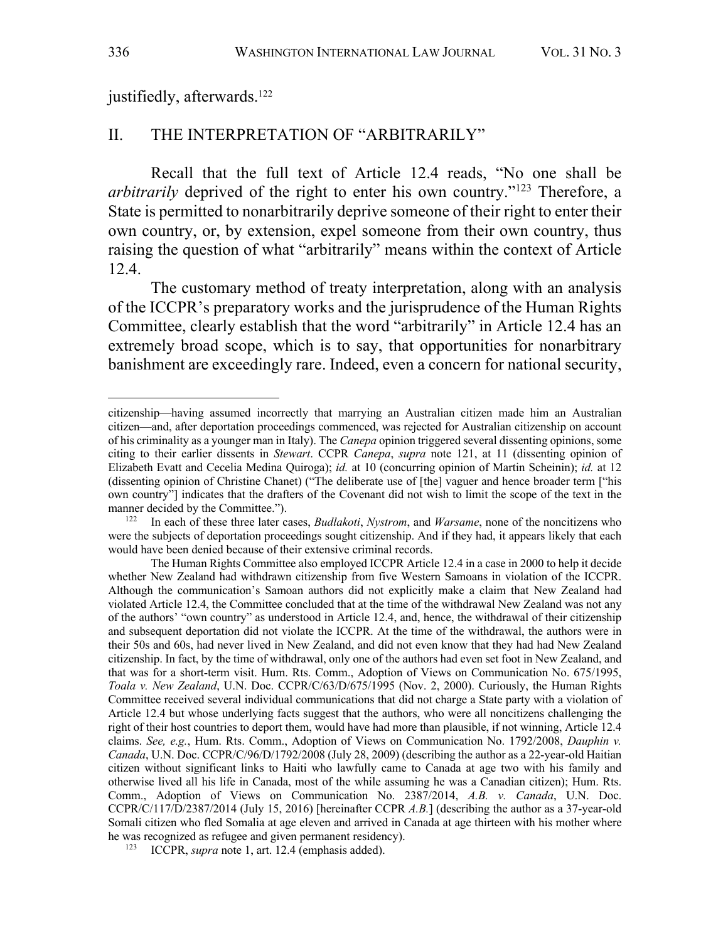justifiedly, afterwards. 122

#### II. THE INTERPRETATION OF "ARBITRARILY"

Recall that the full text of Article 12.4 reads, "No one shall be *arbitrarily* deprived of the right to enter his own country."123 Therefore, a State is permitted to nonarbitrarily deprive someone of their right to enter their own country, or, by extension, expel someone from their own country, thus raising the question of what "arbitrarily" means within the context of Article 12.4.

The customary method of treaty interpretation, along with an analysis of the ICCPR's preparatory works and the jurisprudence of the Human Rights Committee, clearly establish that the word "arbitrarily" in Article 12.4 has an extremely broad scope, which is to say, that opportunities for nonarbitrary banishment are exceedingly rare. Indeed, even a concern for national security,

citizenship—having assumed incorrectly that marrying an Australian citizen made him an Australian citizen—and, after deportation proceedings commenced, was rejected for Australian citizenship on account of his criminality as a younger man in Italy). The *Canepa* opinion triggered several dissenting opinions, some citing to their earlier dissents in *Stewart*. CCPR *Canepa*, *supra* note 121, at 11 (dissenting opinion of Elizabeth Evatt and Cecelia Medina Quiroga); *id.* at 10 (concurring opinion of Martin Scheinin); *id.* at 12 (dissenting opinion of Christine Chanet) ("The deliberate use of [the] vaguer and hence broader term ["his own country"] indicates that the drafters of the Covenant did not wish to limit the scope of the text in the manner decided by the Committee.").

<sup>122</sup> In each of these three later cases, *Budlakoti*, *Nystrom*, and *Warsame*, none of the noncitizens who were the subjects of deportation proceedings sought citizenship. And if they had, it appears likely that each would have been denied because of their extensive criminal records.

The Human Rights Committee also employed ICCPR Article 12.4 in a case in 2000 to help it decide whether New Zealand had withdrawn citizenship from five Western Samoans in violation of the ICCPR. Although the communication's Samoan authors did not explicitly make a claim that New Zealand had violated Article 12.4, the Committee concluded that at the time of the withdrawal New Zealand was not any of the authors' "own country" as understood in Article 12.4, and, hence, the withdrawal of their citizenship and subsequent deportation did not violate the ICCPR. At the time of the withdrawal, the authors were in their 50s and 60s, had never lived in New Zealand, and did not even know that they had had New Zealand citizenship. In fact, by the time of withdrawal, only one of the authors had even set foot in New Zealand, and that was for a short-term visit. Hum. Rts. Comm., Adoption of Views on Communication No. 675/1995, *Toala v. New Zealand*, U.N. Doc. CCPR/C/63/D/675/1995 (Nov. 2, 2000). Curiously, the Human Rights Committee received several individual communications that did not charge a State party with a violation of Article 12.4 but whose underlying facts suggest that the authors, who were all noncitizens challenging the right of their host countries to deport them, would have had more than plausible, if not winning, Article 12.4 claims. *See, e.g.*, Hum. Rts. Comm., Adoption of Views on Communication No. 1792/2008, *Dauphin v. Canada*, U.N. Doc. CCPR/C/96/D/1792/2008 (July 28, 2009) (describing the author as a 22-year-old Haitian citizen without significant links to Haiti who lawfully came to Canada at age two with his family and otherwise lived all his life in Canada, most of the while assuming he was a Canadian citizen); Hum. Rts. Comm., Adoption of Views on Communication No. 2387/2014, *A.B. v. Canada*, U.N. Doc. CCPR/C/117/D/2387/2014 (July 15, 2016) [hereinafter CCPR *A.B.*] (describing the author as a 37-year-old Somali citizen who fled Somalia at age eleven and arrived in Canada at age thirteen with his mother where he was recognized as refugee and given permanent residency).

<sup>123</sup> ICCPR, *supra* note 1, art. 12.4 (emphasis added).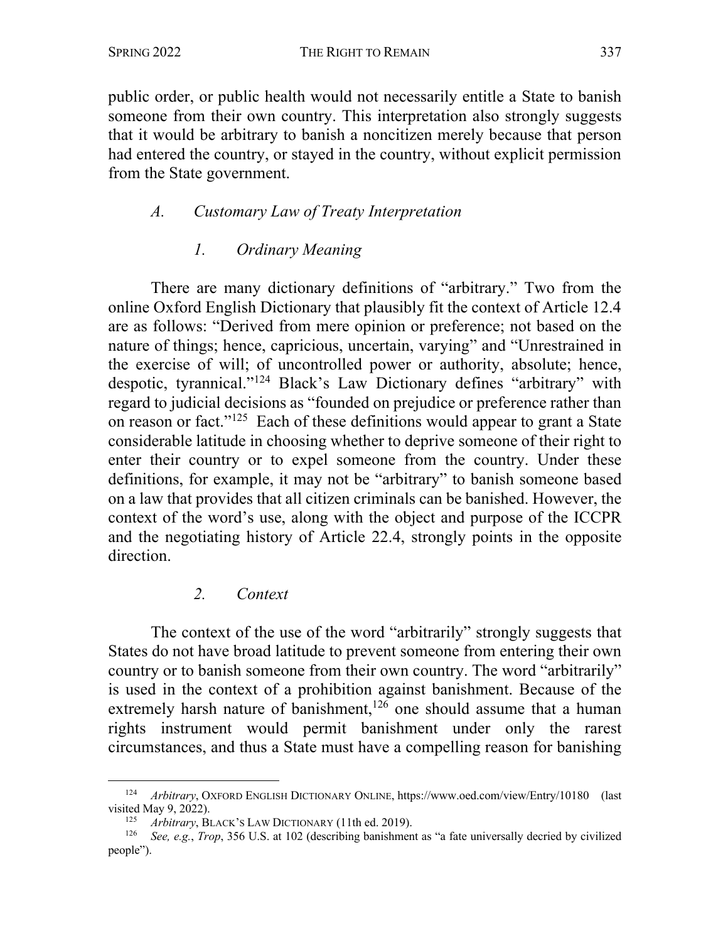public order, or public health would not necessarily entitle a State to banish someone from their own country. This interpretation also strongly suggests that it would be arbitrary to banish a noncitizen merely because that person had entered the country, or stayed in the country, without explicit permission from the State government.

## *A. Customary Law of Treaty Interpretation*

## *1. Ordinary Meaning*

There are many dictionary definitions of "arbitrary." Two from the online Oxford English Dictionary that plausibly fit the context of Article 12.4 are as follows: "Derived from mere opinion or preference; not based on the nature of things; hence, capricious, uncertain, varying" and "Unrestrained in the exercise of will; of uncontrolled power or authority, absolute; hence, despotic, tyrannical."124 Black's Law Dictionary defines "arbitrary" with regard to judicial decisions as "founded on prejudice or preference rather than on reason or fact."125 Each of these definitions would appear to grant a State considerable latitude in choosing whether to deprive someone of their right to enter their country or to expel someone from the country. Under these definitions, for example, it may not be "arbitrary" to banish someone based on a law that provides that all citizen criminals can be banished. However, the context of the word's use, along with the object and purpose of the ICCPR and the negotiating history of Article 22.4, strongly points in the opposite direction.

## *2. Context*

The context of the use of the word "arbitrarily" strongly suggests that States do not have broad latitude to prevent someone from entering their own country or to banish someone from their own country. The word "arbitrarily" is used in the context of a prohibition against banishment. Because of the extremely harsh nature of banishment,<sup>126</sup> one should assume that a human rights instrument would permit banishment under only the rarest circumstances, and thus a State must have a compelling reason for banishing

<sup>124</sup> *Arbitrary*, OXFORD ENGLISH DICTIONARY ONLINE, https://www.oed.com/view/Entry/10180 (last visited May 9, 2022).

<sup>&</sup>lt;sup>125</sup> *Arbitrary*, BLACK's LAW DICTIONARY (11th ed. 2019).

<sup>126</sup> *See, e.g.*, *Trop*, 356 U.S. at 102 (describing banishment as "a fate universally decried by civilized people").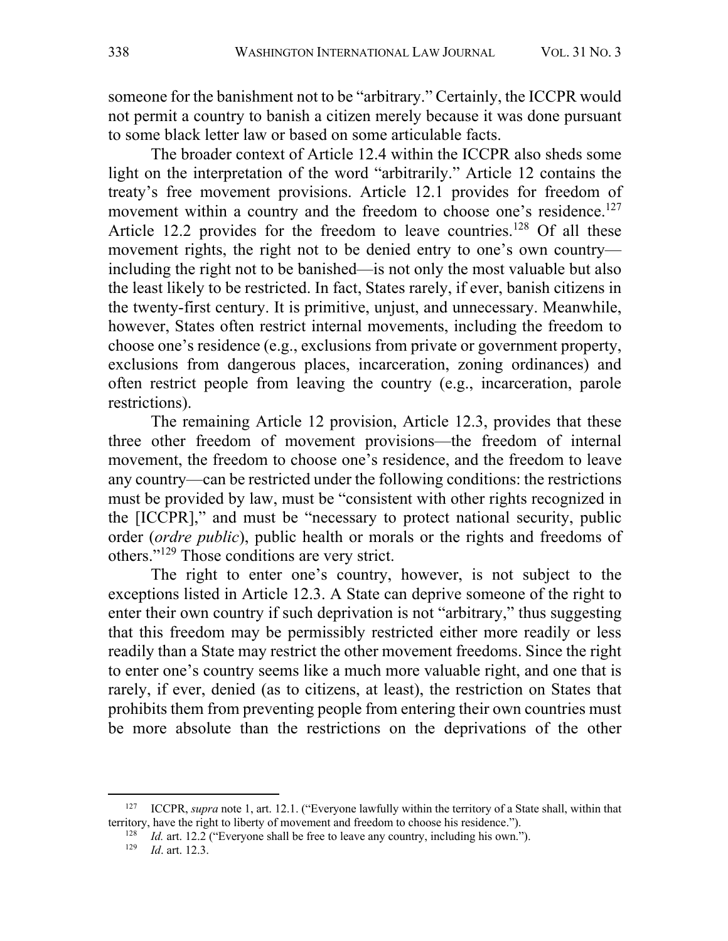someone for the banishment not to be "arbitrary." Certainly, the ICCPR would not permit a country to banish a citizen merely because it was done pursuant to some black letter law or based on some articulable facts.

The broader context of Article 12.4 within the ICCPR also sheds some light on the interpretation of the word "arbitrarily." Article 12 contains the treaty's free movement provisions. Article 12.1 provides for freedom of movement within a country and the freedom to choose one's residence.<sup>127</sup> Article 12.2 provides for the freedom to leave countries.<sup>128</sup> Of all these movement rights, the right not to be denied entry to one's own country including the right not to be banished—is not only the most valuable but also the least likely to be restricted. In fact, States rarely, if ever, banish citizens in the twenty-first century. It is primitive, unjust, and unnecessary. Meanwhile, however, States often restrict internal movements, including the freedom to choose one's residence (e.g., exclusions from private or government property, exclusions from dangerous places, incarceration, zoning ordinances) and often restrict people from leaving the country (e.g., incarceration, parole restrictions).

The remaining Article 12 provision, Article 12.3, provides that these three other freedom of movement provisions—the freedom of internal movement, the freedom to choose one's residence, and the freedom to leave any country—can be restricted under the following conditions: the restrictions must be provided by law, must be "consistent with other rights recognized in the [ICCPR]," and must be "necessary to protect national security, public order (*ordre public*), public health or morals or the rights and freedoms of others."129 Those conditions are very strict.

The right to enter one's country, however, is not subject to the exceptions listed in Article 12.3. A State can deprive someone of the right to enter their own country if such deprivation is not "arbitrary," thus suggesting that this freedom may be permissibly restricted either more readily or less readily than a State may restrict the other movement freedoms. Since the right to enter one's country seems like a much more valuable right, and one that is rarely, if ever, denied (as to citizens, at least), the restriction on States that prohibits them from preventing people from entering their own countries must be more absolute than the restrictions on the deprivations of the other

<sup>127</sup> ICCPR, *supra* note 1, art. 12.1. ("Everyone lawfully within the territory of a State shall, within that territory, have the right to liberty of movement and freedom to choose his residence.").

<sup>&</sup>lt;sup>128</sup> *Id.* art. 12.2 ("Everyone shall be free to leave any country, including his own.").

<sup>129</sup> *Id*. art. 12.3.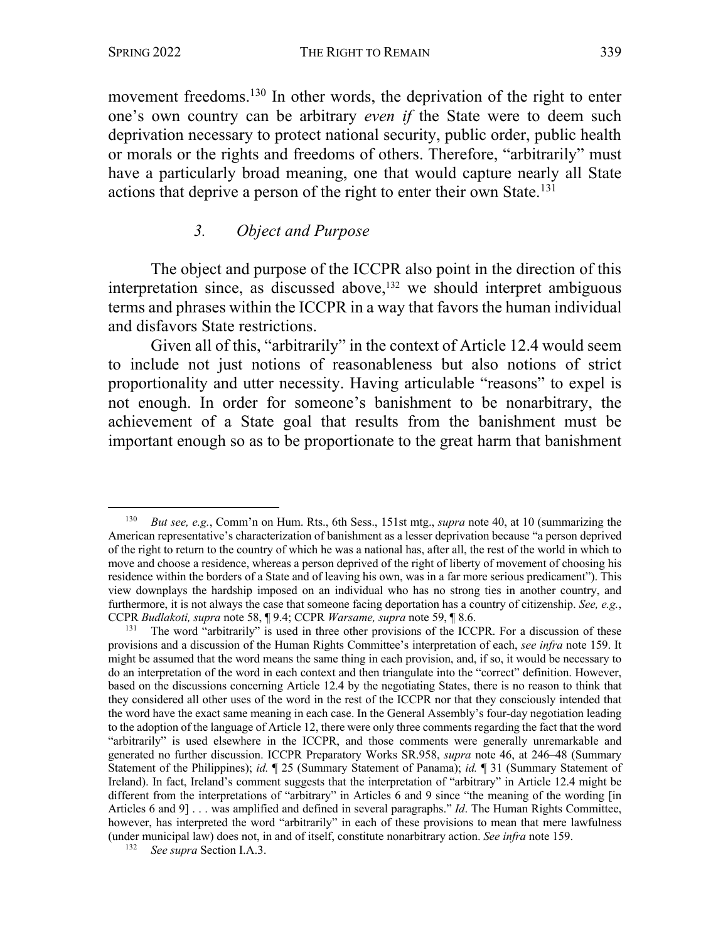movement freedoms.<sup>130</sup> In other words, the deprivation of the right to enter one's own country can be arbitrary *even if* the State were to deem such deprivation necessary to protect national security, public order, public health or morals or the rights and freedoms of others. Therefore, "arbitrarily" must have a particularly broad meaning, one that would capture nearly all State actions that deprive a person of the right to enter their own State.<sup>131</sup>

#### *3. Object and Purpose*

The object and purpose of the ICCPR also point in the direction of this interpretation since, as discussed above,<sup>132</sup> we should interpret ambiguous terms and phrases within the ICCPR in a way that favors the human individual and disfavors State restrictions.

Given all of this, "arbitrarily" in the context of Article 12.4 would seem to include not just notions of reasonableness but also notions of strict proportionality and utter necessity. Having articulable "reasons" to expel is not enough. In order for someone's banishment to be nonarbitrary, the achievement of a State goal that results from the banishment must be important enough so as to be proportionate to the great harm that banishment

<sup>130</sup> *But see, e.g.*, Comm'n on Hum. Rts., 6th Sess., 151st mtg., *supra* note 40, at 10 (summarizing the American representative's characterization of banishment as a lesser deprivation because "a person deprived of the right to return to the country of which he was a national has, after all, the rest of the world in which to move and choose a residence, whereas a person deprived of the right of liberty of movement of choosing his residence within the borders of a State and of leaving his own, was in a far more serious predicament"). This view downplays the hardship imposed on an individual who has no strong ties in another country, and furthermore, it is not always the case that someone facing deportation has a country of citizenship. *See, e.g.*, CCPR *Budlakoti, supra* note 58, ¶ 9.4; CCPR *Warsame, supra* note 59, ¶ 8.6.

<sup>&</sup>lt;sup>131</sup> The word "arbitrarily" is used in three other provisions of the ICCPR. For a discussion of these provisions and a discussion of the Human Rights Committee's interpretation of each, *see infra* note 159. It might be assumed that the word means the same thing in each provision, and, if so, it would be necessary to do an interpretation of the word in each context and then triangulate into the "correct" definition. However, based on the discussions concerning Article 12.4 by the negotiating States, there is no reason to think that they considered all other uses of the word in the rest of the ICCPR nor that they consciously intended that the word have the exact same meaning in each case. In the General Assembly's four-day negotiation leading to the adoption of the language of Article 12, there were only three comments regarding the fact that the word "arbitrarily" is used elsewhere in the ICCPR, and those comments were generally unremarkable and generated no further discussion. ICCPR Preparatory Works SR.958, *supra* note 46, at 246–48 (Summary Statement of the Philippines); *id.* ¶ 25 (Summary Statement of Panama); *id.* ¶ 31 (Summary Statement of Ireland). In fact, Ireland's comment suggests that the interpretation of "arbitrary" in Article 12.4 might be different from the interpretations of "arbitrary" in Articles 6 and 9 since "the meaning of the wording [in Articles 6 and 9] . . . was amplified and defined in several paragraphs." *Id*. The Human Rights Committee, however, has interpreted the word "arbitrarily" in each of these provisions to mean that mere lawfulness (under municipal law) does not, in and of itself, constitute nonarbitrary action. *See infra* note 159.

<sup>132</sup> *See supra* Section I.A.3.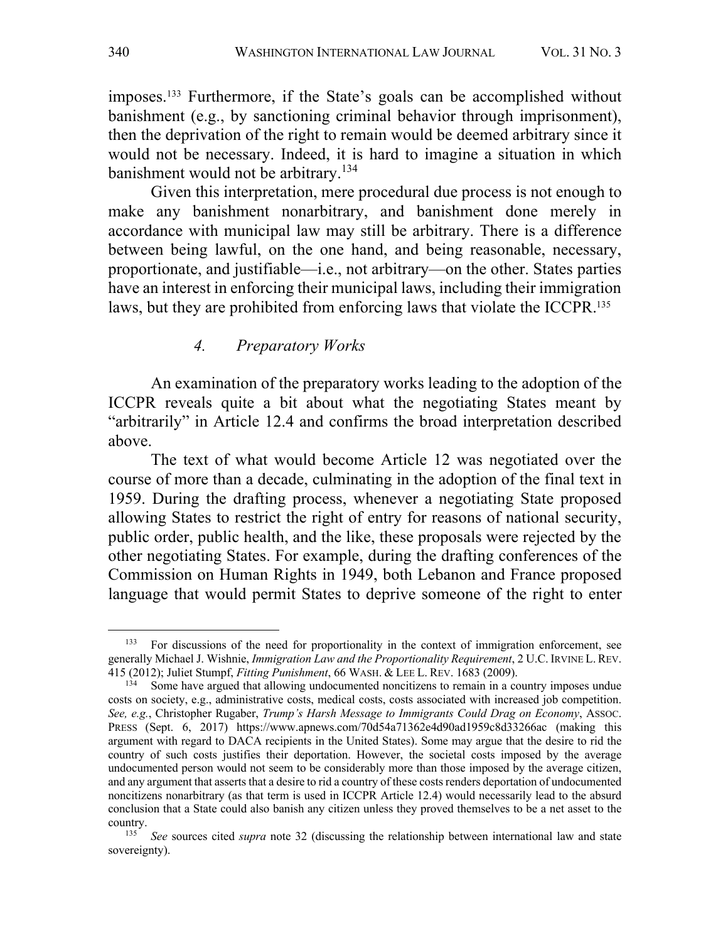imposes. <sup>133</sup> Furthermore, if the State's goals can be accomplished without banishment (e.g., by sanctioning criminal behavior through imprisonment), then the deprivation of the right to remain would be deemed arbitrary since it would not be necessary. Indeed, it is hard to imagine a situation in which banishment would not be arbitrary.<sup>134</sup>

Given this interpretation, mere procedural due process is not enough to make any banishment nonarbitrary, and banishment done merely in accordance with municipal law may still be arbitrary. There is a difference between being lawful, on the one hand, and being reasonable, necessary, proportionate, and justifiable—i.e., not arbitrary—on the other. States parties have an interest in enforcing their municipal laws, including their immigration laws, but they are prohibited from enforcing laws that violate the ICCPR.<sup>135</sup>

#### *4. Preparatory Works*

An examination of the preparatory works leading to the adoption of the ICCPR reveals quite a bit about what the negotiating States meant by "arbitrarily" in Article 12.4 and confirms the broad interpretation described above.

The text of what would become Article 12 was negotiated over the course of more than a decade, culminating in the adoption of the final text in 1959. During the drafting process, whenever a negotiating State proposed allowing States to restrict the right of entry for reasons of national security, public order, public health, and the like, these proposals were rejected by the other negotiating States. For example, during the drafting conferences of the Commission on Human Rights in 1949, both Lebanon and France proposed language that would permit States to deprive someone of the right to enter

<sup>&</sup>lt;sup>133</sup> For discussions of the need for proportionality in the context of immigration enforcement, see generally Michael J. Wishnie, *Immigration Law and the Proportionality Requirement*, 2 U.C. IRVINE L. REV. 415 (2012); Juliet Stumpf, *Fitting Punishment*, 66 WASH. & LEE L. REV. 1683 (2009).

 $134$  Some have argued that allowing undocumented noncitizens to remain in a country imposes undue costs on society, e.g., administrative costs, medical costs, costs associated with increased job competition. *See, e.g.*, Christopher Rugaber, *Trump's Harsh Message to Immigrants Could Drag on Economy*, ASSOC. PRESS (Sept. 6, 2017) https://www.apnews.com/70d54a71362e4d90ad1959c8d33266ac (making this argument with regard to DACA recipients in the United States). Some may argue that the desire to rid the country of such costs justifies their deportation. However, the societal costs imposed by the average undocumented person would not seem to be considerably more than those imposed by the average citizen, and any argument that asserts that a desire to rid a country of these costs renders deportation of undocumented noncitizens nonarbitrary (as that term is used in ICCPR Article 12.4) would necessarily lead to the absurd conclusion that a State could also banish any citizen unless they proved themselves to be a net asset to the country. 135 *See* sources cited *supra* note 32 (discussing the relationship between international law and state

sovereignty).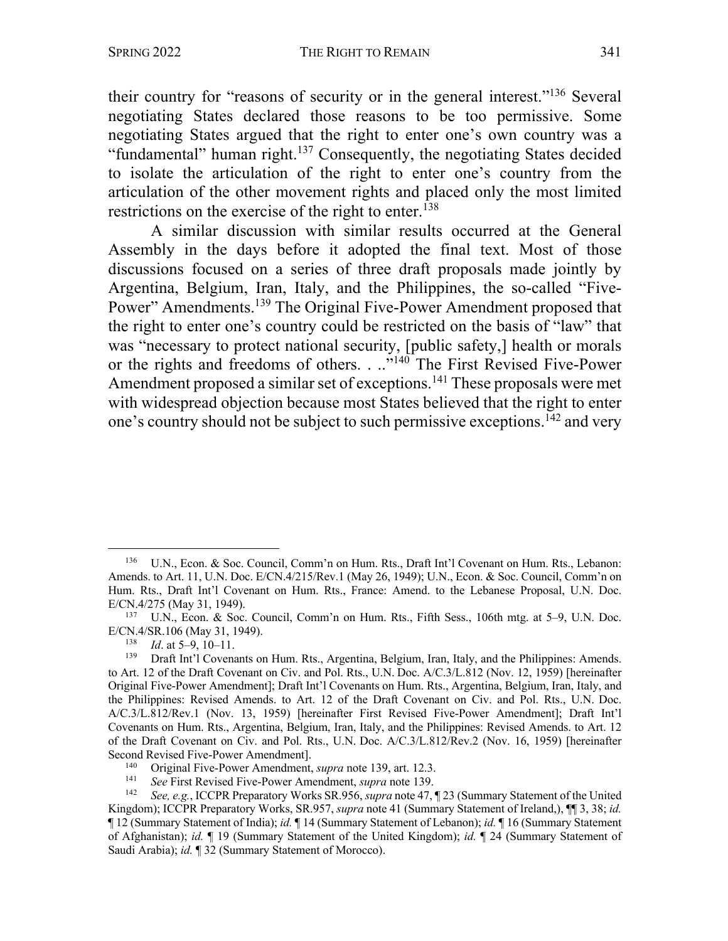their country for "reasons of security or in the general interest."136 Several negotiating States declared those reasons to be too permissive. Some negotiating States argued that the right to enter one's own country was a "fundamental" human right.<sup>137</sup> Consequently, the negotiating States decided to isolate the articulation of the right to enter one's country from the articulation of the other movement rights and placed only the most limited restrictions on the exercise of the right to enter.<sup>138</sup>

A similar discussion with similar results occurred at the General Assembly in the days before it adopted the final text. Most of those discussions focused on a series of three draft proposals made jointly by Argentina, Belgium, Iran, Italy, and the Philippines, the so-called "Five-Power" Amendments.139 The Original Five-Power Amendment proposed that the right to enter one's country could be restricted on the basis of "law" that was "necessary to protect national security, [public safety,] health or morals or the rights and freedoms of others. . .."140 The First Revised Five-Power Amendment proposed a similar set of exceptions.<sup>141</sup> These proposals were met with widespread objection because most States believed that the right to enter one's country should not be subject to such permissive exceptions.<sup>142</sup> and very

<sup>136</sup> U.N., Econ. & Soc. Council, Comm'n on Hum. Rts., Draft Int'l Covenant on Hum. Rts., Lebanon: Amends. to Art. 11, U.N. Doc. E/CN.4/215/Rev.1 (May 26, 1949); U.N., Econ. & Soc. Council, Comm'n on Hum. Rts., Draft Int'l Covenant on Hum. Rts., France: Amend. to the Lebanese Proposal, U.N. Doc. E/CN.4/275 (May 31, 1949).

<sup>137</sup> U.N., Econ. & Soc. Council, Comm'n on Hum. Rts., Fifth Sess., 106th mtg. at 5–9, U.N. Doc. E/CN.4/SR.106 (May 31, 1949).

 $138$  *Id.* at 5–9, 10–11.

<sup>&</sup>lt;sup>139</sup> Draft Int'l Covenants on Hum. Rts., Argentina, Belgium, Iran, Italy, and the Philippines: Amends. to Art. 12 of the Draft Covenant on Civ. and Pol. Rts., U.N. Doc. A/C.3/L.812 (Nov. 12, 1959) [hereinafter Original Five-Power Amendment]; Draft Int'l Covenants on Hum. Rts., Argentina, Belgium, Iran, Italy, and the Philippines: Revised Amends. to Art. 12 of the Draft Covenant on Civ. and Pol. Rts., U.N. Doc. A/C.3/L.812/Rev.1 (Nov. 13, 1959) [hereinafter First Revised Five-Power Amendment]; Draft Int'l Covenants on Hum. Rts., Argentina, Belgium, Iran, Italy, and the Philippines: Revised Amends. to Art. 12 of the Draft Covenant on Civ. and Pol. Rts., U.N. Doc. A/C.3/L.812/Rev.2 (Nov. 16, 1959) [hereinafter Second Revised Five-Power Amendment].<br>
Original Five-Power Amendment

<sup>140</sup> Original Five-Power Amendment, *supra* note 139, art. 12.3.

<sup>141</sup> *See* First Revised Five-Power Amendment, *supra* note 139. 142 *See, e.g.*, ICCPR Preparatory Works SR.956, *supra* note 47, ¶ 23 (Summary Statement of the United Kingdom); ICCPR Preparatory Works, SR.957, *supra* note 41 (Summary Statement of Ireland,), ¶¶ 3, 38; *id.* ¶ 12 (Summary Statement of India); *id.* ¶ 14 (Summary Statement of Lebanon); *id.* ¶ 16 (Summary Statement of Afghanistan); *id.* ¶ 19 (Summary Statement of the United Kingdom); *id.* ¶ 24 (Summary Statement of Saudi Arabia); *id.* ¶ 32 (Summary Statement of Morocco).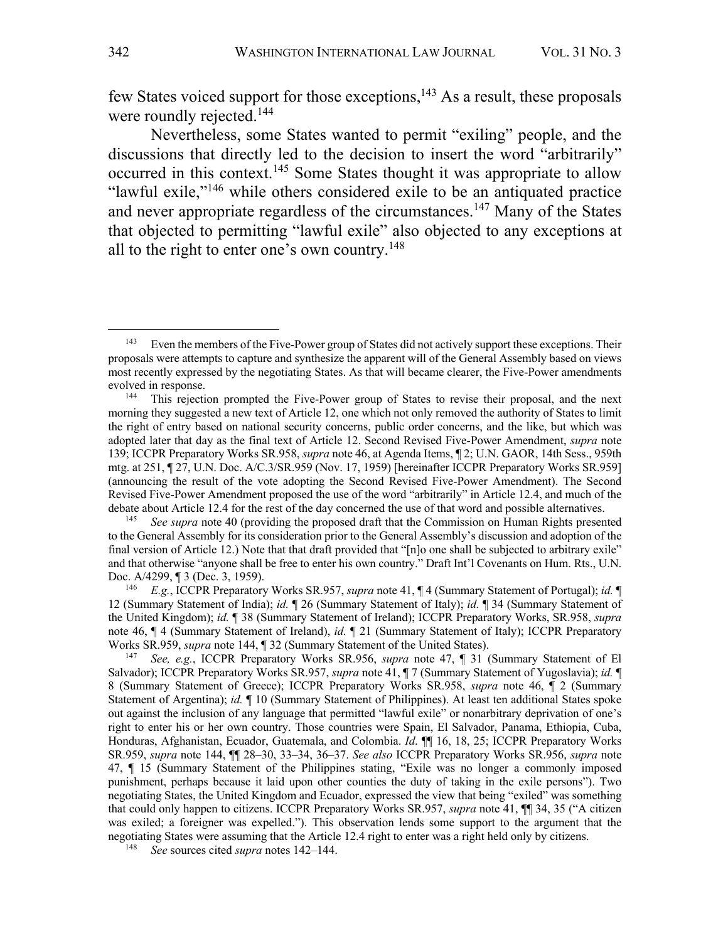few States voiced support for those exceptions, $143$  As a result, these proposals were roundly rejected.<sup>144</sup>

Nevertheless, some States wanted to permit "exiling" people, and the discussions that directly led to the decision to insert the word "arbitrarily" occurred in this context.<sup>145</sup> Some States thought it was appropriate to allow "lawful exile,"146 while others considered exile to be an antiquated practice and never appropriate regardless of the circumstances.<sup>147</sup> Many of the States that objected to permitting "lawful exile" also objected to any exceptions at all to the right to enter one's own country.<sup>148</sup>

<sup>&</sup>lt;sup>143</sup> Even the members of the Five-Power group of States did not actively support these exceptions. Their proposals were attempts to capture and synthesize the apparent will of the General Assembly based on views most recently expressed by the negotiating States. As that will became clearer, the Five-Power amendments evolved in response.

<sup>144</sup> This rejection prompted the Five-Power group of States to revise their proposal, and the next morning they suggested a new text of Article 12, one which not only removed the authority of States to limit the right of entry based on national security concerns, public order concerns, and the like, but which was adopted later that day as the final text of Article 12. Second Revised Five-Power Amendment, *supra* note 139; ICCPR Preparatory Works SR.958, *supra* note 46, at Agenda Items, ¶ 2; U.N. GAOR, 14th Sess., 959th mtg. at 251, ¶ 27, U.N. Doc. A/C.3/SR.959 (Nov. 17, 1959) [hereinafter ICCPR Preparatory Works SR.959] (announcing the result of the vote adopting the Second Revised Five-Power Amendment). The Second Revised Five-Power Amendment proposed the use of the word "arbitrarily" in Article 12.4, and much of the debate about Article 12.4 for the rest of the day concerned the use of that word and possible alternatives.

See supra note 40 (providing the proposed draft that the Commission on Human Rights presented to the General Assembly for its consideration prior to the General Assembly's discussion and adoption of the final version of Article 12.) Note that that draft provided that "[n]o one shall be subjected to arbitrary exile" and that otherwise "anyone shall be free to enter his own country." Draft Int'l Covenants on Hum. Rts., U.N. Doc. A/4299, ¶ 3 (Dec. 3, 1959).

<sup>146</sup> *E.g.*, ICCPR Preparatory Works SR.957, *supra* note 41, ¶ 4 (Summary Statement of Portugal); *id.* ¶ 12 (Summary Statement of India); *id.* ¶ 26 (Summary Statement of Italy); *id.* ¶ 34 (Summary Statement of the United Kingdom); *id.* ¶ 38 (Summary Statement of Ireland); ICCPR Preparatory Works, SR.958, *supra* note 46, ¶ 4 (Summary Statement of Ireland), *id.* ¶ 21 (Summary Statement of Italy); ICCPR Preparatory Works SR.959, *supra* note 144, ¶ 32 (Summary Statement of the United States).

<sup>147</sup> *See, e.g.*, ICCPR Preparatory Works SR.956, *supra* note 47, ¶ 31 (Summary Statement of El Salvador); ICCPR Preparatory Works SR.957, *supra* note 41, ¶ 7 (Summary Statement of Yugoslavia); *id.* ¶ 8 (Summary Statement of Greece); ICCPR Preparatory Works SR.958, *supra* note 46, ¶ 2 (Summary Statement of Argentina); *id.* ¶ 10 (Summary Statement of Philippines). At least ten additional States spoke out against the inclusion of any language that permitted "lawful exile" or nonarbitrary deprivation of one's right to enter his or her own country. Those countries were Spain, El Salvador, Panama, Ethiopia, Cuba, Honduras, Afghanistan, Ecuador, Guatemala, and Colombia. *Id*. ¶¶ 16, 18, 25; ICCPR Preparatory Works SR.959, *supra* note 144, ¶¶ 28–30, 33–34, 36–37. *See also* ICCPR Preparatory Works SR.956, *supra* note 47, ¶ 15 (Summary Statement of the Philippines stating, "Exile was no longer a commonly imposed punishment, perhaps because it laid upon other counties the duty of taking in the exile persons"). Two negotiating States, the United Kingdom and Ecuador, expressed the view that being "exiled" was something that could only happen to citizens. ICCPR Preparatory Works SR.957, *supra* note 41, ¶¶ 34, 35 ("A citizen was exiled; a foreigner was expelled."). This observation lends some support to the argument that the negotiating States were assuming that the Article 12.4 right to enter was a right held only by citizens. 148 *See* sources cited *supra* notes 142–144.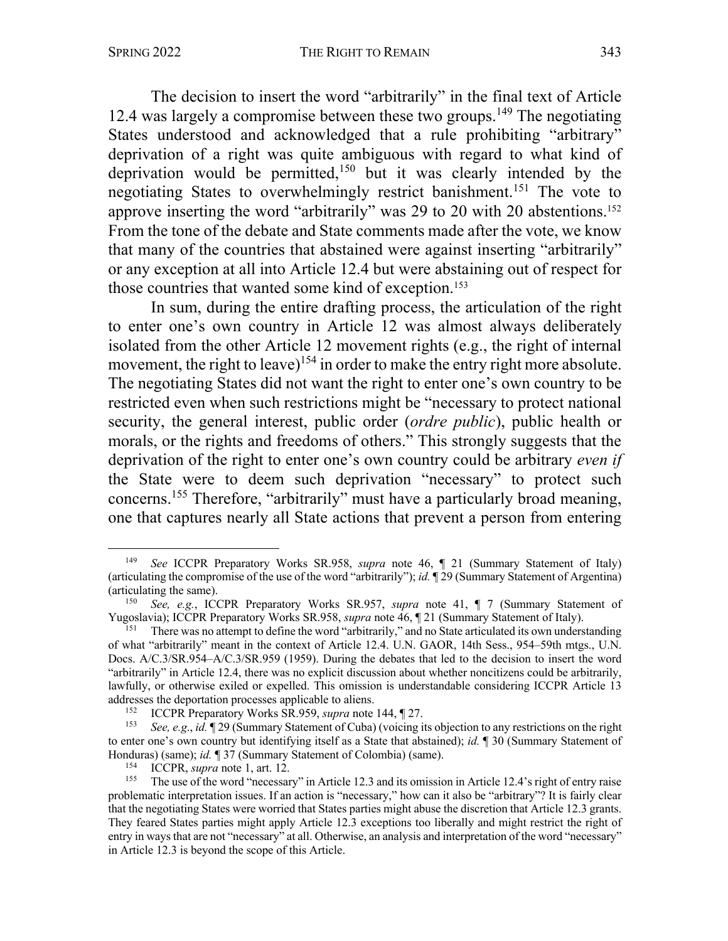The decision to insert the word "arbitrarily" in the final text of Article 12.4 was largely a compromise between these two groups.<sup>149</sup> The negotiating States understood and acknowledged that a rule prohibiting "arbitrary" deprivation of a right was quite ambiguous with regard to what kind of deprivation would be permitted,<sup>150</sup> but it was clearly intended by the negotiating States to overwhelmingly restrict banishment. <sup>151</sup> The vote to approve inserting the word "arbitrarily" was 29 to 20 with 20 abstentions.152 From the tone of the debate and State comments made after the vote, we know that many of the countries that abstained were against inserting "arbitrarily" or any exception at all into Article 12.4 but were abstaining out of respect for those countries that wanted some kind of exception. 153

In sum, during the entire drafting process, the articulation of the right to enter one's own country in Article 12 was almost always deliberately isolated from the other Article 12 movement rights (e.g., the right of internal movement, the right to leave)<sup>154</sup> in order to make the entry right more absolute. The negotiating States did not want the right to enter one's own country to be restricted even when such restrictions might be "necessary to protect national security, the general interest, public order (*ordre public*), public health or morals, or the rights and freedoms of others." This strongly suggests that the deprivation of the right to enter one's own country could be arbitrary *even if* the State were to deem such deprivation "necessary" to protect such concerns.155 Therefore, "arbitrarily" must have a particularly broad meaning, one that captures nearly all State actions that prevent a person from entering

<sup>149</sup> *See* ICCPR Preparatory Works SR.958, *supra* note 46, ¶ 21 (Summary Statement of Italy) (articulating the compromise of the use of the word "arbitrarily"); *id.* ¶ 29 (Summary Statement of Argentina) (articulating the same). 150 *See, e.g.*, ICCPR Preparatory Works SR.957, *supra* note 41, ¶ <sup>7</sup> (Summary Statement of

Yugoslavia); ICCPR Preparatory Works SR.958, *supra* note 46, ¶ 21 (Summary Statement of Italy).

<sup>151</sup> There was no attempt to define the word "arbitrarily," and no State articulated its own understanding of what "arbitrarily" meant in the context of Article 12.4. U.N. GAOR, 14th Sess., 954–59th mtgs., U.N. Docs. A/C.3/SR.954–A/C.3/SR.959 (1959). During the debates that led to the decision to insert the word "arbitrarily" in Article 12.4, there was no explicit discussion about whether noncitizens could be arbitrarily, lawfully, or otherwise exiled or expelled. This omission is understandable considering ICCPR Article 13 addresses the deportation processes applicable to aliens.<br>152 **LCCDB** Proporatory Works SB 050 supportants

<sup>152</sup> ICCPR Preparatory Works SR.959, *supra* note 144, ¶ 27.

<sup>153</sup> *See, e.g*., *id.* ¶ 29 (Summary Statement of Cuba) (voicing its objection to any restrictions on the right to enter one's own country but identifying itself as a State that abstained); *id.* ¶ 30 (Summary Statement of Honduras) (same); *id.* ¶ 37 (Summary Statement of Colombia) (same).

<sup>&</sup>lt;sup>154</sup> ICCPR, *supra* note 1, art. 12.<br><sup>155</sup> The use of the word "necessar

<sup>155</sup> The use of the word "necessary" in Article 12.3 and its omission in Article 12.4's right of entry raise problematic interpretation issues. If an action is "necessary," how can it also be "arbitrary"? It is fairly clear that the negotiating States were worried that States parties might abuse the discretion that Article 12.3 grants. They feared States parties might apply Article 12.3 exceptions too liberally and might restrict the right of entry in ways that are not "necessary" at all. Otherwise, an analysis and interpretation of the word "necessary" in Article 12.3 is beyond the scope of this Article.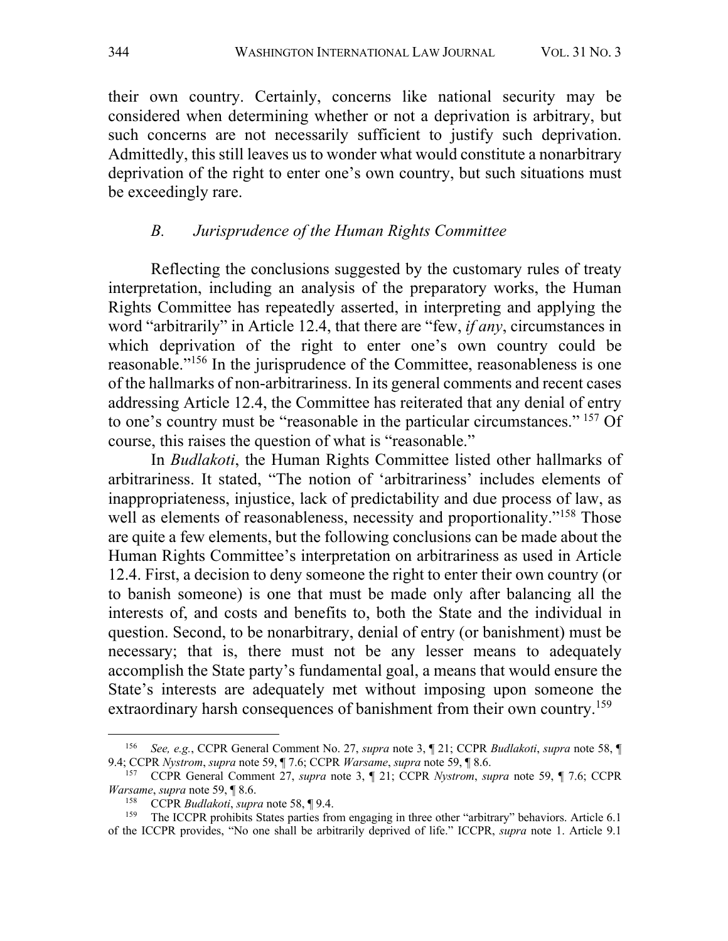their own country. Certainly, concerns like national security may be considered when determining whether or not a deprivation is arbitrary, but such concerns are not necessarily sufficient to justify such deprivation. Admittedly, this still leaves us to wonder what would constitute a nonarbitrary deprivation of the right to enter one's own country, but such situations must be exceedingly rare.

### *B. Jurisprudence of the Human Rights Committee*

Reflecting the conclusions suggested by the customary rules of treaty interpretation, including an analysis of the preparatory works, the Human Rights Committee has repeatedly asserted, in interpreting and applying the word "arbitrarily" in Article 12.4, that there are "few, *if any*, circumstances in which deprivation of the right to enter one's own country could be reasonable."156 In the jurisprudence of the Committee, reasonableness is one of the hallmarks of non-arbitrariness. In its general comments and recent cases addressing Article 12.4, the Committee has reiterated that any denial of entry to one's country must be "reasonable in the particular circumstances." <sup>157</sup> Of course, this raises the question of what is "reasonable."

In *Budlakoti*, the Human Rights Committee listed other hallmarks of arbitrariness. It stated, "The notion of 'arbitrariness' includes elements of inappropriateness, injustice, lack of predictability and due process of law, as well as elements of reasonableness, necessity and proportionality."<sup>158</sup> Those are quite a few elements, but the following conclusions can be made about the Human Rights Committee's interpretation on arbitrariness as used in Article 12.4. First, a decision to deny someone the right to enter their own country (or to banish someone) is one that must be made only after balancing all the interests of, and costs and benefits to, both the State and the individual in question. Second, to be nonarbitrary, denial of entry (or banishment) must be necessary; that is, there must not be any lesser means to adequately accomplish the State party's fundamental goal, a means that would ensure the State's interests are adequately met without imposing upon someone the extraordinary harsh consequences of banishment from their own country.<sup>159</sup>

<sup>156</sup> *See, e.g.*, CCPR General Comment No. 27, *supra* note 3, ¶ 21; CCPR *Budlakoti*, *supra* note 58, ¶ 9.4; CCPR *Nystrom*, *supra* note 59, ¶ 7.6; CCPR *Warsame*, *supra* note 59, ¶ 8.6.

<sup>157</sup> CCPR General Comment 27, *supra* note 3, ¶ 21; CCPR *Nystrom*, *supra* note 59, ¶ 7.6; CCPR *Warsame*, *supra* note 59, ¶ 8.6.

<sup>158</sup> CCPR *Budlakoti*, *supra* note 58, ¶ 9.4.

<sup>&</sup>lt;sup>159</sup> The ICCPR prohibits States parties from engaging in three other "arbitrary" behaviors. Article 6.1 of the ICCPR provides, "No one shall be arbitrarily deprived of life." ICCPR, *supra* note 1. Article 9.1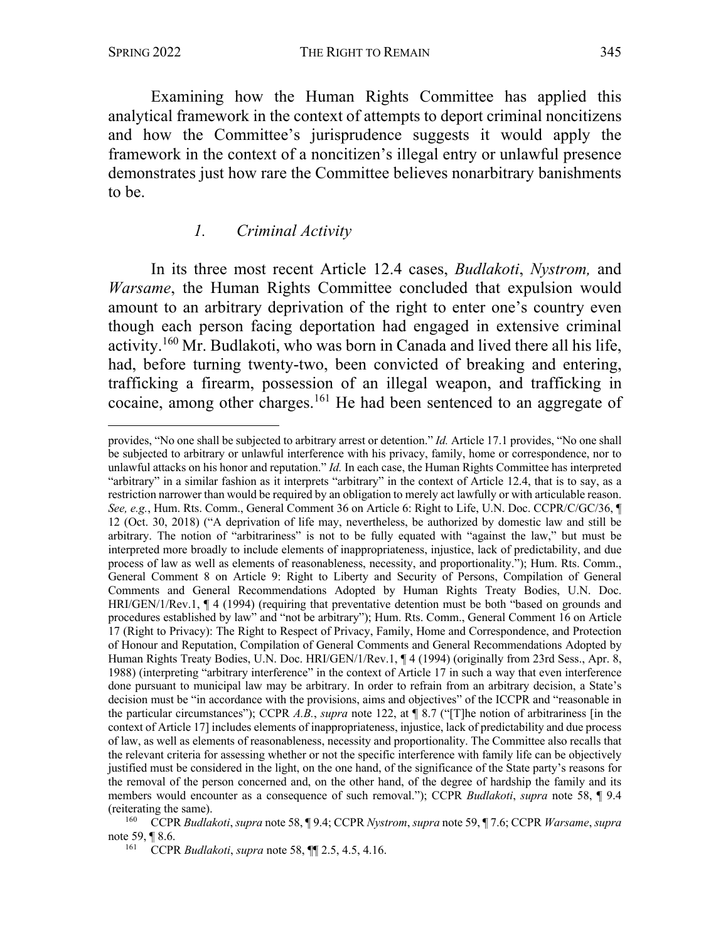Examining how the Human Rights Committee has applied this analytical framework in the context of attempts to deport criminal noncitizens and how the Committee's jurisprudence suggests it would apply the framework in the context of a noncitizen's illegal entry or unlawful presence demonstrates just how rare the Committee believes nonarbitrary banishments to be.

### *1. Criminal Activity*

In its three most recent Article 12.4 cases, *Budlakoti*, *Nystrom,* and *Warsame*, the Human Rights Committee concluded that expulsion would amount to an arbitrary deprivation of the right to enter one's country even though each person facing deportation had engaged in extensive criminal activity.160 Mr. Budlakoti, who was born in Canada and lived there all his life, had, before turning twenty-two, been convicted of breaking and entering, trafficking a firearm, possession of an illegal weapon, and trafficking in cocaine, among other charges.161 He had been sentenced to an aggregate of

provides, "No one shall be subjected to arbitrary arrest or detention." *Id.* Article 17.1 provides, "No one shall be subjected to arbitrary or unlawful interference with his privacy, family, home or correspondence, nor to unlawful attacks on his honor and reputation." *Id.* In each case, the Human Rights Committee has interpreted "arbitrary" in a similar fashion as it interprets "arbitrary" in the context of Article 12.4, that is to say, as a restriction narrower than would be required by an obligation to merely act lawfully or with articulable reason. *See, e.g.*, Hum. Rts. Comm., General Comment 36 on Article 6: Right to Life, U.N. Doc. CCPR/C/GC/36, ¶ 12 (Oct. 30, 2018) ("A deprivation of life may, nevertheless, be authorized by domestic law and still be arbitrary. The notion of "arbitrariness" is not to be fully equated with "against the law," but must be interpreted more broadly to include elements of inappropriateness, injustice, lack of predictability, and due process of law as well as elements of reasonableness, necessity, and proportionality."); Hum. Rts. Comm., General Comment 8 on Article 9: Right to Liberty and Security of Persons, Compilation of General Comments and General Recommendations Adopted by Human Rights Treaty Bodies, U.N. Doc. HRI/GEN/1/Rev.1, ¶ 4 (1994) (requiring that preventative detention must be both "based on grounds and procedures established by law" and "not be arbitrary"); Hum. Rts. Comm., General Comment 16 on Article 17 (Right to Privacy): The Right to Respect of Privacy, Family, Home and Correspondence, and Protection of Honour and Reputation, Compilation of General Comments and General Recommendations Adopted by Human Rights Treaty Bodies, U.N. Doc. HRI/GEN/1/Rev.1, ¶ 4 (1994) (originally from 23rd Sess., Apr. 8, 1988) (interpreting "arbitrary interference" in the context of Article 17 in such a way that even interference done pursuant to municipal law may be arbitrary. In order to refrain from an arbitrary decision, a State's decision must be "in accordance with the provisions, aims and objectives" of the ICCPR and "reasonable in the particular circumstances"); CCPR *A.B.*, *supra* note 122, at ¶ 8.7 ("[T]he notion of arbitrariness [in the context of Article 17] includes elements of inappropriateness, injustice, lack of predictability and due process of law, as well as elements of reasonableness, necessity and proportionality. The Committee also recalls that the relevant criteria for assessing whether or not the specific interference with family life can be objectively justified must be considered in the light, on the one hand, of the significance of the State party's reasons for the removal of the person concerned and, on the other hand, of the degree of hardship the family and its members would encounter as a consequence of such removal."); CCPR *Budlakoti*, *supra* note 58, ¶ 9.4 (reiterating the same).

<sup>160</sup> CCPR *Budlakoti*, *supra* note 58, ¶ 9.4; CCPR *Nystrom*, *supra* note 59, ¶ 7.6; CCPR *Warsame*, *supra* note 59, ¶ 8.6.

<sup>161</sup> CCPR *Budlakoti*, *supra* note 58, ¶¶ 2.5, 4.5, 4.16.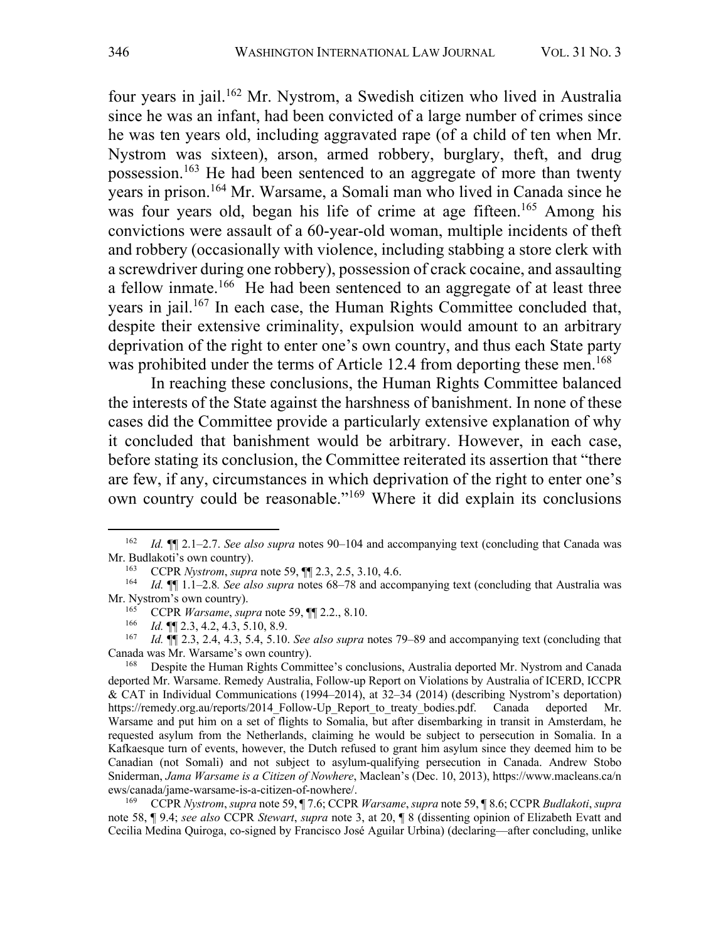four years in jail.162 Mr. Nystrom, a Swedish citizen who lived in Australia since he was an infant, had been convicted of a large number of crimes since he was ten years old, including aggravated rape (of a child of ten when Mr. Nystrom was sixteen), arson, armed robbery, burglary, theft, and drug possession.163 He had been sentenced to an aggregate of more than twenty years in prison.164 Mr. Warsame, a Somali man who lived in Canada since he was four years old, began his life of crime at age fifteen.<sup>165</sup> Among his convictions were assault of a 60-year-old woman, multiple incidents of theft and robbery (occasionally with violence, including stabbing a store clerk with a screwdriver during one robbery), possession of crack cocaine, and assaulting a fellow inmate.<sup>166</sup> He had been sentenced to an aggregate of at least three years in jail.167 In each case, the Human Rights Committee concluded that, despite their extensive criminality, expulsion would amount to an arbitrary deprivation of the right to enter one's own country, and thus each State party was prohibited under the terms of Article 12.4 from deporting these men.<sup>168</sup>

In reaching these conclusions, the Human Rights Committee balanced the interests of the State against the harshness of banishment. In none of these cases did the Committee provide a particularly extensive explanation of why it concluded that banishment would be arbitrary. However, in each case, before stating its conclusion, the Committee reiterated its assertion that "there are few, if any, circumstances in which deprivation of the right to enter one's own country could be reasonable."169 Where it did explain its conclusions

<sup>169</sup> CCPR *Nystrom*, *supra* note 59, ¶ 7.6; CCPR *Warsame*, *supra* note 59, ¶ 8.6; CCPR *Budlakoti*, *supra* note 58, ¶ 9.4; *see also* CCPR *Stewart*, *supra* note 3, at 20, ¶ 8 (dissenting opinion of Elizabeth Evatt and Cecilia Medina Quiroga, co-signed by Francisco José Aguilar Urbina) (declaring—after concluding, unlike

<sup>162</sup> *Id.* ¶¶ 2.1–2.7. *See also supra* notes 90–104 and accompanying text (concluding that Canada was Mr. Budlakoti's own country).

<sup>163</sup> CCPR *Nystrom*, *supra* note 59,  $\P$  2.3, 2.5, 3.10, 4.6.<br><sup>164</sup> Id  $\P$  1 1–2.8. See also supra notes 68–78 and accom

<sup>164</sup> *Id.* ¶¶ 1.1–2.8*. See also supra* notes 68–78 and accompanying text (concluding that Australia was Mr. Nystrom's own country).<br> $^{165}$  CCPR Warsame sur

<sup>165</sup> CCPR *Warsame*, *supra* note 59,  $\P$  2.2., 8.10.<br>166 *Id*  $\P$   $\P$   $\Omega$  3 4 2 4 3 5 10 8 9

<sup>166</sup> *Id.*  $\mathbb{I}$  2.3, 4.2, 4.3, 5.10, 8.9.<br>
167 *Id* **III** 2.3, 2.4, 4.3, 5.4, 5.10

<sup>167</sup> *Id.* ¶¶ 2.3, 2.4, 4.3, 5.4, 5.10. *See also supra* notes 79–89 and accompanying text (concluding that Canada was Mr. Warsame's own country).

<sup>168</sup> Despite the Human Rights Committee's conclusions, Australia deported Mr. Nystrom and Canada deported Mr. Warsame. Remedy Australia, Follow-up Report on Violations by Australia of ICERD, ICCPR & CAT in Individual Communications (1994–2014), at 32–34 (2014) (describing Nystrom's deportation) https://remedy.org.au/reports/2014\_Follow-Up\_Report\_to\_treaty\_bodies.pdf. Canada deported Mr. Warsame and put him on a set of flights to Somalia, but after disembarking in transit in Amsterdam, he requested asylum from the Netherlands, claiming he would be subject to persecution in Somalia. In a Kafkaesque turn of events, however, the Dutch refused to grant him asylum since they deemed him to be Canadian (not Somali) and not subject to asylum-qualifying persecution in Canada. Andrew Stobo Sniderman, *Jama Warsame is a Citizen of Nowhere*, Maclean's (Dec. 10, 2013), https://www.macleans.ca/n ews/canada/jame-warsame-is-a-citizen-of-nowhere/.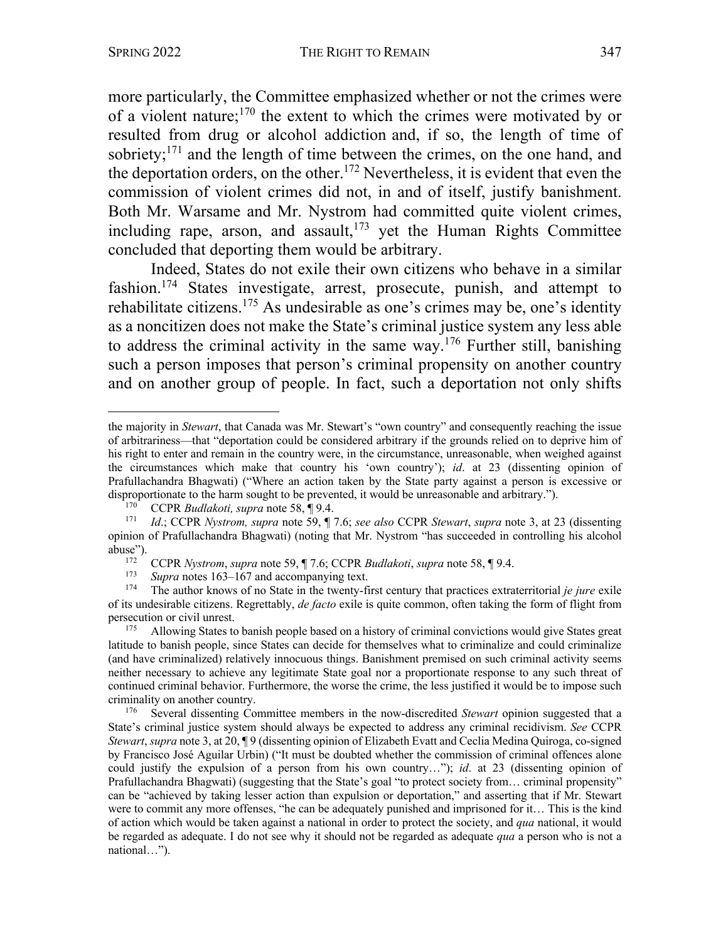more particularly, the Committee emphasized whether or not the crimes were of a violent nature;<sup>170</sup> the extent to which the crimes were motivated by or resulted from drug or alcohol addiction and, if so, the length of time of sobriety; $^{171}$  and the length of time between the crimes, on the one hand, and the deportation orders, on the other.<sup>172</sup> Nevertheless, it is evident that even the commission of violent crimes did not, in and of itself, justify banishment. Both Mr. Warsame and Mr. Nystrom had committed quite violent crimes, including rape, arson, and assault, $173$  yet the Human Rights Committee concluded that deporting them would be arbitrary.

Indeed, States do not exile their own citizens who behave in a similar fashion.174 States investigate, arrest, prosecute, punish, and attempt to rehabilitate citizens.<sup>175</sup> As undesirable as one's crimes may be, one's identity as a noncitizen does not make the State's criminal justice system any less able to address the criminal activity in the same way.<sup>176</sup> Further still, banishing such a person imposes that person's criminal propensity on another country and on another group of people. In fact, such a deportation not only shifts

the majority in *Stewart*, that Canada was Mr. Stewart's "own country" and consequently reaching the issue of arbitrariness—that "deportation could be considered arbitrary if the grounds relied on to deprive him of his right to enter and remain in the country were, in the circumstance, unreasonable, when weighed against the circumstances which make that country his 'own country'); *id*. at 23 (dissenting opinion of Prafullachandra Bhagwati) ("Where an action taken by the State party against a person is excessive or disproportionate to the harm sought to be prevented, it would be unreasonable and arbitrary.").

<sup>170</sup> CCPR *Budlakoti, supra* note 58, ¶ 9.4.

<sup>171</sup> *Id*.; CCPR *Nystrom, supra* note 59, ¶ 7.6; *see also* CCPR *Stewart*, *supra* note 3, at 23 (dissenting opinion of Prafullachandra Bhagwati) (noting that Mr. Nystrom "has succeeded in controlling his alcohol abuse").

<sup>172</sup> CCPR *Nystrom*, *supra* note 59, ¶ 7.6; CCPR *Budlakoti*, *supra* note 58, ¶ 9.4.

<sup>&</sup>lt;sup>173</sup> *Supra* notes 163–167 and accompanying text.<br><sup>174</sup> The author knows of no State in the twenty-fi

<sup>174</sup> The author knows of no State in the twenty-first century that practices extraterritorial *je jure* exile of its undesirable citizens. Regrettably, *de facto* exile is quite common, often taking the form of flight from persecution or civil unrest.

<sup>&</sup>lt;sup>175</sup> Allowing States to banish people based on a history of criminal convictions would give States great latitude to banish people, since States can decide for themselves what to criminalize and could criminalize (and have criminalized) relatively innocuous things. Banishment premised on such criminal activity seems neither necessary to achieve any legitimate State goal nor a proportionate response to any such threat of continued criminal behavior. Furthermore, the worse the crime, the less justified it would be to impose such criminality on another country.<br> $\frac{176}{8}$  Several disserting Co.

<sup>176</sup> Several dissenting Committee members in the now-discredited *Stewart* opinion suggested that a State's criminal justice system should always be expected to address any criminal recidivism. *See* CCPR *Stewart*, *supra* note 3, at 20, ¶ 9 (dissenting opinion of Elizabeth Evatt and Ceclia Medina Quiroga, co-signed by Francisco José Aguilar Urbin) ("It must be doubted whether the commission of criminal offences alone could justify the expulsion of a person from his own country…"); *id*. at 23 (dissenting opinion of Prafullachandra Bhagwati) (suggesting that the State's goal "to protect society from… criminal propensity" can be "achieved by taking lesser action than expulsion or deportation," and asserting that if Mr. Stewart were to commit any more offenses, "he can be adequately punished and imprisoned for it… This is the kind of action which would be taken against a national in order to protect the society, and *qua* national, it would be regarded as adequate. I do not see why it should not be regarded as adequate *qua* a person who is not a national…").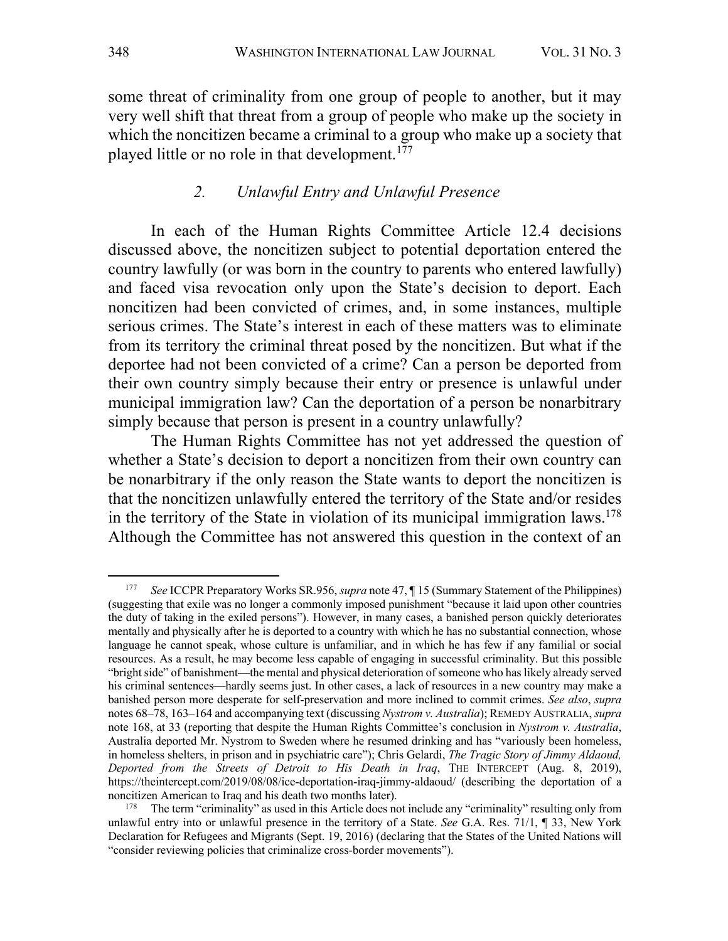some threat of criminality from one group of people to another, but it may very well shift that threat from a group of people who make up the society in which the noncitizen became a criminal to a group who make up a society that played little or no role in that development.<sup>177</sup>

### *2. Unlawful Entry and Unlawful Presence*

In each of the Human Rights Committee Article 12.4 decisions discussed above, the noncitizen subject to potential deportation entered the country lawfully (or was born in the country to parents who entered lawfully) and faced visa revocation only upon the State's decision to deport. Each noncitizen had been convicted of crimes, and, in some instances, multiple serious crimes. The State's interest in each of these matters was to eliminate from its territory the criminal threat posed by the noncitizen. But what if the deportee had not been convicted of a crime? Can a person be deported from their own country simply because their entry or presence is unlawful under municipal immigration law? Can the deportation of a person be nonarbitrary simply because that person is present in a country unlawfully?

The Human Rights Committee has not yet addressed the question of whether a State's decision to deport a noncitizen from their own country can be nonarbitrary if the only reason the State wants to deport the noncitizen is that the noncitizen unlawfully entered the territory of the State and/or resides in the territory of the State in violation of its municipal immigration laws.<sup>178</sup> Although the Committee has not answered this question in the context of an

<sup>177</sup> *See* ICCPR Preparatory Works SR.956, *supra* note 47, ¶ 15 (Summary Statement of the Philippines) (suggesting that exile was no longer a commonly imposed punishment "because it laid upon other countries the duty of taking in the exiled persons"). However, in many cases, a banished person quickly deteriorates mentally and physically after he is deported to a country with which he has no substantial connection, whose language he cannot speak, whose culture is unfamiliar, and in which he has few if any familial or social resources. As a result, he may become less capable of engaging in successful criminality. But this possible "bright side" of banishment—the mental and physical deterioration of someone who has likely already served his criminal sentences—hardly seems just. In other cases, a lack of resources in a new country may make a banished person more desperate for self-preservation and more inclined to commit crimes. *See also*, *supra* notes 68–78, 163–164 and accompanying text (discussing *Nystrom v. Australia*); REMEDY AUSTRALIA, *supra* note 168, at 33 (reporting that despite the Human Rights Committee's conclusion in *Nystrom v. Australia*, Australia deported Mr. Nystrom to Sweden where he resumed drinking and has "variously been homeless, in homeless shelters, in prison and in psychiatric care"); Chris Gelardi, *The Tragic Story of Jimmy Aldaoud, Deported from the Streets of Detroit to His Death in Iraq*, THE INTERCEPT (Aug. 8, 2019), https://theintercept.com/2019/08/08/ice-deportation-iraq-jimmy-aldaoud/ (describing the deportation of a noncitizen American to Iraq and his death two months later).

<sup>&</sup>lt;sup>178</sup> The term "criminality" as used in this Article does not include any "criminality" resulting only from unlawful entry into or unlawful presence in the territory of a State. *See* G.A. Res. 71/1, ¶ 33, New York Declaration for Refugees and Migrants (Sept. 19, 2016) (declaring that the States of the United Nations will "consider reviewing policies that criminalize cross-border movements").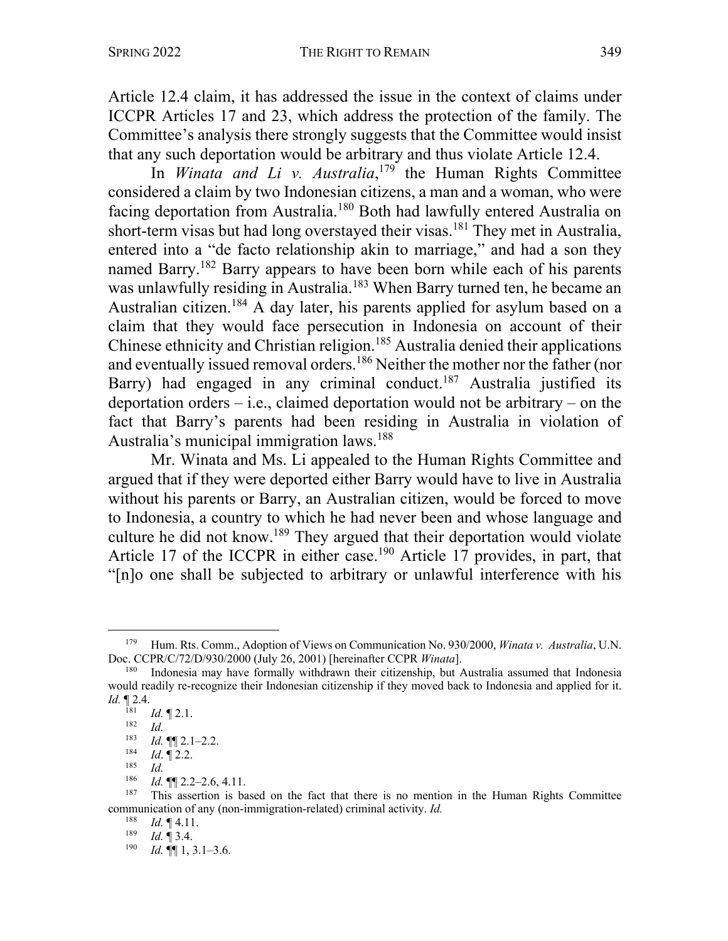Article 12.4 claim, it has addressed the issue in the context of claims under ICCPR Articles 17 and 23, which address the protection of the family. The Committee's analysis there strongly suggests that the Committee would insist that any such deportation would be arbitrary and thus violate Article 12.4.

In *Winata and Li v. Australia*, <sup>179</sup> the Human Rights Committee considered a claim by two Indonesian citizens, a man and a woman, who were facing deportation from Australia.180 Both had lawfully entered Australia on short-term visas but had long overstayed their visas.181 They met in Australia, entered into a "de facto relationship akin to marriage," and had a son they named Barry.182 Barry appears to have been born while each of his parents was unlawfully residing in Australia.<sup>183</sup> When Barry turned ten, he became an Australian citizen.<sup>184</sup> A day later, his parents applied for asylum based on a claim that they would face persecution in Indonesia on account of their Chinese ethnicity and Christian religion.<sup>185</sup> Australia denied their applications and eventually issued removal orders.<sup>186</sup> Neither the mother nor the father (nor Barry) had engaged in any criminal conduct.<sup>187</sup> Australia justified its deportation orders  $-$  i.e., claimed deportation would not be arbitrary  $-$  on the fact that Barry's parents had been residing in Australia in violation of Australia's municipal immigration laws. 188

Mr. Winata and Ms. Li appealed to the Human Rights Committee and argued that if they were deported either Barry would have to live in Australia without his parents or Barry, an Australian citizen, would be forced to move to Indonesia, a country to which he had never been and whose language and culture he did not know.<sup>189</sup> They argued that their deportation would violate Article 17 of the ICCPR in either case.<sup>190</sup> Article 17 provides, in part, that "[n]o one shall be subjected to arbitrary or unlawful interference with his

<sup>179</sup> Hum. Rts. Comm., Adoption of Views on Communication No. 930/2000, *Winata v. Australia*, U.N. Doc. CCPR/C/72/D/930/2000 (July 26, 2001) [hereinafter CCPR *Winata*].

<sup>180</sup> Indonesia may have formally withdrawn their citizenship, but Australia assumed that Indonesia would readily re-recognize their Indonesian citizenship if they moved back to Indonesia and applied for it. *Id.*  $\prod_{181} 2.4$ .

 $\frac{181}{182}$  *Id.* 12.1.

 $\frac{182}{183}$  *Id.* 

 $\frac{183}{184}$  *Id.*  $\P$  2.1–2.2.<br>184 *Id*  $\Box$  2.2.

 $\frac{184}{185}$  *Id.* 185

 $\frac{185}{186}$  *Id.* 

 $\frac{186}{187}$  *Id.*  $\P$  2.2–2.6, 4.11.

<sup>187</sup> This assertion is based on the fact that there is no mention in the Human Rights Committee communication of any (non-immigration-related) criminal activity. *Id.*

 $\frac{188}{189}$  *Id.*  $\P$  4.11.

 $\frac{189}{190}$  *Id.* [[ 3.4.]

*Id.* **¶** 1, 3.1–3.6.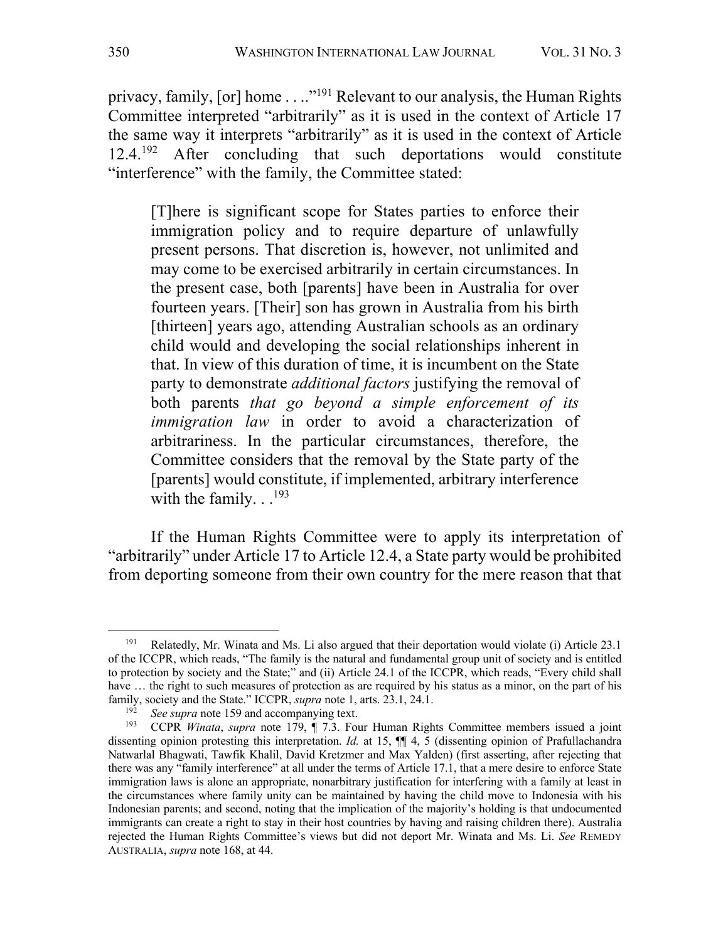privacy, family, [or] home . . .."<sup>191</sup> Relevant to our analysis, the Human Rights Committee interpreted "arbitrarily" as it is used in the context of Article 17 the same way it interprets "arbitrarily" as it is used in the context of Article 12.4.<sup>192</sup> After concluding that such deportations would constitute "interference" with the family, the Committee stated:

[T]here is significant scope for States parties to enforce their immigration policy and to require departure of unlawfully present persons. That discretion is, however, not unlimited and may come to be exercised arbitrarily in certain circumstances. In the present case, both [parents] have been in Australia for over fourteen years. [Their] son has grown in Australia from his birth [thirteen] years ago, attending Australian schools as an ordinary child would and developing the social relationships inherent in that. In view of this duration of time, it is incumbent on the State party to demonstrate *additional factors* justifying the removal of both parents *that go beyond a simple enforcement of its immigration law* in order to avoid a characterization of arbitrariness. In the particular circumstances, therefore, the Committee considers that the removal by the State party of the [parents] would constitute, if implemented, arbitrary interference with the family.  $.193$ 

If the Human Rights Committee were to apply its interpretation of "arbitrarily" under Article 17 to Article 12.4, a State party would be prohibited from deporting someone from their own country for the mere reason that that

<sup>191</sup> Relatedly, Mr. Winata and Ms. Li also argued that their deportation would violate (i) Article 23.1 of the ICCPR, which reads, "The family is the natural and fundamental group unit of society and is entitled to protection by society and the State;" and (ii) Article 24.1 of the ICCPR, which reads, "Every child shall have ... the right to such measures of protection as are required by his status as a minor, on the part of his family, society and the State." ICCPR, *supra* note 1, arts. 23.1, 24.1.

See supra note 159 and accompanying text.

<sup>193</sup> CCPR *Winata*, *supra* note 179, ¶ 7.3. Four Human Rights Committee members issued a joint dissenting opinion protesting this interpretation. *Id.* at 15, ¶¶ 4, 5 (dissenting opinion of Prafullachandra Natwarlal Bhagwati, Tawfik Khalil, David Kretzmer and Max Yalden) (first asserting, after rejecting that there was any "family interference" at all under the terms of Article 17.1, that a mere desire to enforce State immigration laws is alone an appropriate, nonarbitrary justification for interfering with a family at least in the circumstances where family unity can be maintained by having the child move to Indonesia with his Indonesian parents; and second, noting that the implication of the majority's holding is that undocumented immigrants can create a right to stay in their host countries by having and raising children there). Australia rejected the Human Rights Committee's views but did not deport Mr. Winata and Ms. Li. *See* REMEDY AUSTRALIA, *supra* note 168, at 44.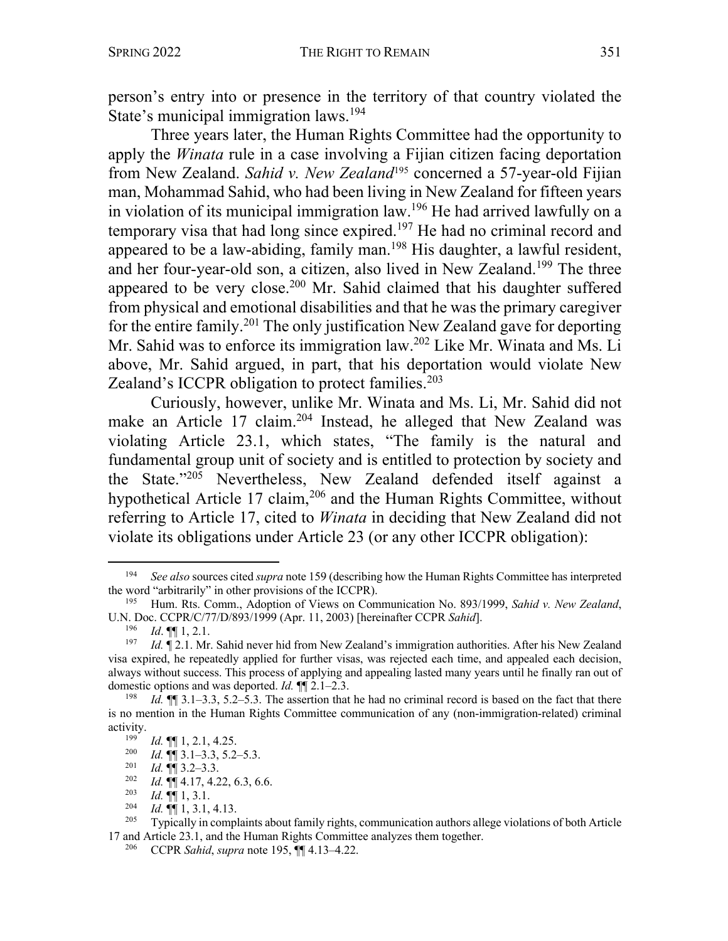person's entry into or presence in the territory of that country violated the State's municipal immigration laws.<sup>194</sup>

Three years later, the Human Rights Committee had the opportunity to apply the *Winata* rule in a case involving a Fijian citizen facing deportation from New Zealand. *Sahid v. New Zealand*<sup>195</sup> concerned a 57-year-old Fijian man, Mohammad Sahid, who had been living in New Zealand for fifteen years in violation of its municipal immigration law.196 He had arrived lawfully on a temporary visa that had long since expired.<sup>197</sup> He had no criminal record and appeared to be a law-abiding, family man.<sup>198</sup> His daughter, a lawful resident, and her four-year-old son, a citizen, also lived in New Zealand.<sup>199</sup> The three appeared to be very close.<sup>200</sup> Mr. Sahid claimed that his daughter suffered from physical and emotional disabilities and that he was the primary caregiver for the entire family.<sup>201</sup> The only justification New Zealand gave for deporting Mr. Sahid was to enforce its immigration law.202 Like Mr. Winata and Ms. Li above, Mr. Sahid argued, in part, that his deportation would violate New Zealand's ICCPR obligation to protect families. $203$ 

Curiously, however, unlike Mr. Winata and Ms. Li, Mr. Sahid did not make an Article 17 claim.<sup>204</sup> Instead, he alleged that New Zealand was violating Article 23.1, which states, "The family is the natural and fundamental group unit of society and is entitled to protection by society and the State."205 Nevertheless, New Zealand defended itself against a hypothetical Article 17 claim,<sup>206</sup> and the Human Rights Committee, without referring to Article 17, cited to *Winata* in deciding that New Zealand did not violate its obligations under Article 23 (or any other ICCPR obligation):

<sup>202</sup> *Id.*  $\P\P$  4.17, 4.22, 6.3, 6.6.<br><sup>203</sup> *Id*  $\P\P$  1 3 1

<sup>194</sup> *See also* sources cited *supra* note 159 (describing how the Human Rights Committee has interpreted the word "arbitrarily" in other provisions of the ICCPR).

<sup>195</sup> Hum. Rts. Comm., Adoption of Views on Communication No. 893/1999, *Sahid v. New Zealand*, U.N. Doc. CCPR/C/77/D/893/1999 (Apr. 11, 2003) [hereinafter CCPR *Sahid*].

<sup>196</sup> *Id*. ¶¶ 1, 2.1.

<sup>&</sup>lt;sup>197</sup> *Id.* ¶ 2.1. Mr. Sahid never hid from New Zealand's immigration authorities. After his New Zealand visa expired, he repeatedly applied for further visas, was rejected each time, and appealed each decision, always without success. This process of applying and appealing lasted many years until he finally ran out of domestic options and was deported. *Id.*  $\P$  2.1–2.3.<br><sup>198</sup> *Id*  $\P$  **q**  $\P$  2.1–3.3. 5.2–5.3. The assertion that

*Id.*  $\P$  3.1–3.3, 5.2–5.3. The assertion that he had no criminal record is based on the fact that there is no mention in the Human Rights Committee communication of any (non-immigration-related) criminal activity.

 $\frac{199}{200}$  *Id.*  $\left[\begin{matrix} 9 \end{matrix}\right]$  1, 2.1, 4.25.

<sup>&</sup>lt;sup>200</sup> *Id.*  $\P\P$  3.1–3.3, 5.2–5.3.<br><sup>201</sup> *Id*  $\P$   $\P$  3.2–3.3

*Id.*  $\P\P$  3.2–3.3.

 $\frac{203}{204}$  *Id.*  $\P\P$  1, 3.1.<br> *Id.*  $\P\P$  1, 3.1.

<sup>204</sup> *Id.* ¶¶ 1, 3.1, 4.13. 205 Typically in complaints about family rights, communication authors allege violations of both Article 17 and Article 23.1, and the Human Rights Committee analyzes them together.

<sup>206</sup> CCPR *Sahid*, *supra* note 195, ¶¶ 4.13–4.22.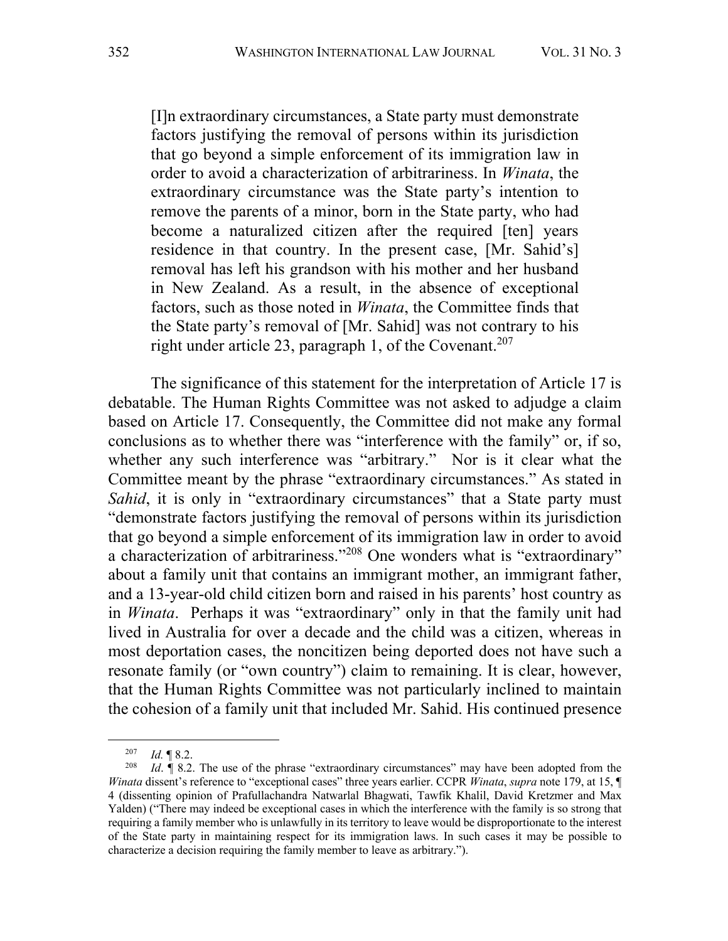[I]n extraordinary circumstances, a State party must demonstrate factors justifying the removal of persons within its jurisdiction that go beyond a simple enforcement of its immigration law in order to avoid a characterization of arbitrariness. In *Winata*, the extraordinary circumstance was the State party's intention to remove the parents of a minor, born in the State party, who had become a naturalized citizen after the required [ten] years residence in that country. In the present case, [Mr. Sahid's] removal has left his grandson with his mother and her husband in New Zealand. As a result, in the absence of exceptional factors, such as those noted in *Winata*, the Committee finds that the State party's removal of [Mr. Sahid] was not contrary to his right under article 23, paragraph 1, of the Covenant.<sup>207</sup>

The significance of this statement for the interpretation of Article 17 is debatable. The Human Rights Committee was not asked to adjudge a claim based on Article 17. Consequently, the Committee did not make any formal conclusions as to whether there was "interference with the family" or, if so, whether any such interference was "arbitrary." Nor is it clear what the Committee meant by the phrase "extraordinary circumstances." As stated in *Sahid*, it is only in "extraordinary circumstances" that a State party must "demonstrate factors justifying the removal of persons within its jurisdiction that go beyond a simple enforcement of its immigration law in order to avoid a characterization of arbitrariness."208 One wonders what is "extraordinary" about a family unit that contains an immigrant mother, an immigrant father, and a 13-year-old child citizen born and raised in his parents' host country as in *Winata*. Perhaps it was "extraordinary" only in that the family unit had lived in Australia for over a decade and the child was a citizen, whereas in most deportation cases, the noncitizen being deported does not have such a resonate family (or "own country") claim to remaining. It is clear, however, that the Human Rights Committee was not particularly inclined to maintain the cohesion of a family unit that included Mr. Sahid. His continued presence

 $\frac{207}{208}$  *Id.* 18.2.

*Id.*  $\parallel$  8.2. The use of the phrase "extraordinary circumstances" may have been adopted from the *Winata* dissent's reference to "exceptional cases" three years earlier. CCPR *Winata*, *supra* note 179, at 15, ¶ 4 (dissenting opinion of Prafullachandra Natwarlal Bhagwati, Tawfik Khalil, David Kretzmer and Max Yalden) ("There may indeed be exceptional cases in which the interference with the family is so strong that requiring a family member who is unlawfully in its territory to leave would be disproportionate to the interest of the State party in maintaining respect for its immigration laws. In such cases it may be possible to characterize a decision requiring the family member to leave as arbitrary.").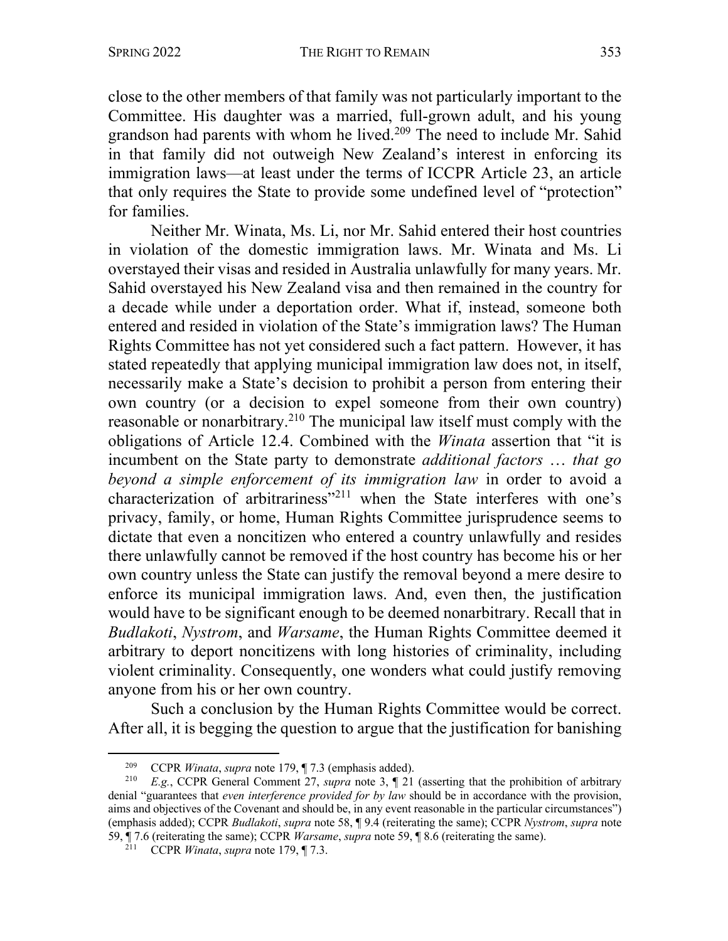close to the other members of that family was not particularly important to the Committee. His daughter was a married, full-grown adult, and his young grandson had parents with whom he lived.<sup>209</sup> The need to include Mr. Sahid in that family did not outweigh New Zealand's interest in enforcing its immigration laws—at least under the terms of ICCPR Article 23, an article that only requires the State to provide some undefined level of "protection" for families.

Neither Mr. Winata, Ms. Li, nor Mr. Sahid entered their host countries in violation of the domestic immigration laws. Mr. Winata and Ms. Li overstayed their visas and resided in Australia unlawfully for many years. Mr. Sahid overstayed his New Zealand visa and then remained in the country for a decade while under a deportation order. What if, instead, someone both entered and resided in violation of the State's immigration laws? The Human Rights Committee has not yet considered such a fact pattern. However, it has stated repeatedly that applying municipal immigration law does not, in itself, necessarily make a State's decision to prohibit a person from entering their own country (or a decision to expel someone from their own country) reasonable or nonarbitrary.210 The municipal law itself must comply with the obligations of Article 12.4. Combined with the *Winata* assertion that "it is incumbent on the State party to demonstrate *additional factors* … *that go beyond a simple enforcement of its immigration law* in order to avoid a characterization of arbitrariness"<sup>211</sup> when the State interferes with one's privacy, family, or home, Human Rights Committee jurisprudence seems to dictate that even a noncitizen who entered a country unlawfully and resides there unlawfully cannot be removed if the host country has become his or her own country unless the State can justify the removal beyond a mere desire to enforce its municipal immigration laws. And, even then, the justification would have to be significant enough to be deemed nonarbitrary. Recall that in *Budlakoti*, *Nystrom*, and *Warsame*, the Human Rights Committee deemed it arbitrary to deport noncitizens with long histories of criminality, including violent criminality. Consequently, one wonders what could justify removing anyone from his or her own country.

Such a conclusion by the Human Rights Committee would be correct. After all, it is begging the question to argue that the justification for banishing

<sup>209</sup> CCPR *Winata*, *supra* note 179, ¶ 7.3 (emphasis added).

E.g., CCPR General Comment 27, *supra* note 3, ¶ 21 (asserting that the prohibition of arbitrary denial "guarantees that *even interference provided for by law* should be in accordance with the provision, aims and objectives of the Covenant and should be, in any event reasonable in the particular circumstances") (emphasis added); CCPR *Budlakoti*, *supra* note 58, ¶ 9.4 (reiterating the same); CCPR *Nystrom*, *supra* note 59, ¶ 7.6 (reiterating the same); CCPR *Warsame*, *supra* note 59, ¶ 8.6 (reiterating the same).

 $2^{11}$  CCPR *Winata*, *supra* note 179,  $\P$  7.3.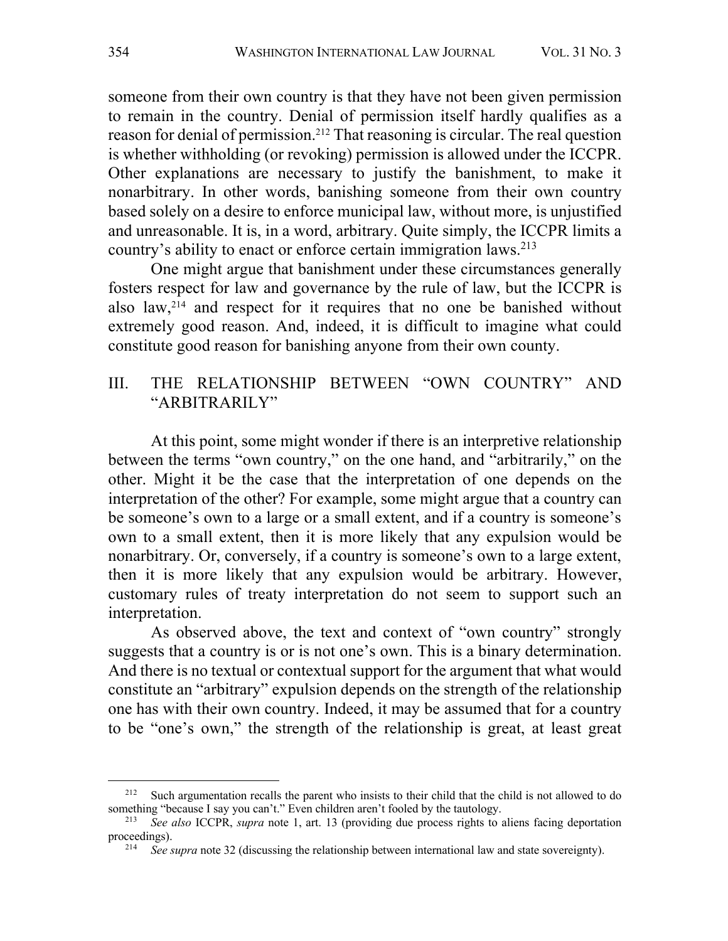someone from their own country is that they have not been given permission to remain in the country. Denial of permission itself hardly qualifies as a reason for denial of permission.212 That reasoning is circular. The real question is whether withholding (or revoking) permission is allowed under the ICCPR. Other explanations are necessary to justify the banishment, to make it nonarbitrary. In other words, banishing someone from their own country based solely on a desire to enforce municipal law, without more, is unjustified and unreasonable. It is, in a word, arbitrary. Quite simply, the ICCPR limits a country's ability to enact or enforce certain immigration laws.213

One might argue that banishment under these circumstances generally fosters respect for law and governance by the rule of law, but the ICCPR is also law,214 and respect for it requires that no one be banished without extremely good reason. And, indeed, it is difficult to imagine what could constitute good reason for banishing anyone from their own county.

## III. THE RELATIONSHIP BETWEEN "OWN COUNTRY" AND "ARBITRARILY"

At this point, some might wonder if there is an interpretive relationship between the terms "own country," on the one hand, and "arbitrarily," on the other. Might it be the case that the interpretation of one depends on the interpretation of the other? For example, some might argue that a country can be someone's own to a large or a small extent, and if a country is someone's own to a small extent, then it is more likely that any expulsion would be nonarbitrary. Or, conversely, if a country is someone's own to a large extent, then it is more likely that any expulsion would be arbitrary. However, customary rules of treaty interpretation do not seem to support such an interpretation.

As observed above, the text and context of "own country" strongly suggests that a country is or is not one's own. This is a binary determination. And there is no textual or contextual support for the argument that what would constitute an "arbitrary" expulsion depends on the strength of the relationship one has with their own country. Indeed, it may be assumed that for a country to be "one's own," the strength of the relationship is great, at least great

<sup>&</sup>lt;sup>212</sup> Such argumentation recalls the parent who insists to their child that the child is not allowed to do something "because I say you can't." Even children aren't fooled by the tautology.

<sup>213</sup> *See also* ICCPR, *supra* note 1, art. 13 (providing due process rights to aliens facing deportation proceedings).

<sup>214</sup> *See supra* note 32 (discussing the relationship between international law and state sovereignty).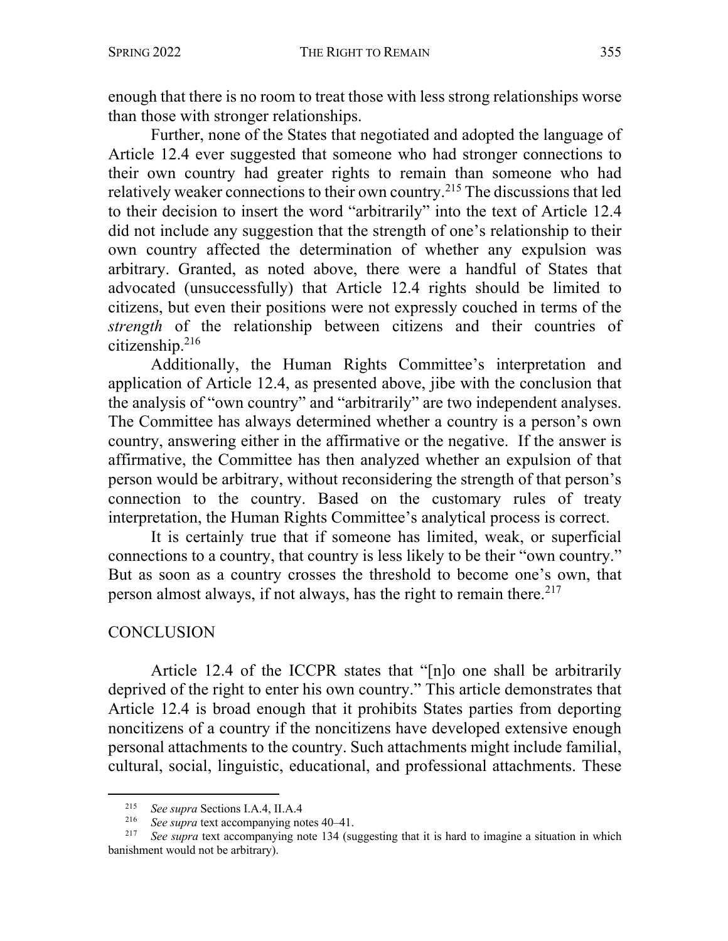enough that there is no room to treat those with less strong relationships worse than those with stronger relationships.

Further, none of the States that negotiated and adopted the language of Article 12.4 ever suggested that someone who had stronger connections to their own country had greater rights to remain than someone who had relatively weaker connections to their own country.215 The discussions that led to their decision to insert the word "arbitrarily" into the text of Article 12.4 did not include any suggestion that the strength of one's relationship to their own country affected the determination of whether any expulsion was arbitrary. Granted, as noted above, there were a handful of States that advocated (unsuccessfully) that Article 12.4 rights should be limited to citizens, but even their positions were not expressly couched in terms of the *strength* of the relationship between citizens and their countries of citizenship.216

Additionally, the Human Rights Committee's interpretation and application of Article 12.4, as presented above, jibe with the conclusion that the analysis of "own country" and "arbitrarily" are two independent analyses. The Committee has always determined whether a country is a person's own country, answering either in the affirmative or the negative. If the answer is affirmative, the Committee has then analyzed whether an expulsion of that person would be arbitrary, without reconsidering the strength of that person's connection to the country. Based on the customary rules of treaty interpretation, the Human Rights Committee's analytical process is correct.

It is certainly true that if someone has limited, weak, or superficial connections to a country, that country is less likely to be their "own country." But as soon as a country crosses the threshold to become one's own, that person almost always, if not always, has the right to remain there.  $217$ 

## **CONCLUSION**

Article 12.4 of the ICCPR states that "[n]o one shall be arbitrarily deprived of the right to enter his own country." This article demonstrates that Article 12.4 is broad enough that it prohibits States parties from deporting noncitizens of a country if the noncitizens have developed extensive enough personal attachments to the country. Such attachments might include familial, cultural, social, linguistic, educational, and professional attachments. These

<sup>&</sup>lt;sup>215</sup> *See supra* Sections I.A.4, II.A.4<sup>216</sup> *See supra* text accompanying no

<sup>216</sup> *See supra* text accompanying notes 40–41.

See supra text accompanying note 134 (suggesting that it is hard to imagine a situation in which banishment would not be arbitrary).